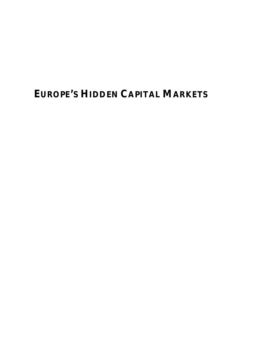# **EUROPE'S HIDDEN CAPITAL MARKETS**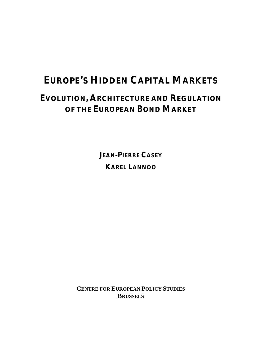# **EUROPE'S HIDDEN CAPITAL MARKETS**

# **EVOLUTION, ARCHITECTURE AND REGULATION OF THE EUROPEAN BOND MARKET**

**JEAN-PIERRE CASEY KAREL LANNOO**

**CENTRE FOR EUROPEAN POLICY STUDIES BRUSSELS**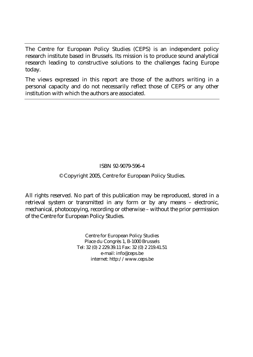The Centre for European Policy Studies (CEPS) is an independent policy research institute based in Brussels. Its mission is to produce sound analytical research leading to constructive solutions to the challenges facing Europe today.

The views expressed in this report are those of the authors writing in a personal capacity and do not necessarily reflect those of CEPS or any other institution with which the authors are associated.

#### ISBN 92-9079-596-4

#### © Copyright 2005, Centre for European Policy Studies.

All rights reserved. No part of this publication may be reproduced, stored in a retrieval system or transmitted in any form or by any means – electronic, mechanical, photocopying, recording or otherwise – without the prior permission of the Centre for European Policy Studies.

> Centre for European Policy Studies Place du Congrès 1, B-1000 Brussels Tel: 32 (0) 2 229.39.11 Fax: 32 (0) 2 219.41.51 e-mail: info@ceps.be internet: http://www.ceps.be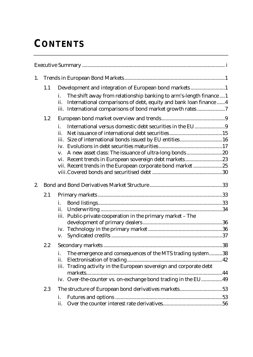# **CONTENTS**

| 1. |     |                                                                                                                                                                                                                    |
|----|-----|--------------------------------------------------------------------------------------------------------------------------------------------------------------------------------------------------------------------|
|    | 1.1 | Development and integration of European bond markets1<br>The shift away from relationship banking to arm's-length finance  1<br>i.<br>International comparisons of debt, equity and bank loan finance  4<br>ii.    |
|    |     | iii. International comparisons of bond market growth rates 7                                                                                                                                                       |
|    | 1.2 | i.<br>ii.<br>iii. Size of international bonds issued by EU entities16<br>V.<br>vi. Recent trends in European sovereign debt markets23<br>vii. Recent trends in the European corporate bond market 25               |
| 2. |     |                                                                                                                                                                                                                    |
|    | 2.1 | i.<br>ii.                                                                                                                                                                                                          |
|    |     | iii. Public-private cooperation in the primary market - The<br>V.                                                                                                                                                  |
|    | 2.2 | The emergence and consequences of the MTS trading system38<br>i.<br>ii.<br>Trading activity in the European sovereign and corporate debt<br>iii.<br>iv. Over-the-counter vs. on-exchange bond trading in the EU 49 |
|    | 2.3 | The structure of European bond derivatives markets53<br>i.<br>ii.                                                                                                                                                  |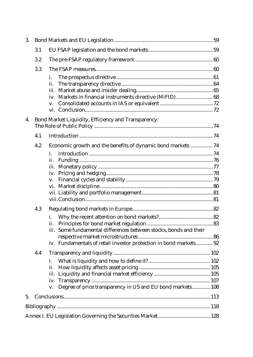| 3. |     |                                                                      |  |
|----|-----|----------------------------------------------------------------------|--|
|    | 3.1 |                                                                      |  |
|    | 3.2 |                                                                      |  |
|    | 3.3 |                                                                      |  |
|    |     | i.                                                                   |  |
|    |     | ii.                                                                  |  |
|    |     | iii.                                                                 |  |
|    |     | iv.                                                                  |  |
|    |     | V.                                                                   |  |
|    |     |                                                                      |  |
| 4. |     | Bond Market Liquidity, Efficiency and Transparency:                  |  |
|    |     |                                                                      |  |
|    | 4.1 |                                                                      |  |
|    | 4.2 | Economic growth and the benefits of dynamic bond markets  74         |  |
|    |     | i.                                                                   |  |
|    |     | ii.                                                                  |  |
|    |     |                                                                      |  |
|    |     |                                                                      |  |
|    |     | V.                                                                   |  |
|    |     |                                                                      |  |
|    |     |                                                                      |  |
|    |     |                                                                      |  |
|    | 4.3 |                                                                      |  |
|    |     | i.                                                                   |  |
|    |     | ii.                                                                  |  |
|    |     | Some fundamental differences between stocks, bonds and their<br>iii. |  |
|    |     |                                                                      |  |
|    |     | iv. Fundamentals of retail investor protection in bond markets 92    |  |
|    | 4.4 |                                                                      |  |
|    |     | i.                                                                   |  |
|    |     | ii.                                                                  |  |
|    |     |                                                                      |  |
|    |     | iv.                                                                  |  |
|    |     | Degree of price transparency in US and EU bond markets 108<br>V.     |  |
| 5. |     |                                                                      |  |
|    |     |                                                                      |  |
|    |     |                                                                      |  |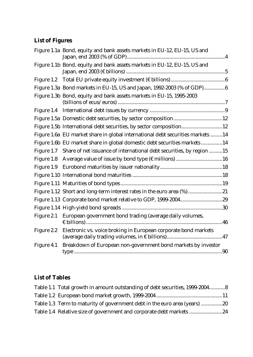## **List of Figures**

|            | Figure 1.1a Bond, equity and bank assets markets in EU-12, EU-15, US and        |
|------------|---------------------------------------------------------------------------------|
|            | Figure 1.1b Bond, equity and bank assets markets in EU-12, EU-15, US and        |
| Figure 1.2 |                                                                                 |
|            | Figure 1.3a Bond markets in EU-15, US and Japan, 1992-2003 (% of GDP)6          |
|            | Figure 1.3b Bond, equity and bank assets markets in EU-15, 1995-2003            |
|            |                                                                                 |
|            |                                                                                 |
|            | Figure 1.5b International debt securities, by sector composition12              |
|            | Figure 1.6a EU market share in global international debt securities markets 14  |
|            | Figure 1.6b EU market share in global domestic debt securities markets14        |
|            | Figure 1.7 Share of net issuance of international debt securities, by region 15 |
|            |                                                                                 |
|            |                                                                                 |
|            |                                                                                 |
|            |                                                                                 |
|            | Figure 1.12 Short and long-term interest rates in the euro area (%)21           |
|            |                                                                                 |
|            |                                                                                 |
| Figure 2.1 | European government bond trading (average daily volumes,                        |
| Figure 2.2 | Electronic vs. voice broking in European corporate bond markets                 |
| Figure 4.1 | Breakdown of European non-government bond markets by investor                   |

## **List of Tables**

| Table 1.1 Total growth in amount outstanding of debt securities, 1999-20048 |
|-----------------------------------------------------------------------------|
|                                                                             |
| Table 1.3 Term to maturity of government debt in the euro area (years) 20   |
| Table 1.4 Relative size of government and corporate debt markets            |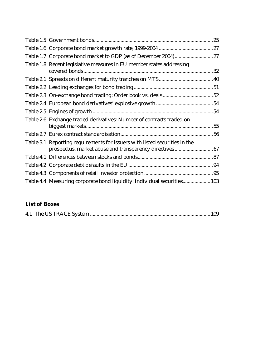| Table 1.8 Recent legislative measures in EU member states addressing                                                                  |  |
|---------------------------------------------------------------------------------------------------------------------------------------|--|
|                                                                                                                                       |  |
|                                                                                                                                       |  |
|                                                                                                                                       |  |
|                                                                                                                                       |  |
|                                                                                                                                       |  |
| Table 2.6 Exchange-traded derivatives: Number of contracts traded on                                                                  |  |
|                                                                                                                                       |  |
| Table 3.1 Reporting requirements for issuers with listed securities in the<br>prospectus, market abuse and transparency directives 67 |  |
|                                                                                                                                       |  |
|                                                                                                                                       |  |
|                                                                                                                                       |  |
| Table 4.4 Measuring corporate bond liquidity: Individual securities 103                                                               |  |

# **List of Boxes**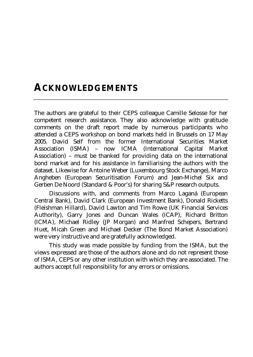# **ACKNOWLEDGEMENTS**

The authors are grateful to their CEPS colleague Camille Selosse for her competent research assistance. They also acknowledge with gratitude comments on the draft report made by numerous participants who attended a CEPS workshop on bond markets held in Brussels on 17 May 2005. David Self from the former International Securities Market Association (ISMA) – now ICMA (International Capital Market Association) – must be thanked for providing data on the international bond market and for his assistance in familiarising the authors with the dataset. Likewise for Antoine Weber (Luxembourg Stock Exchange), Marco Angheben (European Securitisation Forum) and Jean-Michel Six and Gerben De Noord (Standard & Poor's) for sharing S&P research outputs.

Discussions with, and comments from Marco Laganá (European Central Bank), David Clark (European Investment Bank), Donald Ricketts (Fleishman Hillard), David Lawton and Tim Rowe (UK Financial Services Authority), Garry Jones and Duncan Wales (ICAP), Richard Britton (ICMA), Michael Ridley (JP Morgan) and Manfred Schepers, Bertrand Huet, Micah Green and Michael Decker (The Bond Market Association) were very instructive and are gratefully acknowledged.

This study was made possible by funding from the ISMA, but the views expressed are those of the authors alone and do not represent those of ISMA, CEPS or any other institution with which they are associated. The authors accept full responsibility for any errors or omissions.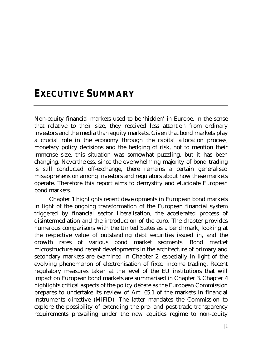# **EXECUTIVE SUMMARY**

Non-equity financial markets used to be 'hidden' in Europe, in the sense that relative to their size, they received less attention from ordinary investors and the media than equity markets. Given that bond markets play a crucial role in the economy through the capital allocation process, monetary policy decisions and the hedging of risk, not to mention their immense size, this situation was somewhat puzzling, but it has been changing. Nevertheless, since the overwhelming majority of bond trading is still conducted off-exchange, there remains a certain generalised misapprehension among investors and regulators about how these markets operate. Therefore this report aims to demystify and elucidate European bond markets.

Chapter 1 highlights recent developments in European bond markets in light of the ongoing transformation of the European financial system triggered by financial sector liberalisation, the accelerated process of disintermediation and the introduction of the euro. The chapter provides numerous comparisons with the United States as a benchmark, looking at the respective value of outstanding debt securities issued in, and the growth rates of various bond market segments. Bond market microstructure and recent developments in the architecture of primary and secondary markets are examined in Chapter 2, especially in light of the evolving phenomenon of electronisation of fixed income trading. Recent regulatory measures taken at the level of the EU institutions that will impact on European bond markets are summarised in Chapter 3. Chapter 4 highlights critical aspects of the policy debate as the European Commission prepares to undertake its review of Art. 65.1 of the markets in financial instruments directive (MiFID). The latter mandates the Commission to explore the possibility of extending the pre- and post-trade transparency requirements prevailing under the new equities regime to non-equity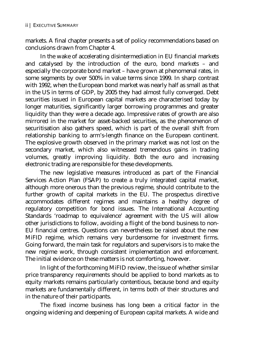markets. A final chapter presents a set of policy recommendations based on conclusions drawn from Chapter 4.

In the wake of accelerating disintermediation in EU financial markets and catalysed by the introduction of the euro, bond markets – and especially the corporate bond market – have grown at phenomenal rates, in some segments by over 500% in value terms since 1999. In sharp contrast with 1992, when the European bond market was nearly half as small as that in the US in terms of GDP, by 2005 they had almost fully converged. Debt securities issued in European capital markets are characterised today by longer maturities, significantly larger borrowing programmes and greater liquidity than they were a decade ago. Impressive rates of growth are also mirrored in the market for asset-backed securities, as the phenomenon of securitisation also gathers speed, which is part of the overall shift from relationship banking to arm's-length finance on the European continent. The explosive growth observed in the primary market was not lost on the secondary market, which also witnessed tremendous gains in trading volumes, greatly improving liquidity. Both the euro and increasing electronic trading are responsible for these developments.

The new legislative measures introduced as part of the Financial Services Action Plan (FSAP) to create a truly integrated capital market, although more onerous than the previous regime, should contribute to the further growth of capital markets in the EU. The prospectus directive accommodates different regimes and maintains a healthy degree of regulatory competition for bond issues. The International Accounting Standards 'roadmap to equivalence' agreement with the US will allow other jurisdictions to follow, avoiding a flight of the bond business to non-EU financial centres. Questions can nevertheless be raised about the new MiFID regime, which remains very burdensome for investment firms. Going forward, the main task for regulators and supervisors is to make the new regime work, through consistent implementation and enforcement. The initial evidence on these matters is not comforting, however.

In light of the forthcoming MiFID review, the issue of whether similar price transparency requirements should be applied to bond markets as to equity markets remains particularly contentious, because bond and equity markets are fundamentally different, in terms both of their structures and in the nature of their participants.

The fixed income business has long been a critical factor in the ongoing widening and deepening of European capital markets. A wide and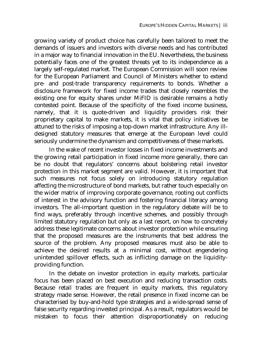growing variety of product choice has carefully been tailored to meet the demands of issuers and investors with diverse needs and has contributed in a major way to financial innovation in the EU. Nevertheless, the business potentially faces one of the greatest threats yet to its independence as a largely self-regulated market. The European Commission will soon review for the European Parliament and Council of Ministers whether to extend pre- and post-trade transparency requirements to bonds. Whether a disclosure framework for fixed income trades that closely resembles the existing one for equity shares under MiFID is desirable remains a hotly contested point. Because of the specificity of the fixed income business, namely, that it is quote-driven and liquidity providers risk their proprietary capital to make markets, it is vital that policy initiatives be attuned to the risks of imposing a top-down market infrastructure. Any illdesigned statutory measures that emerge at the European level could seriously undermine the dynamism and competitiveness of these markets.

In the wake of recent investor losses in fixed income investments and the growing retail participation in fixed income more generally, there can be no doubt that regulators' concerns about bolstering retail investor protection in this market segment are valid. However, it is important that such measures not focus solely on introducing statutory regulation affecting the microstructure of bond markets, but rather touch especially on the wider matrix of improving corporate governance, rooting out conflicts of interest in the advisory function and fostering financial literacy among investors. The all-important question in the regulatory debate will be to find ways, preferably through incentive schemes, and possibly through limited statutory regulation but only as a last resort, on how to concretely address these legitimate concerns about investor protection while ensuring that the proposed measures are the instruments that best address the source of the problem. Any proposed measures must also be able to achieve the desired results at a minimal cost, without engendering unintended spillover effects, such as inflicting damage on the liquidityproviding function.

In the debate on investor protection in equity markets, particular focus has been placed on best execution and reducing transaction costs. Because retail trades are frequent in equity markets, this regulatory strategy made sense. However, the retail presence in fixed income can be characterised by buy-and-hold type strategies and a wide-spread sense of false security regarding invested principal. As a result, regulators would be mistaken to focus their attention disproportionately on reducing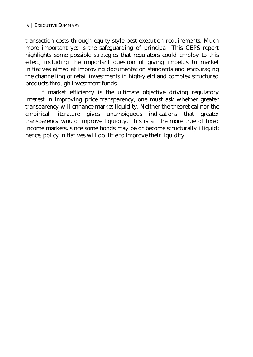transaction costs through equity-style best execution requirements. Much more important yet is the safeguarding of principal. This CEPS report highlights some possible strategies that regulators could employ to this effect, including the important question of giving impetus to market initiatives aimed at improving documentation standards and encouraging the channelling of retail investments in high-yield and complex structured products through investment funds.

If market efficiency is the ultimate objective driving regulatory interest in improving price transparency, one must ask whether greater transparency will enhance market liquidity. Neither the theoretical nor the empirical literature gives unambiguous indications that greater transparency would improve liquidity. This is all the more true of fixed income markets, since some bonds may be or become structurally illiquid; hence, policy initiatives will do little to improve their liquidity.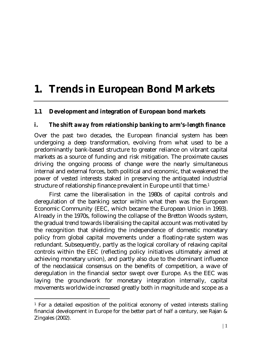# **1. Trends in European Bond Markets**

## **1.1 Development and integration of European bond markets**

## *i. The shift away from relationship banking to arm's-length finance*

Over the past two decades, the European financial system has been undergoing a deep transformation, evolving from what used to be a predominantly bank-based structure to greater reliance on vibrant capital markets as a source of funding and risk mitigation. The proximate causes driving the ongoing process of change were the nearly simultaneous internal and external forces, both political and economic, that weakened the power of vested interests staked in preserving the antiquated industrial structure of relationship finance prevalent in Europe until that time.1

First came the liberalisation in the 1980s of capital controls and deregulation of the banking sector within what then was the European Economic Community (EEC, which became the European Union in 1993). Already in the 1970s, following the collapse of the Bretton Woods system, the gradual trend towards liberalising the capital account was motivated by the recognition that shielding the independence of domestic monetary policy from global capital movements under a floating-rate system was redundant. Subsequently, partly as the logical corollary of relaxing capital controls within the EEC (reflecting policy initiatives ultimately aimed at achieving monetary union), and partly also due to the dominant influence of the neoclassical consensus on the benefits of competition, a wave of deregulation in the financial sector swept over Europe. As the EEC was laying the groundwork for monetary integration internally, capital movements worldwide increased greatly both in magnitude and scope as a

 $\overline{a}$ 

<sup>1</sup> For a detailed exposition of the political economy of vested interests stalling financial development in Europe for the better part of half a century, see Rajan & Zingales (2002).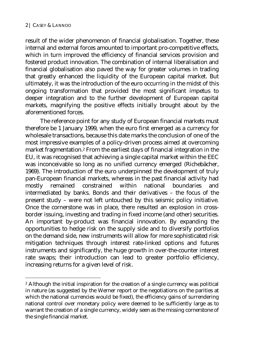$\overline{a}$ 

result of the wider phenomenon of financial globalisation. Together, these internal and external forces amounted to important pro-competitive effects, which in turn improved the efficiency of financial services provision and fostered product innovation. The combination of internal liberalisation and financial globalisation also paved the way for greater volumes in trading that greatly enhanced the liquidity of the European capital market. But ultimately, it was the introduction of the euro occurring in the midst of this ongoing transformation that provided the most significant impetus to deeper integration and to the further development of European capital markets, magnifying the positive effects initially brought about by the aforementioned forces.

The reference point for any study of European financial markets must therefore be 1 January 1999, when the euro first emerged as a currency for wholesale transactions, because this date marks the conclusion of one of the most impressive examples of a policy-driven process aimed at overcoming market fragmentation.2 From the earliest days of financial integration in the EU, it was recognised that achieving a single capital market within the EEC was inconceivable so long as no unified currency emerged (Richebächer, 1969). The introduction of the euro underpinned the development of truly pan-European financial markets, whereas in the past financial activity had mostly remained constrained within national boundaries and intermediated by banks. Bonds and their derivatives – the focus of the present study – were not left untouched by this seismic policy initiative. Once the cornerstone was in place, there resulted an explosion in crossborder issuing, investing and trading in fixed income (and other) securities. An important by-product was financial innovation. By expanding the opportunities to hedge risk on the supply side and to diversify portfolios on the demand side, new instruments will allow for more sophisticated risk mitigation techniques through interest rate-linked options and futures instruments and significantly, the huge growth in over-the-counter interest rate swaps; their introduction can lead to greater portfolio efficiency, increasing returns for a given level of risk.

<sup>2</sup> Although the initial inspiration for the creation of a single currency was political in nature (as suggested by the Werner report or the negotiations on the parities at which the national currencies would be fixed), the efficiency gains of surrendering national control over monetary policy were deemed to be sufficiently large as to warrant the creation of a single currency, widely seen as the missing cornerstone of the single financial market.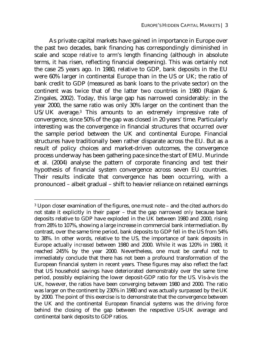As private capital markets have gained in importance in Europe over the past two decades, bank financing has correspondingly diminished in scale and scope *relative to* arm's length financing (although in absolute terms, it has risen, reflecting financial deepening). This was certainly not the case 25 years ago. In 1980, relative to GDP, bank deposits in the EU were 60% larger in continental Europe than in the US or UK; the ratio of bank credit to GDP (measured as bank loans to the private sector) on the continent was twice that of the latter two countries in 1980 (Rajan & Zingales, 2002). Today, this large gap has narrowed considerably: in the year 2000, the same ratio was only 30% larger on the continent than the US/UK average.3 This amounts to an extremely impressive rate of convergence, since 50% of the gap was closed in 20 years' time. Particularly interesting was the convergence in financial structures that occurred over the sample period between the UK and continental Europe. Financial structures have traditionally been rather disparate across the EU. But as a result of policy choices and market-driven outcomes, the convergence process underway has been gathering pace since the start of EMU. Murinde et al. (2004) analyse the pattern of corporate financing and test their hypothesis of financial system convergence across seven EU countries. Their results indicate that convergence has been occurring, with a pronounced – albeit gradual – shift to heavier reliance on retained earnings

 $\overline{a}$ 

<sup>3</sup> Upon closer examination of the figures, one must note – and the cited authors do not state it explicitly in their paper – that the gap narrowed *only* because bank deposits relative to GDP have exploded in the UK between 1980 and 2000, rising from 28% to 107%, showing a large increase in commercial bank intermediation. By contrast, over the same time period, bank deposits to GDP fell in the US from 54% to 38%. In other words, relative to the US, the importance of bank deposits in Europe actually *increased* between 1980 and 2000. While it was 120% in 1980, it reached 245% by the year 2000. Nevertheless, one must be careful not to immediately conclude that there has not been a profound transformation of the European financial system in recent years. These figures may also reflect the fact that US household savings have deteriorated demonstrably over the same time period, possibly explaining the lower deposit-GDP ratio for the US. Vis-à-vis the UK, however, the ratios have been converging between 1980 and 2000. The ratio was larger on the continent by 230% in 1980 and was actually surpassed by the UK by 2000. The point of this exercise is to demonstrate that the convergence between the UK and the continental European financial systems was the driving force behind the closing of the gap between the respective US-UK average and continental bank deposits to GDP ratios.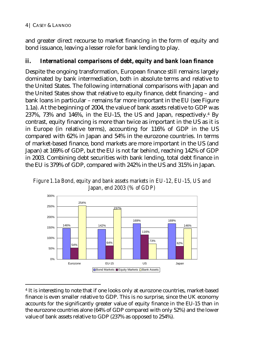and greater direct recourse to market financing in the form of equity and bond issuance, leaving a lesser role for bank lending to play.

## *ii. International comparisons of debt, equity and bank loan finance*

Despite the ongoing transformation, European finance still remains largely dominated by bank intermediation, both in absolute terms and relative to the United States. The following international comparisons with Japan and the United States show that relative to equity finance, debt financing – and bank loans in particular – remains far more important in the EU (see Figure 1.1a). At the beginning of 2004, the value of bank assets relative to GDP was 237%, 73% and 146%, in the EU-15, the US and Japan, respectively.4 By contrast, equity financing is more than twice as important in the US as it is in Europe (in relative terms), accounting for 116% of GDP in the US compared with 62% in Japan and 54% in the eurozone countries. In terms of market-based finance, bond markets are more important in the US (and Japan) at 169% of GDP, but the EU is not far behind, reaching 142% of GDP in 2003. Combining debt securities with bank lending, total debt finance in the EU is 379% of GDP, compared with 242% in the US and 315% in Japan.

*Figure 1.1a Bond, equity and bank assets markets in EU-12, EU-15, US and Japan, end 2003 (% of GDP)* 



 $\overline{a}$ 4 It is interesting to note that if one looks only at eurozone countries, market-based finance is even smaller relative to GDP. This is no surprise, since the UK economy accounts for the significantly greater value of equity finance in the EU-15 than in the eurozone countries alone (64% of GDP compared with only 52%) and the lower value of bank assets relative to GDP (237% as opposed to 254%).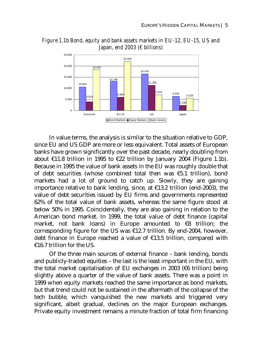

*Figure 1.1b Bond, equity and bank assets markets in EU-12, EU-15, US and Japan, end 2003 (€ billions)* 

In value terms, the analysis is similar to the situation relative to GDP, since EU and US GDP are more or less equivalent. Total assets of European banks have grown significantly over the past decade, nearly doubling from about €11.8 trillion in 1995 to €22 trillion by January 2004 (Figure 1.1b). Because in 1995 the value of bank assets in the EU was roughly double that of debt securities (whose combined total then was  $\epsilon$ 5.1 trillion), bond markets had a lot of ground to catch up. Slowly, they are gaining importance relative to bank lending, since, at  $\epsilon$ 13.2 trillion (end-2003), the value of debt securities issued by EU firms and governments represented 62% of the total value of bank assets, whereas the same figure stood at below 50% in 1995. Coincidentally, they are also gaining in relation to the American bond market. In 1999, the total value of debt finance (capital market, not bank loans) in Europe amounted to  $\epsilon$ 8 trillion; the corresponding figure for the US was  $£12.7$  trillion. By end-2004, however, debt finance in Europe reached a value of €13.5 trillion, compared with €16.7 trillion for the US.

Of the three main sources of external finance – bank lending, bonds and publicly-traded equities – the last is the least important in the EU, with the total market capitalisation of EU exchanges in 2003 ( $66$  trillion) being slightly above a quarter of the value of bank assets. There was a point in 1999 when equity markets reached the same importance as bond markets, but that trend could not be sustained in the aftermath of the collapse of the tech bubble, which vanquished the new markets and triggered very significant, albeit gradual, declines on the major European exchanges. Private equity investment remains a minute fraction of total firm financing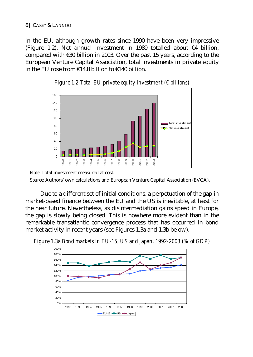#### 6 | CASEY & LANNOO

in the EU, although growth rates since 1990 have been very impressive (Figure 1.2). Net annual investment in 1989 totalled about €4 billion, compared with €30 billion in 2003. Over the past 15 years, according to the European Venture Capital Association, total investments in private equity in the EU rose from €14.8 billion to €140 billion.





*Note*: Total investment measured at cost.

*Source*: Authors' own calculations and European Venture Capital Association (EVCA).

Due to a different set of initial conditions, a perpetuation of the gap in market-based finance between the EU and the US is inevitable, at least for the near future. Nevertheless, as disintermediation gains speed in Europe, the gap is slowly being closed. This is nowhere more evident than in the remarkable transatlantic convergence process that has occurred in bond market activity in recent years (see Figures 1.3a and 1.3b below).



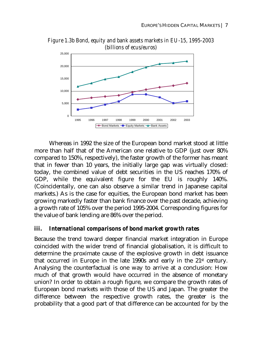

*Figure 1.3b Bond, equity and bank assets markets in EU-15, 1995-2003 (billions of ecus/euros)* 

Whereas in 1992 the size of the European bond market stood at little more than half that of the American one relative to GDP (just over 80% compared to 150%, respectively), the faster growth of the former has meant that in fewer than 10 years, the initially large gap was virtually closed: today, the combined value of debt securities in the US reaches 170% of GDP, while the equivalent figure for the EU is roughly 140%. (Coincidentally, one can also observe a similar trend in Japanese capital markets.) As is the case for equities, the European bond market has been growing markedly faster than bank finance over the past decade, achieving a growth rate of 105% over the period 1995-2004. Corresponding figures for the value of bank lending are 86% over the period.

### *iii. International comparisons of bond market growth rates*

Because the trend toward deeper financial market integration in Europe coincided with the wider trend of financial globalisation, it is difficult to determine the proximate cause of the explosive growth in debt issuance that occurred in Europe in the late 1990s and early in the  $21<sup>st</sup>$  century. Analysing the counterfactual is one way to arrive at a conclusion: How much of that growth would have occurred in the absence of monetary union? In order to obtain a rough figure, we compare the growth rates of European bond markets with those of the US and Japan. The greater the difference between the respective growth rates, the greater is the probability that a good part of that difference can be accounted for by the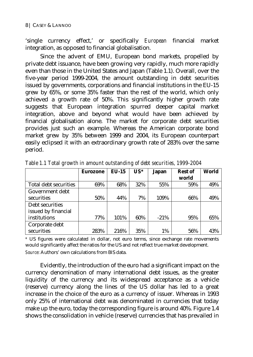'single currency effect,' or specifically *European* financial market integration, as opposed to financial globalisation.

Since the advent of EMU, European bond markets, propelled by private debt issuance, have been growing very rapidly, much more rapidly even than those in the United States and Japan (Table 1.1). Overall, over the five-year period 1999-2004, the amount outstanding in debt securities issued by governments, corporations and financial institutions in the EU-15 grew by 65%, or some 35% faster than the rest of the world, which only achieved a growth rate of 50%. This significantly higher growth rate suggests that European integration spurred deeper capital market integration, above and beyond what would have been achieved by financial globalisation alone. The market for corporate debt securities provides just such an example. Whereas the American corporate bond market grew by 35% between 1999 and 2004, its European counterpart easily eclipsed it with an extraordinary growth rate of 283% over the same period.

|                       | <b>Eurozone</b> | $EU-15$ | $US^*$ | <b>Japan</b> | <b>Rest of</b> | World |
|-----------------------|-----------------|---------|--------|--------------|----------------|-------|
|                       |                 |         |        |              | world          |       |
| Total debt securities | 69%             | 68%     | 32%    | 55%          | 59%            | 49%   |
| Government debt       |                 |         |        |              |                |       |
| securities            | 50%             | 44%     | 7%     | 109%         | 66%            | 49%   |
| Debt securities       |                 |         |        |              |                |       |
| issued by financial   |                 |         |        |              |                |       |
| institutions          | 77%             | 101%    | 60%    | $-21%$       | 95%            | 65%   |
| Corporate debt        |                 |         |        |              |                |       |
| securities            | 283%            | 216%    | 35%    | 1%           | 56%            | 43%   |

*Table 1.1 Total growth in amount outstanding of debt securities, 1999-2004* 

*\** US figures were calculated in dollar, not euro terms, since exchange rate movements would significantly affect the ratios for the US and not reflect true market development. *Source*: Authors' own calculations from BIS data.

Evidently, the introduction of the euro had a significant impact on the currency denomination of many international debt issues, as the greater liquidity of the currency and its widespread acceptance as a vehicle (reserve) currency along the lines of the US dollar has led to a great increase in the choice of the euro as a currency of issuer. Whereas in 1993 only 25% of international debt was denominated in currencies that today make up the euro, today the corresponding figure is around 40%. Figure 1.4 shows the consolidation in vehicle (reserve) currencies that has prevailed in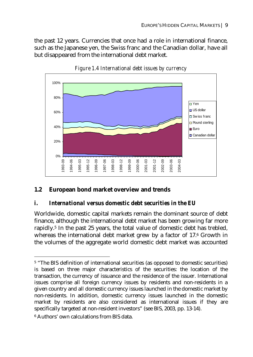the past 12 years. Currencies that once had a role in international finance, such as the Japanese yen, the Swiss franc and the Canadian dollar, have all but disappeared from the international debt market.





## **1.2 European bond market overview and trends**

### *i. International versus domestic debt securities in the EU*

Worldwide, domestic capital markets remain the dominant source of debt finance, although the international debt market has been growing far more rapidly.5 In the past 25 years, the total value of domestic debt has trebled, whereas the international debt market grew by a factor of 17.6 Growth in the volumes of the aggregate world domestic debt market was accounted

 $\overline{a}$ 

<sup>5 &</sup>quot;The BIS definition of international securities (as opposed to domestic securities) is based on three major characteristics of the securities: the location of the transaction, the currency of issuance and the residence of the issuer. International issues comprise all foreign currency issues by residents and non-residents in a given country and all domestic currency issues launched in the domestic market by non-residents. In addition, domestic currency issues launched in the domestic market by residents are also considered as international issues if they are specifically targeted at non-resident investors" (see BIS, 2003, pp. 13-14).

<sup>6</sup> Authors' own calculations from BIS data.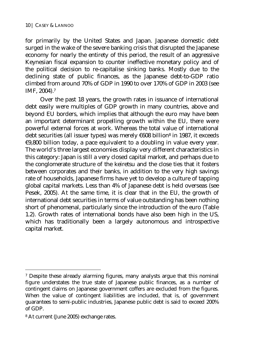for primarily by the United States and Japan. Japanese domestic debt surged in the wake of the severe banking crisis that disrupted the Japanese economy for nearly the entirety of this period, the result of an aggressive Keynesian fiscal expansion to counter ineffective monetary policy and of the political decision to re-capitalise sinking banks. Mostly due to the declining state of public finances, as the Japanese debt-to-GDP ratio climbed from around 70% of GDP in 1990 to over 170% of GDP in 2003 (see IMF, 2004).7

Over the past 18 years, the growth rates in issuance of international debt easily were multiples of GDP growth in many countries, above and beyond EU borders, which implies that although the euro may have been an important determinant propelling growth within the EU, there were powerful external forces at work. Whereas the total value of international debt securities (all issuer types) was merely €608 billion8 in 1987, it exceeds €9,800 billion today, a pace equivalent to a doubling in value every year. The world's three largest economies display very different characteristics in this category: Japan is still a very closed capital market, and perhaps due to the conglomerate structure of the keiretsu and the close ties that it fosters between corporates and their banks, in addition to the very high savings rate of households, Japanese firms have yet to develop a culture of tapping global capital markets. Less than 4% of Japanese debt is held overseas (see Pesek, 2005). At the same time, it is clear that in the EU, the growth of international debt securities in terms of value outstanding has been nothing short of phenomenal, particularly since the introduction of the euro (Table 1.2). Growth rates of international bonds have also been high in the US, which has traditionally been a largely autonomous and introspective capital market.

 $\overline{a}$ 

<sup>7</sup> Despite these already alarming figures, many analysts argue that this nominal figure understates the true state of Japanese public finances, as a number of contingent claims on Japanese government coffers are excluded from the figures. When the value of contingent liabilities are included, that is, of government guarantees to semi-public industries, Japanese public debt is said to exceed 200% of GDP.

<sup>8</sup> At current (June 2005) exchange rates.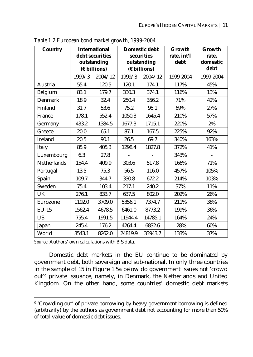| <b>Country</b>     |                   | <b>International</b><br>debt securities<br>outstanding<br>$(E\text{ billions})$ |         | <b>Domestic debt</b><br>securities<br>outstanding<br>$(E\text{ billions})$ | Growth<br>rate, int'l<br>debt | Growth<br>rate,<br>domestic<br>debt |
|--------------------|-------------------|---------------------------------------------------------------------------------|---------|----------------------------------------------------------------------------|-------------------------------|-------------------------------------|
|                    | 1999/3<br>2004/12 |                                                                                 | 1999/3  | 2004/12                                                                    | 1999-2004                     | 1999-2004                           |
| Austria            | 55.4              | 120.5                                                                           | 120.1   | 174.1                                                                      | 117%                          | 45%                                 |
| Belgium            | 83.1              | 179.7                                                                           | 330.3   | 374.1                                                                      | 116%                          | 13%                                 |
| Denmark            | 18.9              | 32.4                                                                            | 250.4   | 356.2                                                                      | 71%                           | 42%                                 |
| Finland            | 31.7              | 53.6                                                                            | 75.2    | 95.1                                                                       | 69%                           | 27%                                 |
| France             | 178.1             | 552.4                                                                           | 1050.3  | 1645.4                                                                     | 210%                          | 57%                                 |
| Germany            | 433.2             | 1384.5                                                                          | 1677.3  | 1715.1                                                                     | 220%                          | 2%                                  |
| Greece             | 20.0              | 65.1                                                                            | 87.1    | 167.5                                                                      | 225%                          | 92%                                 |
| Ireland            | 20.5              | 90.1                                                                            | 26.5    | 69.7                                                                       | 340%                          | 163%                                |
| Italy              | 85.9              | 405.3                                                                           | 1298.4  | 1827.8                                                                     | 372%                          | 41%                                 |
| Luxembourg         | 6.3               | 27.8                                                                            |         |                                                                            | 343%                          |                                     |
| <b>Netherlands</b> | 154.4             | 409.9                                                                           | 303.6   | 517.8                                                                      | 166%                          | 71%                                 |
| Portugal           | 13.5              | 75.3                                                                            | 56.5    | 116.0                                                                      | 457%                          | 105%                                |
| Spain              | 109.7             | 344.7                                                                           | 330.8   | 672.2                                                                      | 214%                          | 103%                                |
| Sweden             | 75.4              | 103.4                                                                           | 217.1   | 240.2                                                                      | 37%                           | 11%                                 |
| <b>UK</b>          | 276.1             | 833.7                                                                           | 637.5   | 802.0                                                                      | 202%                          | 26%                                 |
| Eurozone           | 1192.0            | 3709.0                                                                          | 5356.1  | 7374.7                                                                     | 211%                          | 38%                                 |
| $EU-15$            | 1562.4            | 4678.5                                                                          | 6461.0  | 8773.2                                                                     | 199%                          | 36%                                 |
| <b>US</b>          | 755.4             | 1991.5                                                                          | 11944.4 | 14785.1                                                                    | 164%                          | 24%                                 |
| Japan              | 245.4             | 176.2                                                                           | 4264.4  | 6832.6                                                                     | $-28%$                        | 60%                                 |
| World              | 3543.1            | 8262.0                                                                          | 24819.9 | 33943.7                                                                    | 133%                          | 37%                                 |

*Table 1.2 European bond market growth, 1999-2004* 

*Source*: Authors' own calculations with BIS data.

 $\overline{a}$ 

Domestic debt markets in the EU continue to be dominated by government debt, both sovereign and sub-national. In only three countries in the sample of 15 in Figure 1.5a below do government issues not 'crowd out'9 private issuance, namely, in Denmark, the Netherlands and United Kingdom. On the other hand, some countries' domestic debt markets

<sup>9 &#</sup>x27;Crowding out' of private borrowing by heavy government borrowing is defined (arbitrarily) by the authors as government debt not accounting for more than 50% of total value of domestic debt issues.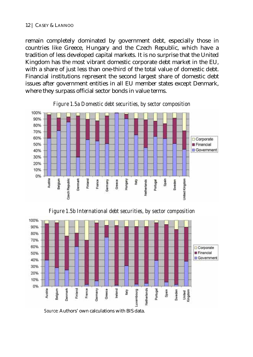remain completely dominated by government debt, especially those in countries like Greece, Hungary and the Czech Republic, which have a tradition of less developed capital markets. It is no surprise that the United Kingdom has the most vibrant domestic corporate debt market in the EU, with a share of just less than one-third of the total value of domestic debt. Financial institutions represent the second largest share of domestic debt issues after government entities in all EU member states except Denmark, where they surpass official sector bonds in value terms.



*Figure 1.5a Domestic debt securities, by sector composition* 

*Figure 1.5b International debt securities, by sector composition* 



*Source*: Authors' own calculations with BIS data.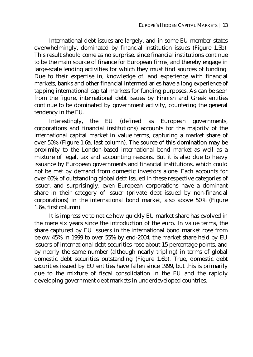International debt issues are largely, and in some EU member states overwhelmingly, dominated by financial institution issues (Figure 1.5b). This result should come as no surprise, since financial institutions continue to be the main source of finance for European firms, and thereby engage in large-scale lending activities for which they must find sources of funding. Due to their expertise in, knowledge of, and experience with financial markets, banks and other financial intermediaries have a long experience of tapping international capital markets for funding purposes. As can be seen from the figure, international debt issues by Finnish and Greek entities continue to be dominated by government activity, countering the general tendency in the EU.

Interestingly, the EU (defined as European governments, corporations and financial institutions) accounts for the majority of the international capital market in value terms, capturing a market share of over 50% (Figure 1.6a, last column). The source of this domination may be proximity to the London-based international bond market as well as a mixture of legal, tax and accounting reasons. But it is also due to heavy issuance by European governments and financial institutions, which could not be met by demand from domestic investors alone. Each accounts for over 60% of outstanding global debt issued in these respective categories of issuer, and surprisingly, even European corporations have a dominant share in their category of issuer (private debt issued by non-financial corporations) in the international bond market, also above 50% (Figure 1.6a, first column).

It is impressive to notice how quickly EU market share has evolved in the mere six years since the introduction of the euro. In value terms, the share captured by EU issuers in the international bond market rose from below 45% in 1999 to over 55% by end-2004; the market share held by EU issuers of international debt securities rose about 15 percentage points, and by nearly the same number (although nearly tripling) in terms of global domestic debt securities outstanding (Figure 1.6b). True, domestic debt securities issued by EU entities have fallen since 1999, but this is primarily due to the mixture of fiscal consolidation in the EU and the rapidly developing government debt markets in underdeveloped countries.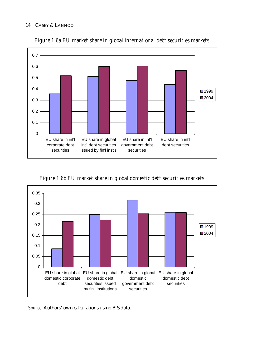#### 14 | CASEY & LANNOO



*Figure 1.6a EU market share in global international debt securities markets* 

*Figure 1.6b EU market share in global domestic debt securities markets* 



*Source*: Authors' own calculations using BIS data.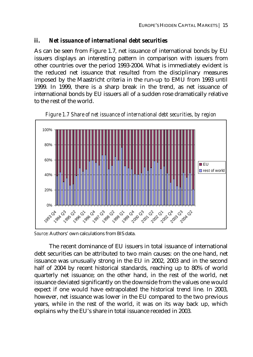#### *ii. Net issuance of international debt securities*

As can be seen from Figure 1.7, net issuance of international bonds by EU issuers displays an interesting pattern in comparison with issuers from other countries over the period 1993-2004. What is immediately evident is the reduced net issuance that resulted from the disciplinary measures imposed by the Maastricht criteria in the run-up to EMU from 1993 until 1999. In 1999, there is a sharp break in the trend, as net issuance of international bonds by EU issuers all of a sudden rose dramatically relative to the rest of the world.



*Figure 1.7 Share of net issuance of international debt securities, by region* 

*Source*: Authors' own calculations from BIS data.

The recent dominance of EU issuers in total issuance of international debt securities can be attributed to two main causes: on the one hand, net issuance was unusually strong in the EU in 2002, 2003 and in the second half of 2004 by recent historical standards, reaching up to 80% of world quarterly net issuance; on the other hand, in the rest of the world, net issuance deviated significantly on the downside from the values one would expect if one would have extrapolated the historical trend line. In 2003, however, net issuance was lower in the EU compared to the two previous years, while in the rest of the world, it was on its way back up, which explains why the EU's share in total issuance receded in 2003.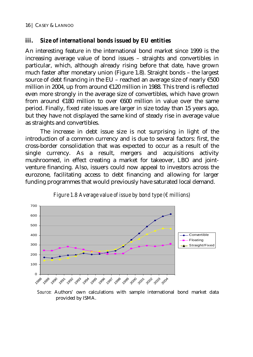### *iii. Size of international bonds issued by EU entities*

An interesting feature in the international bond market since 1999 is the increasing average value of bond issues – straights and convertibles in particular, which, although already rising before that date, have grown much faster after monetary union (Figure 1.8). Straight bonds – the largest source of debt financing in the EU – reached an average size of nearly €500 million in 2004, up from around €120 million in 1988. This trend is reflected even more strongly in the average size of convertibles, which have grown from around €180 million to over €600 million in value over the same period. Finally, fixed rate issues are larger in size today than 15 years ago, but they have not displayed the same kind of steady rise in average value as straights and convertibles.

The increase in debt issue size is not surprising in light of the introduction of a common currency and is due to several factors: first, the cross-border consolidation that was expected to occur as a result of the single currency. As a result, mergers and acquisitions activity mushroomed, in effect creating a market for takeover, LBO and jointventure financing. Also, issuers could now appeal to investors across the eurozone, facilitating access to debt financing and allowing for larger funding programmes that would previously have saturated local demand.



*Figure 1.8 Average value of issue by bond type (€ millions)* 

*Source*: Authors' own calculations with sample international bond market data provided by ISMA.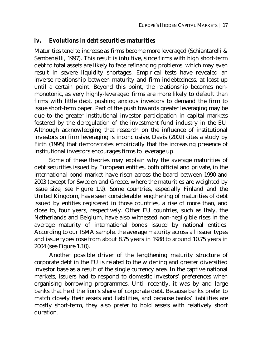#### *iv. Evolutions in debt securities maturities*

Maturities tend to increase as firms become more leveraged (Schiantarelli & Sembenellli, 1997). This result is intuitive, since firms with high short-term debt to total assets are likely to face refinancing problems, which may even result in severe liquidity shortages. Empirical tests have revealed an inverse relationship between maturity and firm indebtedness, at least up until a certain point. Beyond this point, the relationship becomes nonmonotonic, as very highly-leveraged firms are more likely to default than firms with little debt, pushing anxious investors to demand the firm to issue short-term paper. Part of the push towards greater leveraging may be due to the greater institutional investor participation in capital markets fostered by the deregulation of the investment fund industry in the EU. Although acknowledging that research on the influence of institutional investors on firm leveraging is inconclusive, Davis (2002) cites a study by Firth (1995) that demonstrates empirically that the increasing presence of institutional investors encourages firms to leverage up.

Some of these theories may explain why the average maturities of debt securities issued by European entities, both official and private, in the international bond market have risen across the board between 1990 and 2003 (except for Sweden and Greece, where the maturities are weighted by issue size; see Figure 1.9). Some countries, especially Finland and the United Kingdom, have seen considerable lengthening of maturities of debt issued by entities registered in those countries, a rise of more than, and close to, four years, respectively. Other EU countries, such as Italy, the Netherlands and Belgium, have also witnessed non-negligible rises in the average maturity of international bonds issued by national entities. According to our ISMA sample, the average maturity across all issuer types and issue types rose from about 8.75 years in 1988 to around 10.75 years in 2004 (see Figure 1.10).

Another possible driver of the lengthening maturity structure of corporate debt in the EU is related to the widening and greater diversified investor base as a result of the single currency area. In the captive national markets, issuers had to respond to domestic investors' preferences when organising borrowing programmes. Until recently, it was by and large banks that held the lion's share of corporate debt. Because banks prefer to match closely their assets and liabilities, and because banks' liabilities are mostly short-term, they also prefer to hold assets with relatively short duration.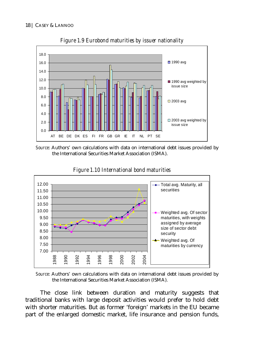

*Figure 1.9 Eurobond maturities by issuer nationality* 

*Source*: Authors' own calculations with data on international debt issues provided by the International Securities Market Association (ISMA).



*Figure 1.10 International bond maturities* 

*Source*: Authors' own calculations with data on international debt issues provided by the International Securities Market Association (ISMA).

The close link between duration and maturity suggests that traditional banks with large deposit activities would prefer to hold debt with shorter maturities. But as former 'foreign' markets in the EU became part of the enlarged domestic market, life insurance and pension funds,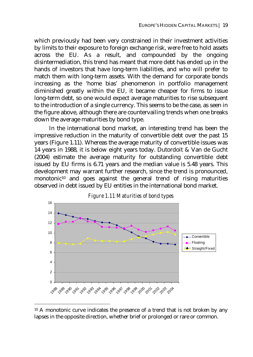which previously had been very constrained in their investment activities by limits to their exposure to foreign exchange risk, were free to hold assets across the EU. As a result, and compounded by the ongoing disintermediation, this trend has meant that more debt has ended up in the hands of investors that have long-term liabilities, and who will prefer to match them with long-term assets. With the demand for corporate bonds increasing as the 'home bias' phenomenon in portfolio management diminished greatly within the EU, it became cheaper for firms to issue long-term debt, so one would expect average maturities to rise subsequent to the introduction of a single currency. This seems to be the case, as seen in the figure above, although there are countervailing trends when one breaks down the average maturities by bond type.

In the international bond market, an interesting trend has been the impressive reduction in the maturity of convertible debt over the past 15 years (Figure 1.11). Whereas the average maturity of convertible issues was 14 years in 1988, it is below eight years today. Dutordoit & Van de Gucht (2004) estimate the average maturity for outstanding convertible debt issued by EU firms is 6.71 years and the median value is 5.48 years. This development may warrant further research, since the trend is pronounced, monotonic<sup>10</sup> and goes against the general trend of rising maturities observed in debt issued by EU entities in the international bond market.





 $\overline{a}$ 

<sup>&</sup>lt;sup>10</sup> A monotonic curve indicates the presence of a trend that is not broken by any lapses in the opposite direction, whether brief or prolonged or rare or common.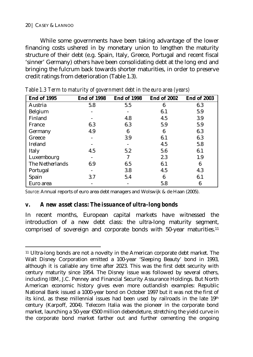#### 20 | CASEY & LANNOO

While some governments have been taking advantage of the lower financing costs ushered in by monetary union to lengthen the maturity structure of their debt (e.g. Spain, Italy, Greece, Portugal and recent fiscal 'sinner' Germany) others have been consolidating debt at the long end and bringing the fulcrum back towards shorter maturities, in order to preserve credit ratings from deterioration (Table 1.3).

| <b>End of 1995</b> | <b>End of 1998</b> | <b>End of 1998</b> | <b>End of 2002</b> | <b>End of 2003</b> |
|--------------------|--------------------|--------------------|--------------------|--------------------|
| Austria            | 5.8                | 5.5                | 6                  | 6.3                |
| Belgium            |                    |                    | 6.1                | 5.9                |
| Finland            |                    | 4.8                | 4.5                | 3.9                |
| France             | 6.3                | 6.3                | 5.9                | 5.9                |
| Germany            | 4.9                | 6                  | 6                  | 6.3                |
| Greece             |                    | 3.9                | 6.1                | 6.3                |
| Ireland            |                    |                    | 4.5                | 5.8                |
| Italy              | 4.5                | 5.2                | 5.6                | 6.1                |
| Luxembourg         |                    |                    | 2.3                | 1.9                |
| The Netherlands    | 6.9                | 6.5                | 6.1                | 6                  |
| Portugal           |                    | 3.8                | 4.5                | 4.3                |
| Spain              | 3.7                | 5.4                | 6                  | 6.1                |
| Euro area          |                    |                    | 5.8                | 6                  |

*Table 1.3 Term to maturity of government debt in the euro area (years)* 

*Source*: Annual reports of euro area debt managers and Wolswijk & de Haan (2005).

#### *v. A new asset class: The issuance of ultra-long bonds*

In recent months, European capital markets have witnessed the introduction of a new debt class: the ultra-long maturity segment, comprised of sovereign and corporate bonds with 50-year maturities.<sup>11</sup>

 $\overline{a}$ 11 Ultra-long bonds are not a novelty in the American corporate debt market. The Walt Disney Corporation emitted a 100-year 'Sleeping Beauty' bond in 1993, although it is callable any time after 2023. This was the first debt security with century maturity since 1954. The Disney issue was followed by several others, including IBM, J.C. Penney and Financial Security Assurance Holdings. But North American economic history gives even more outlandish examples: Republic National Bank issued a 1000-year bond on October 1997 but it was not the first of its kind, as these millennial issues had been used by railroads in the late  $19<sup>th</sup>$ century (Karpoff, 2004). Telecom Italia was the pioneer in the corporate bond market, launching a 50-year €500 million debendeture, stretching the yield curve in the corporate bond market farther out and further cementing the ongoing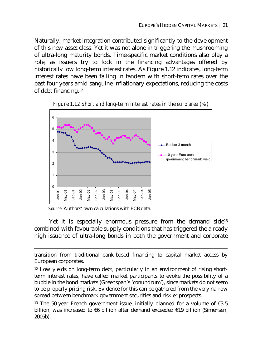Naturally, market integration contributed significantly to the development of this new asset class. Yet it was not alone in triggering the mushrooming of ultra-long maturity bonds. Time-specific market conditions also play a role, as issuers try to lock in the financing advantages offered by historically low long-term interest rates. As Figure 1.12 indicates, long-term interest rates have been falling in tandem with short-term rates over the past four years amid sanguine inflationary expectations, reducing the costs of debt financing.12



*Figure 1.12 Short and long-term interest rates in the euro area (%)* 

*Source*: Authors' own calculations with ECB data.

 $\overline{a}$ 

Yet it is especially enormous pressure from the demand side<sup>13</sup> combined with favourable supply conditions that has triggered the already high issuance of ultra-long bonds in both the government and corporate

transition from traditional bank-based financing to capital market access by European corporates.

<sup>&</sup>lt;sup>12</sup> Low yields on long-term debt, particularly in an environment of rising shortterm interest rates, have called market participants to evoke the possibility of a bubble in the bond markets (Greenspan's 'conundrum'), since markets do not seem to be properly pricing risk. Evidence for this can be gathered from the very narrow spread between benchmark government securities and riskier prospects.

<sup>&</sup>lt;sup>13</sup> The 50-year French government issue, initially planned for a volume of  $\epsilon$ 3-5 billion, was increased to  $€6$  billion after demand exceeded  $€19$  billion (Simensen, 2005b).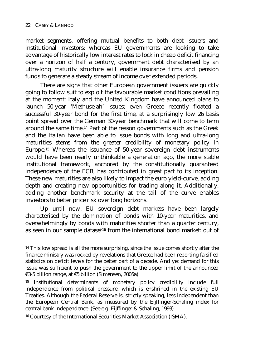$\overline{a}$ 

market segments, offering mutual benefits to both debt issuers and institutional investors: whereas EU governments are looking to take advantage of historically low interest rates to lock in cheap deficit financing over a horizon of half a century, government debt characterised by an ultra-long maturity structure will enable insurance firms and pension funds to generate a steady stream of income over extended periods.

There are signs that other European government issuers are quickly going to follow suit to exploit the favourable market conditions prevailing at the moment: Italy and the United Kingdom have announced plans to launch 50-year 'Methuselah' issues; even Greece recently floated a successful 30-year bond for the first time, at a surprisingly low 26 basis point spread over the German 30-year benchmark that will come to term around the same time.14 Part of the reason governments such as the Greek and the Italian have been able to issue bonds with long and ultra-long maturities stems from the greater credibility of monetary policy in Europe.15 Whereas the issuance of 50-year sovereign debt instruments would have been nearly unthinkable a generation ago, the more stable institutional framework, anchored by the constitutionally guaranteed independence of the ECB, has contributed in great part to its inception. These new maturities are also likely to impact the euro yield-curve, adding depth and creating new opportunities for trading along it. Additionally, adding another benchmark security at the tail of the curve enables investors to better price risk over long horizons.

Up until now, EU sovereign debt markets have been largely characterised by the domination of bonds with 10-year maturities, and overwhelmingly by bonds with maturities shorter than a quarter century, as seen in our sample dataset<sup>16</sup> from the international bond market: out of

<sup>&</sup>lt;sup>14</sup> This low spread is all the more surprising, since the issue comes shortly after the finance ministry was rocked by revelations that Greece had been reporting falsified statistics on deficit levels for the better part of a decade. And yet demand for this issue was sufficient to push the government to the upper limit of the announced €3-5 billion range, at €5 billion (Simensen, 2005a).

<sup>15</sup> Institutional determinants of monetary policy credibility include full independence from political pressure, which is enshrined in the existing EU Treaties. Although the Federal Reserve is, strictly speaking, less independent than the European Central Bank, as measured by the Eijffinger-Schaling index for central bank independence. (See e.g. Eijffinger & Schaling, 1993).

<sup>16</sup> Courtesy of the International Securities Market Association (ISMA).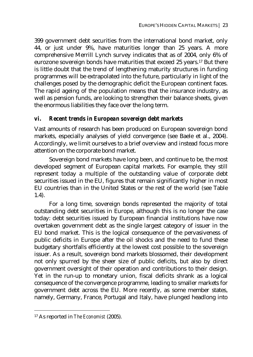399 government debt securities from the international bond market, only 44, or just under 9%, have maturities longer than 25 years. A more comprehensive Merrill Lynch survey indicates that as of 2004, only 6% of eurozone sovereign bonds have maturities that exceed 25 years.17 But there is little doubt that the trend of lengthening maturity structures in funding programmes will be extrapolated into the future, particularly in light of the challenges posed by the demographic deficit the European continent faces. The rapid ageing of the population means that the insurance industry, as well as pension funds, are looking to strengthen their balance sheets, given the enormous liabilities they face over the long term.

### *vi. Recent trends in European sovereign debt markets*

Vast amounts of research has been produced on European sovereign bond markets, especially analyses of yield convergence (see Baele et al., 2004). Accordingly, we limit ourselves to a brief overview and instead focus more attention on the corporate bond market.

Sovereign bond markets have long been, and continue to be, the most developed segment of European capital markets. For example, they still represent today a multiple of the outstanding value of corporate debt securities issued in the EU, figures that remain significantly higher in most EU countries than in the United States or the rest of the world (see Table 1.4).

For a long time, sovereign bonds represented the majority of total outstanding debt securities in Europe, although this is no longer the case today: debt securities issued by European financial institutions have now overtaken government debt as the single largest category of issuer in the EU bond market. This is the logical consequence of the pervasiveness of public deficits in Europe after the oil shocks and the need to fund these budgetary shortfalls efficiently at the lowest cost possible to the sovereign issuer. As a result, sovereign bond markets blossomed, their development not only spurred by the sheer size of public deficits, but also by direct government oversight of their operation and contributions to their design. Yet in the run-up to monetary union, fiscal deficits shrank as a logical consequence of the convergence programme, leading to smaller markets for government debt across the EU. More recently, as some member states, namely, Germany, France, Portugal and Italy, have plunged headlong into

 $\overline{a}$ 

<sup>17</sup> As reported in *The Economist* (2005).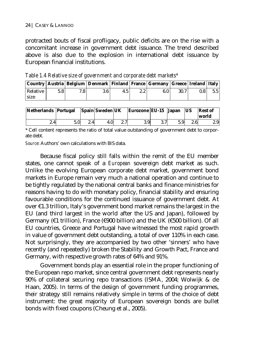protracted bouts of fiscal profligacy, public deficits are on the rise with a concomitant increase in government debt issuance. The trend described above is also due to the explosion in international debt issuance by European financial institutions.

|          |     |     | Country   Austria   Belgium   Denmark   Finland   France   Germany   Greece   Ireland   Italy |     |      |      |     |  |
|----------|-----|-----|-----------------------------------------------------------------------------------------------|-----|------|------|-----|--|
| Relative | 5.8 | 7.8 | 3.6 <sub>1</sub>                                                                              | 4.5 | 6.01 | 30.7 | 0.8 |  |
| size     |     |     |                                                                                               |     |      |      |     |  |

*Table 1.4 Relative size of government and corporate debt markets\** 

| Netherlands Portugal Spain Sweden UK |     |               |                  | Eurozone EU-15 Japan |     | <b>IUS</b> | <b>Rest of</b><br>world |
|--------------------------------------|-----|---------------|------------------|----------------------|-----|------------|-------------------------|
| 2.4                                  | 5.0 | $2.4^{\circ}$ | 4.0 <sup>1</sup> | 3.9 <sub>l</sub>     | 5.9 | 2.6        | 2.9 <sup>°</sup>        |

\* Cell content represents the ratio of total value outstanding of government debt to corporate debt.

*Source*: Authors' own calculations with BIS data.

Because fiscal policy still falls within the remit of the EU member states, one cannot speak of a *European* sovereign debt market as such. Unlike the evolving European corporate debt market, government bond markets in Europe remain very much a national operation and continue to be tightly regulated by the national central banks and finance ministries for reasons having to do with monetary policy, financial stability and ensuring favourable conditions for the continued issuance of government debt. At over €1.3 trillion, Italy's government bond market remains the largest in the EU (and third largest in the world after the US and Japan), followed by Germany (€1 trillion), France (€900 billion) and the UK (€500 billion). Of all EU countries, Greece and Portugal have witnessed the most rapid growth in value of government debt outstanding, a total of over 110% in each case. Not surprisingly, they are accompanied by two other 'sinners' who have recently (and repeatedly) broken the Stability and Growth Pact, France and Germany, with respective growth rates of 64% and 91%.

Government bonds play an essential role in the proper functioning of the European repo market, since central government debt represents nearly 90% of collateral securing repo transactions (ISMA, 2004; Wolwijk & de Haan, 2005). In terms of the design of government funding programmes, their strategy still remains relatively simple in terms of the choice of debt instrument: the great majority of European sovereign bonds are bullet bonds with fixed coupons (Cheung et al., 2005).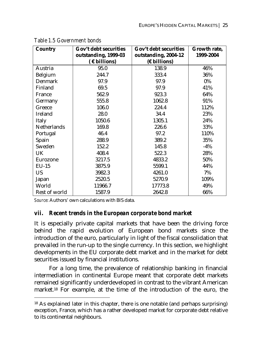| <b>Country</b>     | Gov't debt securities | Gov't debt securities | Growth rate, |
|--------------------|-----------------------|-----------------------|--------------|
|                    | outstanding, 1999-03  | outstanding, 2004-12  | 1999-2004    |
|                    | $($ € billions)       | $(E\text{ billions})$ |              |
| Austria            | 95.0                  | 138.9                 | 46%          |
| Belgium            | 244.7                 | 333.4                 | 36%          |
| <b>Denmark</b>     | 97.9                  | 97.9                  | $0\%$        |
| Finland            | 69.5                  | 97.9                  | 41%          |
| France             | 562.9                 | 923.3                 | 64%          |
| Germany            | 555.8                 | 1062.8                | 91%          |
| Greece             | 106.0                 | 224.4                 | 112%         |
| Ireland            | 28.0                  | 34.4                  | 23%          |
| Italy              | 1050.6                | 1305.1                | 24%          |
| <b>Netherlands</b> | 169.8                 | 226.6                 | 33%          |
| Portugal           | 46.4                  | 97.2                  | 110%         |
| Spain              | 288.9                 | 389.2                 | 35%          |
| Sweden             | 152.2                 | 145.8                 | $-4\%$       |
| UK                 | 408.4                 | 522.3                 | 28%          |
| Eurozone           | 3217.5                | 4833.2                | 50%          |
| $EU-15$            | 3875.9                | 5599.1                | 44%          |
| <b>US</b>          | 3982.3                | 4261.0                | 7%           |
| Japan              | 2520.5                | 5270.9                | 109%         |
| World              | 11966.7               | 17773.8               | 49%          |
| Rest of world      | 1587.9                | 2642.8                | 66%          |

*Table 1.5 Government bonds* 

*Source*: Authors' own calculations with BIS data.

 $\overline{a}$ 

## *vii. Recent trends in the European corporate bond market*

It is especially private capital markets that have been the driving force behind the rapid evolution of European bond markets since the introduction of the euro, particularly in light of the fiscal consolidation that prevailed in the run-up to the single currency. In this section, we highlight developments in the EU corporate debt market and in the market for debt securities issued by financial institutions.

For a long time, the prevalence of relationship banking in financial intermediation in continental Europe meant that corporate debt markets remained significantly underdeveloped in contrast to the vibrant American market.18 For example, at the time of the introduction of the euro, the

<sup>18</sup> As explained later in this chapter, there is one notable (and perhaps surprising) exception, France, which has a rather developed market for corporate debt relative to its continental neighbours.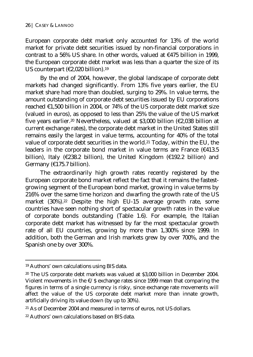European corporate debt market only accounted for 13% of the world market for private debt securities issued by non-financial corporations in contrast to a 56% US share. In other words, valued at  $\epsilon$ 475 billion in 1999, the European corporate debt market was less than a quarter the size of its US counterpart ( $\epsilon$ 2,020 billion).<sup>19</sup>

By the end of 2004, however, the global landscape of corporate debt markets had changed significantly. From 13% five years earlier, the EU market share had more than doubled, surging to 29%. In value terms, the amount outstanding of corporate debt securities issued by EU corporations reached €1,500 billion in 2004, or 74% of the US corporate debt market size (valued in euros), as opposed to less than 25% the value of the US market five years earlier.20 Nevertheless, valued at \$3,000 billion (€2,038 billion at current exchange rates), the corporate debt market in the United States still remains easily the largest in value terms, accounting for 40% of the total value of corporate debt securities in the world.<sup>21</sup> Today, within the EU, the leaders in the corporate bond market in value terms are France  $(6413.5$ billion), Italy (€238.2 billion), the United Kingdom (€192.2 billion) and Germany (€175.7 billion).

The extraordinarily high growth rates recently registered by the European corporate bond market reflect the fact that it remains the fastestgrowing segment of the European bond market, growing in value terms by 216% over the same time horizon and dwarfing the growth rate of the US market (30%).<sup>22</sup> Despite the high EU-15 average growth rate, some countries have seen nothing short of spectacular growth rates in the value of corporate bonds outstanding (Table 1.6). For example, the Italian corporate debt market has witnessed by far the most spectacular growth rate of all EU countries, growing by more than 1,300% since 1999. In addition, both the German and Irish markets grew by over 700%, and the Spanish one by over 300%.

<sup>19</sup> Authors' own calculations using BIS data.

<sup>20</sup> The US corporate debt markets was valued at \$3,000 billion in December 2004. Violent movements in the  $E/S$  exchange rates since 1999 mean that comparing the figures in terms of a single currency is risky, since exchange rate movements will affect the value of the US corporate debt market more than innate growth, artificially driving its value down (by up to 30%).

<sup>21</sup> As of December 2004 and measured in terms of euros, not US dollars.

<sup>22</sup> Authors' own calculations based on BIS data.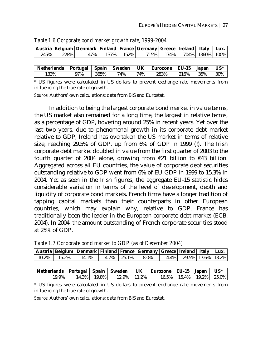|           | Austria   Belgium   Denmark   Finland   France   Germany   Greece   Ireland   Italy   Lux. |  |                                         |  |  |
|-----------|--------------------------------------------------------------------------------------------|--|-----------------------------------------|--|--|
| 245% 228% |                                                                                            |  | 47% 137% 152% 715% 174% 704% 1360% 100% |  |  |
|           |                                                                                            |  |                                         |  |  |

*Table 1.6 Corporate bond market growth rate, 1999-2004* 

| Netherlands   Portugal   Spain   Sweden   UK   Eurozone   EU-15   Japan              |     |          |     |         |         |              | $US^*$ |
|--------------------------------------------------------------------------------------|-----|----------|-----|---------|---------|--------------|--------|
| 133%                                                                                 | 97% | $1365\%$ | 74% | $174\%$ | $283\%$ | $1216\%$ 35% | 30%    |
| * LIC figures were solvulated in LIC dollars to prevent evakence note movements from |     |          |     |         |         |              |        |

US figures were calculated in US dollars to prevent exchange rate movements from influencing the true rate of growth.

*Source*: Authors' own calculations; data from BIS and Eurostat.

In addition to being the largest corporate bond market in value terms, the US market also remained for a long time, the largest in relative terms, as a percentage of GDP, hovering around 25% in recent years. Yet over the last two years, due to phenomenal growth in its corporate debt market relative to GDP, Ireland has overtaken the US market in terms of relative size, reaching 29.5% of GDP, up from 6% of GDP in 1999 (!). The Irish corporate debt market doubled in value from the first quarter of 2003 to the fourth quarter of 2004 alone, growing from  $\epsilon$ 21 billion to  $\epsilon$ 43 billion. Aggregated across all EU countries, the value of corporate debt securities outstanding relative to GDP went from 6% of EU GDP in 1999 to 15.3% in 2004. Yet as seen in the Irish figures, the aggregate EU-15 statistic hides considerable variation in terms of the level of development, depth and liquidity of corporate bond markets. French firms have a longer tradition of tapping capital markets than their counterparts in other European countries, which may explain why, relative to GDP, France has traditionally been the leader in the European corporate debt market (ECB, 2004). In 2004, the amount outstanding of French corporate securities stood at 25% of GDP.

|  | Austria   Belgium   Denmark   Finland   France   Germany   Greece   Ireland   Italy   Lux. |  |  |                           |  |
|--|--------------------------------------------------------------------------------------------|--|--|---------------------------|--|
|  | $10.2\%$   15.2%   14.1%   14.7%   25.1%   8.0%                                            |  |  | $4.4\%$ 29.5% 17.6% 13.2% |  |
|  |                                                                                            |  |  |                           |  |

*Table 1.7 Corporate bond market to GDP (as of December 2004)* 

|  |  |  | Netherlands   Portugal   Spain   Sweden   UK   Eurozone   EU-15   Japan   US*      |  |  |
|--|--|--|------------------------------------------------------------------------------------|--|--|
|  |  |  | $19.9\%$ 14.3% 19.8% 12.9% 11.2% 16.5% 15.4% 19.2% 25.0%                           |  |  |
|  |  |  | * US figures were calculated in US dollars to prevent exchange rate movements from |  |  |

influencing the true rate of growth.

*Source*: Authors' own calculations; data from BIS and Eurostat.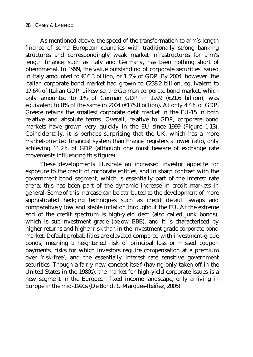As mentioned above, the speed of the transformation to arm's-length finance of some European countries with traditionally strong banking structures and correspondingly weak market infrastructures for arm's length finance, such as Italy and Germany, has been nothing short of phenomenal. In 1999, the value outstanding of corporate securities issued in Italy amounted to  $\epsilon$ 16.3 billion, or 1.5% of GDP. By 2004, however, the Italian corporate bond market had grown to €238.2 billion, equivalent to 17.6% of Italian GDP. Likewise, the German corporate bond market, which only amounted to 1% of German GDP in 1999 ( $E21.6$  billion), was equivalent to 8% of the same in 2004 ( $\epsilon$ 175.8 billion). At only 4.4% of GDP, Greece retains the smallest corporate debt market in the EU-15 in both relative and absolute terms. Overall, relative to GDP, corporate bond markets have grown very quickly in the EU since 1999 (Figure 1.13). Coincidentally, it is perhaps surprising that the UK, which has a more market-oriented financial system than France, registers a lower ratio, only achieving 11.2% of GDP (although one must beware of exchange rate movements influencing this figure).

These developments illustrate an increased investor appetite for exposure to the credit of corporate entities, and in sharp contrast with the government bond segment, which is essentially part of the interest rate arena; this has been part of the dynamic increase in credit markets in general. Some of this increase can be attributed to the development of more sophisticated hedging techniques such as credit default swaps and comparatively low and stable inflation throughout the EU. At the extreme end of the credit spectrum is high-yield debt (also called junk bonds), which is sub-investment grade (below BBB), and it is characterised by higher returns and higher risk than in the investment grade corporate bond market. Default probabilities are elevated compared with investment-grade bonds, meaning a heightened risk of principal loss or missed coupon payments, risks for which investors require compensation at a premium over 'risk-free', and the essentially interest rate sensitive government securities. Though a fairly new concept itself (having only taken off in the United States in the 1980s), the market for high-yield corporate issues is a new segment in the European fixed income landscape, only arriving in Europe in the mid-1990s (De Bondt & Marqués-Ibáñez, 2005).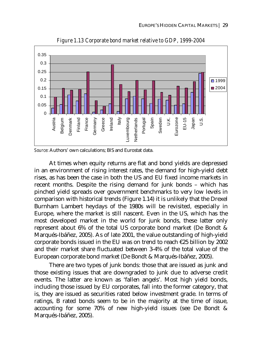

*Figure 1.13 Corporate bond market relative to GDP, 1999-2004* 

*Source*: Authors' own calculations; BIS and Eurostat data.

At times when equity returns are flat and bond yields are depressed in an environment of rising interest rates, the demand for high-yield debt rises, as has been the case in both the US and EU fixed income markets in recent months. Despite the rising demand for junk bonds – which has pinched yield spreads over government benchmarks to very low levels in comparison with historical trends (Figure 1.14) it is unlikely that the Drexel Burnham Lambert heydays of the 1980s will be revisited, especially in Europe, where the market is still nascent. Even in the US, which has the most developed market in the world for junk bonds, these latter only represent about 6% of the total US corporate bond market (De Bondt & Marqués-Ibáñez, 2005). As of late 2001, the value outstanding of high-yield corporate bonds issued in the EU was on trend to reach  $\epsilon$ 25 billion by 2002 and their market share fluctuated between 3-4% of the total value of the European corporate bond market (De Bondt & Marqués-Ibáñez, 2005).

There are two types of junk bonds: those that are issued as junk and those existing issues that are downgraded to junk due to adverse credit events. The latter are known as 'fallen angels'. Most high yield bonds, including those issued by EU corporates, fall into the former category, that is, they are issued as securities rated below investment grade. In terms of ratings, B rated bonds seem to be in the majority at the time of issue, accounting for some 70% of new high-yield issues (see De Bondt & Marqués-Ibáñez, 2005).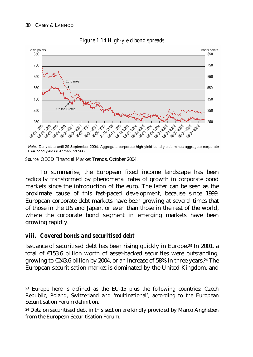

### *Figure 1.14 High-yield bond spreads*

Note: Daily data until 29 September 2004. Aggregate corporate high-yield bond yields minus aggregate corporate BAA bond yields (Lehman indices).

*Source*: OECD Financial Market Trends, October 2004.

To summarise, the European fixed income landscape has been radically transformed by phenomenal rates of growth in corporate bond markets since the introduction of the euro. The latter can be seen as the proximate cause of this fast-paced development, because since 1999, European corporate debt markets have been growing at several times that of those in the US and Japan, or even than those in the rest of the world, where the corporate bond segment in emerging markets have been growing rapidly.

## *viii. Covered bonds and securitised debt*

 $\overline{a}$ 

Issuance of securitised debt has been rising quickly in Europe.23 In 2001, a total of €153.6 billion worth of asset-backed securities were outstanding, growing to  $\epsilon$ 243.6 billion by 2004, or an increase of 58% in three years.<sup>24</sup> The European securitisation market is dominated by the United Kingdom, and

<sup>&</sup>lt;sup>23</sup> Europe here is defined as the EU-15 plus the following countries: Czech Republic, Poland, Switzerland and 'multinational', according to the European Securitisation Forum definition.

<sup>&</sup>lt;sup>24</sup> Data on securitised debt in this section are kindly provided by Marco Angheben from the European Securitisation Forum.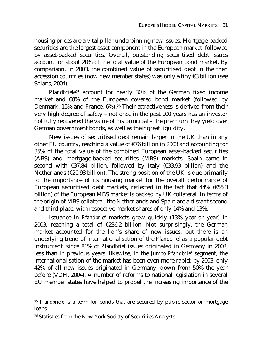housing prices are a vital pillar underpinning new issues. Mortgage-backed securities are the largest asset component in the European market, followed by asset-backed securities. Overall, outstanding securitised debt issues account for about 20% of the total value of the European bond market. By comparison, in 2003, the combined value of securitised debt in the then accession countries (now new member states) was only a tiny €3 billion (see Solans, 2004).

*Pfandbriefe*25 account for nearly 30% of the German fixed income market and 68% of the European covered bond market (followed by Denmark, 15% and France, 6%).26 Their attractiveness is derived from their very high degree of safety – not once in the past 100 years has an investor not fully recovered the value of his principal – the premium they yield over German government bonds, as well as their great liquidity.

New issues of securitised debt remain larger in the UK than in any other EU country, reaching a value of €76 billion in 2003 and accounting for 35% of the total value of the combined European asset-backed securities (ABS) and mortgage-backed securities (MBS) markets. Spain came in second with €37.84 billion, followed by Italy (€33.93 billion) and the Netherlands ( $\epsilon$ 20.98 billion). The strong position of the UK is due primarily to the importance of its housing market for the overall performance of European securitised debt markets, reflected in the fact that 44% ( $€55.3$ ) billion) of the European MBS market is backed by UK collateral. In terms of the origin of MBS collateral, the Netherlands and Spain are a distant second and third place, with respective market shares of only 14% and 13%.

Issuance in *Pfandbrief* markets grew quickly (13% year-on-year) in 2003, reaching a total of  $\epsilon$ 236.2 billion. Not surprisingly, the German market accounted for the lion's share of new issues, but there is an underlying trend of internationalisation of the *Pfandbrief* as a popular debt instrument, since 81% of *Pfandbrief* issues originated in Germany in 2003, less than in previous years; likewise, in the *Jumbo Pfandbrief* segment, the internationalisation of the market has been even more rapid: by 2003, only 42% of all new issues originated in Germany, down from 50% the year before (VDH, 2004). A number of reforms to national legislation in several EU member states have helped to propel the increasing importance of the

<sup>&</sup>lt;sup>25</sup> *Pfandbriefe* is a term for bonds that are secured by public sector or mortgage loans.

<sup>26</sup> Statistics from the New York Society of Securities Analysts.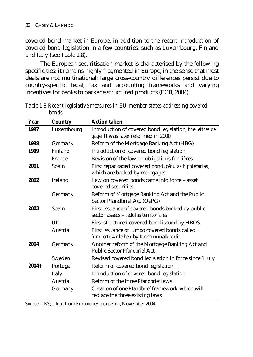covered bond market in Europe, in addition to the recent introduction of covered bond legislation in a few countries, such as Luxembourg, Finland and Italy (see Table 1.8).

The European securitisation market is characterised by the following specificities: it remains highly fragmented in Europe, in the sense that most deals are not multinational; large cross-country differences persist due to country-specific legal, tax and accounting frameworks and varying incentives for banks to package structured products (ECB, 2004).

| Year    | <b>Country</b> | <b>Action taken</b>                                                                             |
|---------|----------------|-------------------------------------------------------------------------------------------------|
| 1997    | Luxembourg     | Introduction of covered bond legislation, the lettres de<br>gage. It was later reformed in 2000 |
| 1998    | Germany        | Reform of the Mortgage Banking Act (HBG)                                                        |
| 1999    | Finland        | Introduction of covered bond legislation                                                        |
|         | France         | Revision of the law on obligations foncières                                                    |
| 2001    | Spain          | First repackaged covered bond, cédulas hipotécarias,<br>which are backed by mortgages           |
| 2002    | Ireland        | Law on covered bonds came into force - asset<br>covered securities                              |
|         | Germany        | Reform of Mortgage Banking Act and the Public<br>Sector Pfandbrief Act (OePG)                   |
| 2003    | Spain          | First issuance of covered bonds backed by public<br>sector assets – cédulas territoriales       |
|         | UK             | First structured covered bond issued by HBOS                                                    |
|         | Austria        | First issuance of jumbo covered bonds called<br>fundierte Anleihen by Kommunalkredit            |
| 2004    | Germany        | Another reform of the Mortgage Banking Act and<br>Public Sector Pfandbrief Act                  |
|         | Sweden         | Revised covered bond legislation in force since 1 July                                          |
| $2004+$ | Portugal       | Reform of covered bond legislation                                                              |
|         | Italy          | Introduction of covered bond legislation                                                        |
|         | Austria        | Reform of the three <i>Pfandbrief</i> laws                                                      |
|         | Germany        | Creation of one <i>Pfandbrief</i> framework which will<br>replace the three existing laws       |

*Table 1.8 Recent legislative measures in EU member states addressing covered bonds* 

*Source: UBS*; taken from *Euromoney* magazine, November 2004.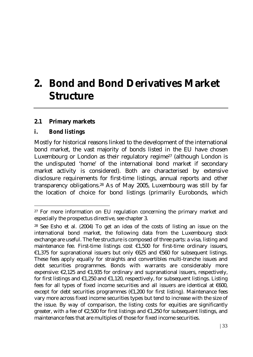# **2. Bond and Bond Derivatives Market Structure**

## **2.1 Primary markets**

## *i. Bond listings*

 $\overline{a}$ 

Mostly for historical reasons linked to the development of the international bond market, the vast majority of bonds listed in the EU have chosen Luxembourg or London as their regulatory regime<sup>27</sup> (although London is the undisputed 'home' of the international bond market if secondary market activity is considered). Both are characterised by extensive disclosure requirements for first-time listings, annual reports and other transparency obligations.28 As of May 2005, Luxembourg was still by far the location of choice for bond listings (primarily Eurobonds, which

<sup>&</sup>lt;sup>27</sup> For more information on EU regulation concerning the primary market and especially the prospectus directive, see chapter 3.

<sup>28</sup> See Esho et al. (2004) To get an idea of the costs of listing an issue on the international bond market, the following data from the Luxembourg stock exchange are useful. The fee structure is composed of three parts: a visa, listing and maintenance fee. First-time listings cost  $\epsilon$ 1,500 for first-time ordinary issuers, €1,375 for supranational issuers but only €625 and €560 for subsequent listings. These fees apply equally for straights and convertibles multi-tranche issues and debt securities programmes. Bonds with warrants are considerably more expensive:  $\epsilon$ 2,125 and  $\epsilon$ 1,935 for ordinary and supranational issuers, respectively, for first listings and €1,250 and €1,120, respectively, for subsequent listings. Listing fees for all types of fixed income securities and all issuers are identical at  $\epsilon$ 600, except for debt securities programmes  $(E1,200)$  for first listing). Maintenance fees vary more across fixed income securities types but tend to increase with the size of the issue. By way of comparison, the listing costs for equities are significantly greater, with a fee of  $\epsilon$ 2,500 for first listings and  $\epsilon$ 1,250 for subsequent listings, and maintenance fees that are multiples of those for fixed income securities.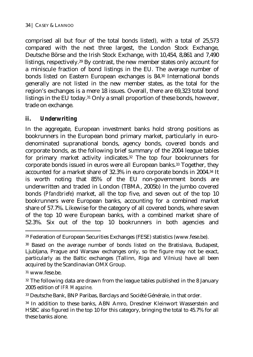comprised all but four of the total bonds listed), with a total of 25,573 compared with the next three largest, the London Stock Exchange, Deutsche Börse and the Irish Stock Exchange, with 10,454, 8,861 and 7,490 listings, respectively.29 By contrast, the new member states only account for a miniscule fraction of bond listings in the EU. The average number of bonds listed on Eastern European exchanges is 84.30 International bonds generally are not listed in the new member states, as the total for the region's exchanges is a mere 18 issues. Overall, there are 69,323 total bond listings in the EU today.31 Only a small proportion of these bonds, however, trade on exchange.

## *ii. Underwriting*

In the aggregate, European investment banks hold strong positions as bookrunners in the European bond primary market, particularly in eurodenominated supranational bonds, agency bonds, covered bonds and corporate bonds, as the following brief summary of the 2004 league tables for primary market activity indicates.<sup>32</sup> The top four bookrunners for corporate bonds issued in euros were all European banks.33 Together, they accounted for a market share of 32.3% in euro corporate bonds in 2004.34 It is worth noting that 85% of the EU non-government bonds are underwritten and traded in London (TBMA, 2005b) In the jumbo covered bonds (*Pfandbriefe*) market, all the top five, and seven out of the top 10 bookrunners were European banks, accounting for a combined market share of 57.7%. Likewise for the category of all covered bonds, where seven of the top 10 were European banks, with a combined market share of 52.3%. Six out of the top 10 bookrunners in both agencies and

<sup>29</sup> Federation of European Securities Exchanges (FESE) statistics (www.fese.be).

<sup>30</sup> Based on the average number of bonds listed on the Bratislava, Budapest, Ljubljana, Prague and Warsaw exchanges only, so the figure may not be exact, particularly as the Baltic exchanges (Tallinn, Riga and Vilnius) have all been acquired by the Scandinavian OMX Group.

<sup>31</sup> www.fese.be.

<sup>32</sup> The following data are drawn from the league tables published in the 8 January 2005 edition of *IFR Magazine*.

<sup>33</sup> Deutsche Bank, BNP Paribas, Barclays and Société Générale, in that order.

<sup>34</sup> In addition to these banks, ABN Amro, Dresdner Kleinwort Wasserstein and HSBC also figured in the top 10 for this category, bringing the total to 45.7% for all these banks alone.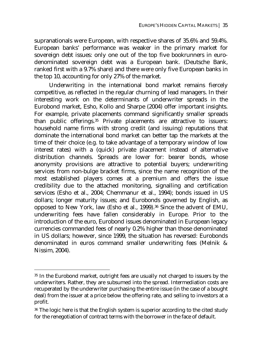supranationals were European, with respective shares of 35.6% and 59.4%. European banks' performance was weaker in the primary market for sovereign debt issues: only one out of the top five bookrunners in eurodenominated sovereign debt was a European bank. (Deutsche Bank, ranked first with a 9.7% share) and there were only five European banks in the top 10, accounting for only 27% of the market.

Underwriting in the international bond market remains fiercely competitive, as reflected in the regular churning of lead managers. In their interesting work on the determinants of underwriter spreads in the Eurobond market, Esho, Kollo and Sharpe (2004) offer important insights. For example, private placements command significantly smaller spreads than public offerings.35 Private placements are attractive to issuers: household name firms with strong credit (and issuing) reputations that dominate the international bond market can better tap the markets at the time of their choice (e.g. to take advantage of a temporary window of low interest rates) with a (quick) private placement instead of alternative distribution channels. Spreads are lower for: bearer bonds, whose anonymity provisions are attractive to potential buyers; underwriting services from non-bulge bracket firms, since the name recognition of the most established players comes at a premium and offers the issue credibility due to the attached monitoring, signalling and certification services (Esho et al., 2004; Chemmanur et al., 1994); bonds issued in US dollars; longer maturity issues; and Eurobonds governed by English, as opposed to New York, law (Esho et al., 1999).36 Since the advent of EMU, underwriting fees have fallen considerably in Europe. Prior to the introduction of the euro, Eurobond issues denominated in European legacy currencies commanded fees of nearly 0.2% higher than those denominated in US dollars; however, since 1999, the situation has reversed: Eurobonds denominated in euros command smaller underwriting fees (Melnik & Nissim, 2004).

<sup>&</sup>lt;sup>35</sup> In the Eurobond market, outright fees are usually not charged to issuers by the underwriters. Rather, they are subsumed into the spread. Intermediation costs are recuperated by the underwriter purchasing the entire issue (in the case of a bought deal) from the issuer at a price below the offering rate, and selling to investors at a profit.

<sup>&</sup>lt;sup>36</sup> The logic here is that the English system is superior according to the cited study for the renegotiation of contract terms with the borrower in the face of default.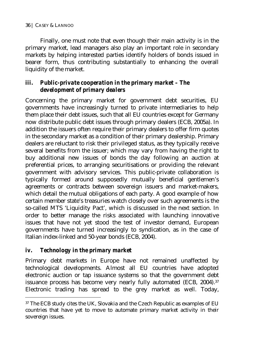Finally, one must note that even though their main activity is in the primary market, lead managers also play an important role in secondary markets by helping interested parties identify holders of bonds issued in bearer form, thus contributing substantially to enhancing the overall liquidity of the market.

## *iii. Public-private cooperation in the primary market – The development of primary dealers*

Concerning the primary market for government debt securities, EU governments have increasingly turned to private intermediaries to help them place their debt issues, such that all EU countries except for Germany now distribute public debt issues through primary dealers (ECB, 2005a). In addition the issuers often require their primary dealers to offer firm quotes in the secondary market as a condition of their primary dealership. Primary dealers are reluctant to risk their privileged status, as they typically receive several benefits from the issuer; which may vary from having the right to buy additional new issues of bonds the day following an auction at preferential prices, to arranging securitisations or providing the relevant government with advisory services. This public-private collaboration is typically formed around supposedly mutually beneficial gentlemen's agreements or contracts between sovereign issuers and market-makers, which detail the mutual obligations of each party. A good example of how certain member state's treasuries watch closely over such agreements is the so-called MTS 'Liquidity Pact', which is discussed in the next section. In order to better manage the risks associated with launching innovative issues that have not yet stood the test of investor demand, European governments have turned increasingly to syndication, as in the case of Italian index-linked and 50-year bonds (ECB, 2004).

## *iv. Technology in the primary market*

 $\overline{a}$ 

Primary debt markets in Europe have not remained unaffected by technological developments. Almost all EU countries have adopted electronic auction or tap issuance systems so that the government debt issuance process has become very nearly fully automated (ECB, 2004).<sup>37</sup> Electronic trading has spread to the grey market as well. Today,

<sup>&</sup>lt;sup>37</sup> The ECB study cites the UK, Slovakia and the Czech Republic as examples of EU countries that have yet to move to automate primary market activity in their sovereign issues.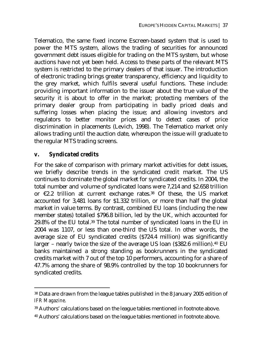Telematico, the same fixed income Escreen-based system that is used to power the MTS system, allows the trading of securities for announced government debt issues eligible for trading on the MTS system, but whose auctions have not yet been held. Access to these parts of the relevant MTS system is restricted to the primary dealers of that issuer. The introduction of electronic trading brings greater transparency, efficiency and liquidity to the grey market, which fulfils several useful functions. These include: providing important information to the issuer about the true value of the security it is about to offer in the market; protecting members of the primary dealer group from participating in badly priced deals and suffering losses when placing the issue; and allowing investors and regulators to better monitor prices and to detect cases of price discrimination in placements (Levich, 1998). The Telematico market only allows trading until the auction date, whereupon the issue will graduate to the regular MTS trading screens.

## *v. Syndicated credits*

 $\overline{a}$ 

For the sake of comparison with primary market activities for debt issues, we briefly describe trends in the syndicated credit market. The US continues to dominate the global market for syndicated credits. In 2004, the total number and volume of syndicated loans were 7,214 and \$2.658 trillion or  $\epsilon$ 2.2 trillion at current exchange rates.<sup>38</sup> Of these, the US market accounted for 3,481 loans for \$1.332 trillion, or more than half the global market in value terms. By contrast, combined EU loans (including the new member states) totalled \$796.8 billion, led by the UK, which accounted for 29.8% of the EU total.39 The total number of syndicated loans in the EU in 2004 was 1107, or less than one-third the US total. In other words, the average size of EU syndicated credits (\$724.4 million) was significantly larger – nearly twice the size of the average US loan (\$382.6 million).40 EU banks maintained a strong standing as bookrunners in the syndicated credits market with 7 out of the top 10 performers, accounting for a share of 47.7% among the share of 98.9% controlled by the top 10 bookrunners for syndicated credits.

<sup>38</sup> Data are drawn from the league tables published in the 8 January 2005 edition of *IFR Magazine*.

<sup>39</sup> Authors' calculations based on the league tables mentioned in footnote above.

<sup>40</sup> Authors' calculations based on the league tables mentioned in footnote above.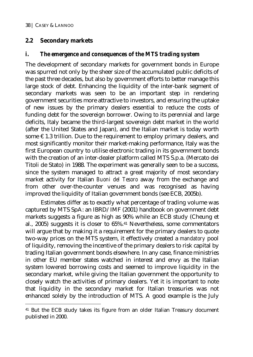$\overline{a}$ 

## **2.2 Secondary markets**

## *i. The emergence and consequences of the MTS trading system*

The development of secondary markets for government bonds in Europe was spurred not only by the sheer size of the accumulated public deficits of the past three decades, but also by government efforts to better manage this large stock of debt. Enhancing the liquidity of the inter-bank segment of secondary markets was seen to be an important step in rendering government securities more attractive to investors, and ensuring the uptake of new issues by the primary dealers essential to reduce the costs of funding debt for the sovereign borrower. Owing to its perennial and large deficits, Italy became the third-largest sovereign debt market in the world (after the United States and Japan), and the Italian market is today worth some  $\epsilon$  1.3 trillion. Due to the requirement to employ primary dealers, and most significantly monitor their market-making performance, Italy was the first European country to utilise electronic trading in its government bonds with the creation of an inter-dealer platform called MTS S.p.a. (Mercato dei Titoli de Stato) in 1988. The experiment was generally seen to be a success, since the system managed to attract a great majority of most secondary market activity for Italian *Buoni del Tesoro* away from the exchange and from other over-the-counter venues and was recognised as having improved the liquidity of Italian government bonds (see ECB, 2005b).

Estimates differ as to exactly what percentage of trading volume was captured by MTS SpA: an IBRD/IMF (2001) handbook on government debt markets suggests a figure as high as 90% while an ECB study (Cheung et al., 2005) suggests it is closer to 65%.41 Nevertheless, some commentators will argue that by making it a requirement for the primary dealers to quote two-way prices on the MTS system, it effectively created a *mandatory* pool of liquidity, removing the incentive of the primary dealers to risk capital by trading Italian government bonds elsewhere. In any case, finance ministries in other EU member states watched in interest and envy as the Italian system lowered borrowing costs and seemed to improve liquidity in the secondary market, while giving the Italian government the opportunity to closely watch the activities of primary dealers. Yet it is important to note that liquidity in the secondary market for Italian treasuries was not enhanced solely by the introduction of MTS. A good example is the July

<sup>41</sup> But the ECB study takes its figure from an older Italian Treasury document published in 2000.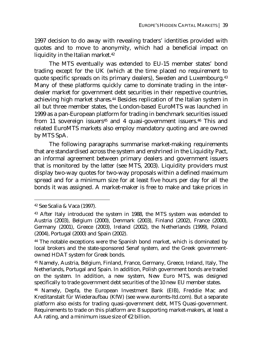1997 decision to do away with revealing traders' identities provided with quotes and to move to anonymity, which had a beneficial impact on liquidity in the Italian market.42

The MTS eventually was extended to EU-15 member states' bond trading except for the UK (which at the time placed no requirement to quote specific spreads on its primary dealers), Sweden and Luxembourg.43 Many of these platforms quickly came to dominate trading in the interdealer market for government debt securities in their respective countries, achieving high market shares.44 Besides replication of the Italian system in all but three member states, the London-based EuroMTS was launched in 1999 as a pan-European platform for trading in benchmark securities issued from 11 sovereign issuers<sup>45</sup> and 4 quasi-government issuers.<sup>46</sup> This and related EuroMTS markets also employ mandatory quoting and are owned by MTS SpA.

The following paragraphs summarise market-making requirements that are standardised across the system and enshrined in the Liquidity Pact, an informal agreement between primary dealers and government issuers that is monitored by the latter (see MTS, 2003). Liquidity providers must display two-way quotes for two-way proposals within a defined maximum spread and for a minimum size for at least five hours per day for all the bonds it was assigned. A market-maker is free to make and take prices in

<sup>42</sup> See Scalia & Vaca (1997).

<sup>43</sup> After Italy introduced the system in 1988, the MTS system was extended to Austria (2003), Belgium (2000), Denmark (2003), Finland (2002), France (2000), Germany (2001), Greece (2003), Ireland (2002), the Netherlands (1999), Poland (2004), Portugal (2000) and Spain (2002).

<sup>&</sup>lt;sup>44</sup> The notable exceptions were the Spanish bond market, which is dominated by local brokers and the state-sponsored Senaf system, and the Greek governmentowned HDAT system for Greek bonds.

<sup>45</sup> Namely, Austria, Belgium, Finland, France, Germany, Greece, Ireland, Italy, The Netherlands, Portugal and Spain. In addition, Polish government bonds are traded on the system. In addition, a new system, New Euro MTS, was designed specifically to trade government debt securities of the 10 new EU member states.

<sup>46</sup> Namely, Depfa, the European Investment Bank (EIB), Freddie Mac and Kreditanstalt für Wiederaufbau (KfW) (see www.euromts-ltd.com). But a separate platform also exists for trading quasi-government debt, MTS Quasi-government. Requirements to trade on this platform are: 8 supporting market-makers, at least a AA rating, and a minimum issue size of  $E$ 2 billion.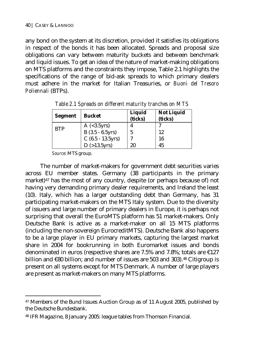any bond on the system at its discretion, provided it satisfies its obligations in respect of the bonds it has been allocated. Spreads and proposal size obligations can vary between maturity buckets and between benchmark and liquid issues. To get an idea of the nature of market-making obligations on MTS platforms and the constraints they impose, Table 2.1 highlights the specifications of the range of bid-ask spreads to which primary dealers must adhere in the market for Italian Treasuries, or *Buoni del Tresoro Poliennali* (BTPs).

| <b>Segment</b> | <b>Bucket</b>       | Liquid<br>(ticks) | <b>Not Liquid</b><br>(ticks) |
|----------------|---------------------|-------------------|------------------------------|
| <b>BTP</b>     | $A$ (<3.5yrs)       |                   |                              |
|                | $B(3.5 - 6.5yrs)$   | 5                 | 12                           |
|                | $C$ (6.5 - 13.5yrs) | ∼                 | 16                           |
|                | $D$ (>13.5yrs)      | 20                | 45                           |

*Table 2.1 Spreads on different maturity tranches on MTS* 

*Source*: MTS group.

 $\overline{a}$ 

The number of market-makers for government debt securities varies across EU member states. Germany (38 participants in the primary market)<sup>47</sup> has the most of any country, despite (or perhaps because of) not having very demanding primary dealer requirements, and Ireland the least (10). Italy, which has a larger outstanding debt than Germany, has 31 participating market-makers on the MTS Italy system. Due to the diversity of issuers and large number of primary dealers in Europe, it is perhaps not surprising that overall the EuroMTS platform has 51 market-makers. Only Deutsche Bank is active as a market-maker on all 15 MTS platforms (including the non-sovereign EurocreditMTS). Deutsche Bank also happens to be a large player in EU primary markets, capturing the largest market share in 2004 for bookrunning in both Euromarket issues and bonds denominated in euros (respective shares are 7.5% and 7.8%; totals are €127 billion and  $\epsilon$ 80 billion; and number of issues are 503 and 303).<sup>48</sup> Citigroup is present on all systems except for MTS Denmark. A number of large players are present as market-makers on many MTS platforms.

<sup>47</sup> Members of the Bund Issues Auction Group as of 11 August 2005, published by the Deutsche Bundesbank.

<sup>48</sup> IFR Magazine, 8 January 2005: league tables from Thomson Financial.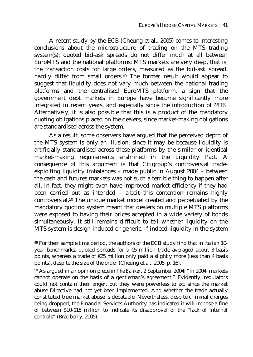A recent study by the ECB (Cheung et al., 2005) comes to interesting conclusions about the microstructure of trading on the MTS trading system(s): quoted bid-ask spreads do not differ much at all between EuroMTS and the national platforms; MTS markets are very deep, that is, the transaction costs for large orders, measured as the bid-ask spread, hardly differ from small orders.<sup>49</sup> The former result would appear to suggest that liquidity does not vary much between the national trading platforms and the centralised EuroMTS platform, a sign that the government debt markets in Europe have become significantly more integrated in recent years, and especially since the introduction of MTS. Alternatively, it is also possible that this is a product of the mandatory quoting obligations placed on the dealers, since market-making obligations are standardised across the system.

As a result, some observers have argued that the perceived depth of the MTS system is only an illusion, since it may be because liquidity is artificially standardised across these platforms by the similar or identical market-making requirements enshrined in the Liquidity Pact. A consequence of this argument is that Citigroup's controversial tradeexploiting liquidity imbalances – made public in August 2004 – between the cash and futures markets was not such a terrible thing to happen after all. In fact, they might even have improved market efficiency if they had been carried out as intended – albeit this contention remains highly controversial.50 The unique market model created and perpetuated by the mandatory quoting system meant that dealers on multiple MTS platforms were exposed to having their prices accepted in a wide variety of bonds simultaneously. It still remains difficult to tell whether liquidity on the MTS system is design-induced or generic. If indeed liquidity in the system

<sup>49</sup> For their sample time period, the authors of the ECB study find that in Italian 10 year benchmarks, quoted spreads for a  $\epsilon$ 5 million trade averaged about 3 basis points, whereas a trade of  $\epsilon$ 25 million only paid a slightly more (less than 4 basis points), despite the size of the order (Cheung et al., 2005, p. 16).

<sup>50</sup> As argued in an opinion piece in *The Banker*, 2 September 2004: "In 2004, markets cannot operate on the basis of a gentleman's agreement." Evidently, regulators could not contain their anger, but they were powerless to act since the market abuse Directive had not yet been implemented. And whether the trade actually constituted true market abuse is debatable. Nevertheless, despite criminal charges being dropped, the Financial Services Authority has indicated it will impose a fine of between \$10-\$15 million to indicate its disapproval of the "lack of internal controls" (Bradberry, 2005).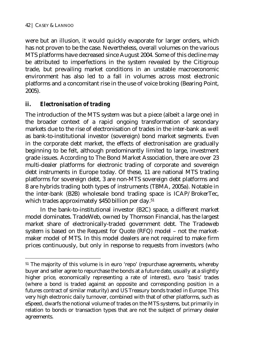$\overline{a}$ 

were but an illusion, it would quickly evaporate for larger orders, which has not proven to be the case. Nevertheless, overall volumes on the various MTS platforms have decreased since August 2004. Some of this decline may be attributed to imperfections in the system revealed by the Citigroup trade, but prevailing market conditions in an unstable macroeconomic environment has also led to a fall in volumes across most electronic platforms and a concomitant rise in the use of voice broking (Bearing Point, 2005).

## *ii. Electronisation of trading*

The introduction of the MTS system was but a piece (albeit a large one) in the broader context of a rapid ongoing transformation of secondary markets due to the rise of electronisation of trades in the inter-bank as well as bank-to-institutional investor (sovereign) bond market segments. Even in the corporate debt market, the effects of electronisation are gradually beginning to be felt, although predominantly limited to large, investment grade issues. According to The Bond Market Association, there are over 23 multi-dealer platforms for electronic trading of corporate and sovereign debt instruments in Europe today. Of these, 11 are national MTS trading platforms for sovereign debt, 3 are non-MTS sovereign debt platforms and 8 are hybrids trading both types of instruments (TBMA, 2005a). Notable in the inter-bank (B2B) wholesale bond trading space is ICAP/BrokerTec, which trades approximately \$450 billion per day.<sup>51</sup>

In the bank-to-institutional investor (B2C) space, a different market model dominates. TradeWeb, owned by Thomson Financial, has the largest market share of electronically-traded government debt. The Tradeweb system is based on the Request for Quote (RFQ) model – not the marketmaker model of MTS. In this model dealers are not required to make firm prices continuously, but only in response to requests from investors (who

<sup>&</sup>lt;sup>51</sup> The majority of this volume is in euro 'repo' (repurchase agreements, whereby buyer and seller agree to repurchase the bonds at a future date, usually at a slightly higher price, economically representing a rate of interest), euro 'basis' trades (where a bond is traded against an opposite and corresponding position in a futures contract of similar maturity) and US Treasury bonds traded in Europe. This very high electronic daily turnover, combined with that of other platforms, such as eSpeed, dwarfs the notional volume of trades on the MTS systems, but primarily in relation to bonds or transaction types that are not the subject of primary dealer agreements.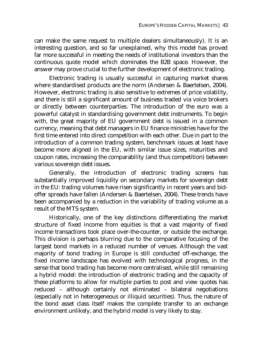can make the same request to multiple dealers simultaneously). It is an interesting question, and so far unexplained, why this model has proved far more successful in meeting the needs of institutional investors than the continuous quote model which dominates the B2B space. However, the answer may prove crucial to the further development of electronic trading.

Electronic trading is usually successful in capturing market shares where standardised products are the norm (Andersen & Baertelsen, 2004). However, electronic trading is also sensitive to extremes of price volatility, and there is still a significant amount of business traded via voice brokers or directly between counterparties. The introduction of the euro was a powerful catalyst in standardising government debt instruments. To begin with, the great majority of EU government debt is issued in a common currency, meaning that debt managers in EU finance ministries have for the first time entered into direct competition with each other. Due in part to the introduction of a common trading system, benchmark issues at least have become more aligned in the EU, with similar issue sizes, maturities and coupon rates, increasing the comparability (and thus competition) between various sovereign debt issues.

Generally, the introduction of electronic trading screens has substantially improved liquidity on secondary markets for sovereign debt in the EU: trading volumes have risen significantly in recent years and bidoffer spreads have fallen (Andersen & Baertelsen, 2004). These trends have been accompanied by a reduction in the variability of trading volume as a result of the MTS system.

Historically, one of the key distinctions differentiating the market structure of fixed income from equities is that a vast majority of fixed income transactions took place over-the-counter, or outside the exchange. This division is perhaps blurring due to the comparative focusing of the largest bond markets in a reduced number of venues. Although the vast majority of bond trading in Europe is still conducted off-exchange, the fixed income landscape has evolved with technological progress, in the sense that bond trading has become more centralised, while still remaining a hybrid model: the introduction of electronic trading and the capacity of these platforms to allow for multiple parties to post and view quotes has reduced – although certainly not eliminated – bilateral negotiations (especially not in heterogeneous or illiquid securities). Thus, the nature of the bond asset class itself makes the complete transfer to an exchange environment unlikely, and the hybrid model is very likely to stay.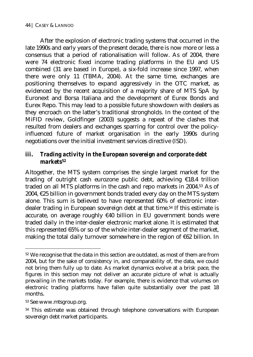#### 44 | CASEY & LANNOO

After the explosion of electronic trading systems that occurred in the late 1990s and early years of the present decade, there is now more or less a consensus that a period of rationalisation will follow. As of 2004, there were 74 electronic fixed income trading platforms in the EU and US combined (31 are based in Europe), a six-fold increase since 1997, when there were only 11 (TBMA, 2004). At the same time, exchanges are positioning themselves to expand aggressively in the OTC market, as evidenced by the recent acquisition of a majority share of MTS SpA by Euronext and Borsa Italiana and the development of Eurex Bonds and Eurex Repo. This may lead to a possible future showdown with dealers as they encroach on the latter's traditional strongholds. In the context of the MiFID review, Goldfinger (2003) suggests a repeat of the clashes that resulted from dealers and exchanges sparring for control over the policyinfluenced future of market organisation in the early 1990s during negotiations over the initial investment services directive (ISD).

## *iii. Trading activity in the European sovereign and corporate debt markets52*

Altogether, the MTS system comprises the single largest market for the trading of outright cash eurozone public debt, achieving €18.4 trillion traded on all MTS platforms in the cash and repo markets in 2004.53 As of 2004, €25 billion in government bonds traded every day on the MTS system alone. This sum is believed to have represented 60% of electronic interdealer trading in European sovereign debt at that time.<sup>54</sup> If this estimate is accurate, on average roughly €40 billion in EU government bonds were traded daily in the inter-dealer electronic market alone. It is estimated that this represented 65% or so of the whole inter-dealer segment of the market, making the total daily turnover somewhere in the region of €62 billion. In

<sup>52</sup> We recognise that the data in this section are outdated, as most of them are from 2004, but for the sake of consistency in, and comparability of, the data, we could not bring them fully up to date. As market dynamics evolve at a brisk pace, the figures in this section may not deliver an accurate picture of what is actually prevailing in the markets today. For example, there is evidence that volumes on electronic trading platforms have fallen quite substantially over the past 18 months.

<sup>53</sup> See www.mtsgroup.org.

<sup>&</sup>lt;sup>54</sup> This estimate was obtained through telephone conversations with European sovereign debt market participants.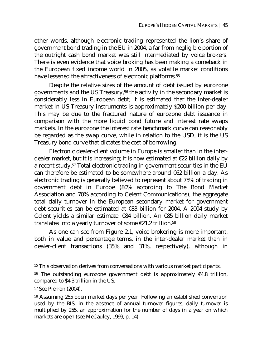other words, although electronic trading represented the lion's share of government bond trading in the EU in 2004, a far from negligible portion of the outright cash bond market was still intermediated by voice brokers. There is even evidence that voice broking has been making a comeback in the European fixed income world in 2005, as volatile market conditions have lessened the attractiveness of electronic platforms.<sup>55</sup>

Despite the relative sizes of the amount of debt issued by eurozone governments and the US Treasury,56 the activity in the secondary market is considerably less in European debt; it is estimated that the inter-dealer market in US Treasury instruments is approximately \$200 billion per day. This may be due to the fractured nature of eurozone debt issuance in comparison with the more liquid bond future and interest rate swaps markets. In the eurozone the interest rate benchmark curve can reasonably be regarded as the swap curve, while in relation to the USD, it is the US Treasury bond curve that dictates the cost of borrowing.

Electronic dealer-client volume in Europe is smaller than in the interdealer market, but it is increasing; it is now estimated at €22 billion daily by a recent study.57 Total electronic trading in government securities in the EU can therefore be estimated to be somewhere around €62 billion a day. As electronic trading is generally believed to represent about 75% of trading in government debt in Europe (80% according to The Bond Market Association and 70% according to Celent Communications), the aggregate total daily turnover in the European secondary market for government debt securities can be estimated at €83 billion for 2004. A 2004 study by Celent yields a similar estimate: €84 billion. An €85 billion daily market translates into a yearly turnover of some €21.2 trillion.58

As one can see from Figure 2.1, voice brokering is more important, both in value and percentage terms, in the inter-dealer market than in dealer-client transactions (35% and 31%, respectively), although in

<sup>55</sup> This observation derives from conversations with various market participants.

<sup>56</sup> The outstanding eurozone government debt is approximately €4.8 trillion, compared to \$4.3 trillion in the US.

<sup>57</sup> See Pierron (2004).

<sup>58</sup> Assuming 255 open market days per year. Following an established convention used by the BIS, in the absence of annual turnover figures, daily turnover is multiplied by 255, an approximation for the number of days in a year on which markets are open (see McCauley, 1999, p. 14).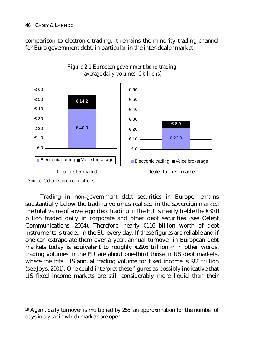$\overline{a}$ 

comparison to electronic trading, it remains the minority trading channel for Euro government debt, in particular in the inter-dealer market.



Trading in non-government debt securities in Europe remains substantially below the trading volumes realised in the sovereign market: the total value of sovereign debt trading in the EU is nearly treble the €30.8 billion traded daily in corporate and other debt securities (see Celent Communications, 2004). Therefore, nearly €116 billion worth of debt instruments is traded in the EU every day. If these figures are reliable and if one can extrapolate them over a year, annual turnover in European debt markets today is equivalent to roughly  $\epsilon$ 29.6 trillion.<sup>59</sup> In other words, trading volumes in the EU are about one-third those in US debt markets, where the total US annual trading volume for fixed income is \$88 trillion (see Joys, 2001). One could interpret these figures as possibly indicative that US fixed income markets are still considerably more liquid than their

<sup>59</sup> Again, daily turnover is multiplied by 255, an approximation for the number of days in a year in which markets are open.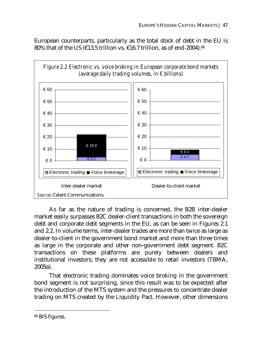European counterparts, particularly as the total stock of debt in the EU is 80% that of the US ( $\epsilon$ 13.5 trillion vs.  $\epsilon$ 16.7 trillion, as of end-2004).<sup>60</sup>



As far as the nature of trading is concerned, the B2B inter-dealer market easily surpasses B2C dealer-client transactions in both the sovereign debt and corporate debt segments in the EU, as can be seen in Figures 2.1 and 2.2. In volume terms, inter-dealer trades are more than twice as large as dealer-to-client in the government bond market and more than three times as large in the corporate and other non-government debt segment. B2C transactions on these platforms are purely between dealers and institutional investors; they are not accessible to retail investors (TBMA, 2005a).

That electronic trading dominates voice broking in the government bond segment is not surprising, since this result was to be expected after the introduction of the MTS system and the pressures to concentrate dealer trading on MTS created by the Liquidity Pact. However, other dimensions

<sup>60</sup> BIS figures.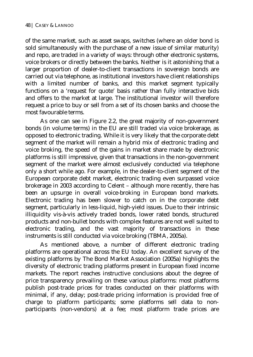of the same market, such as asset swaps, switches (where an older bond is sold simultaneously with the purchase of a new issue of similar maturity) and repo, are traded in a variety of ways: through other electronic systems, voice brokers or directly between the banks. Neither is it astonishing that a larger proportion of dealer-to-client transactions in sovereign bonds are carried out via telephone, as institutional investors have client relationships with a limited number of banks, and this market segment typically functions on a 'request for quote' basis rather than fully interactive bids and offers to the market at large. The institutional investor will therefore request a price to buy or sell from a set of its chosen banks and choose the most favourable terms.

As one can see in Figure 2.2, the great majority of non-government bonds (in volume terms) in the EU are still traded via voice brokerage, as opposed to electronic trading. While it is very likely that the corporate debt segment of the market will remain a hybrid mix of electronic trading and voice broking, the speed of the gains in market share made by electronic platforms is still impressive, given that transactions in the non-government segment of the market were almost exclusively conducted via telephone only a short while ago. For example, in the dealer-to-client segment of the European corporate debt market, electronic trading even surpassed voice brokerage in 2003 according to Celent – although more recently, there has been an upsurge in overall voice-broking in European bond markets. Electronic trading has been slower to catch on in the corporate debt segment, particularly in less-liquid, high-yield issues. Due to their intrinsic illiquidity vis-à-vis actively traded bonds, lower rated bonds, structured products and non-bullet bonds with complex features are not well suited to electronic trading, and the vast majority of transactions in these instruments is still conducted via voice broking (TBMA, 2005a).

As mentioned above, a number of different electronic trading platforms are operational across the EU today. An excellent survey of the existing platforms by The Bond Market Association (2005a) highlights the diversity of electronic trading platforms present in European fixed income markets. The report reaches instructive conclusions about the degree of price transparency prevailing on these various platforms: most platforms publish post-trade prices for trades conducted on their platforms with minimal, if any, delay; post-trade pricing information is provided free of charge to platform participants; some platforms sell data to nonparticipants (non-vendors) at a fee; most platform trade prices are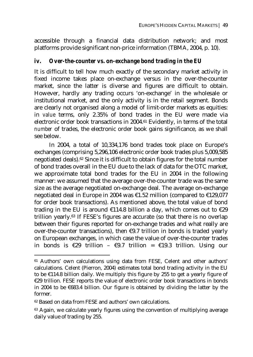accessible through a financial data distribution network; and most platforms provide significant non-price information (TBMA, 2004, p. 10).

### *iv. Over-the-counter vs. on-exchange bond trading in the EU*

It is difficult to tell how much exactly of the secondary market activity in fixed income takes place on-exchange versus in the over-the-counter market, since the latter is diverse and figures are difficult to obtain. However, hardly any trading occurs 'on-exchange' in the wholesale or institutional market, and the only activity is in the retail segment. Bonds are clearly not organised along a model of limit-order markets as equities: in *value* terms, only 2.35% of bond trades in the EU were made via electronic order book transactions in 2004.61 Evidently, in terms of the total *number* of trades, the electronic order book gains significance, as we shall see below.

In 2004, a total of 10,334,176 bond trades took place on Europe's exchanges (comprising 5,296,106 electronic order book trades plus 5,009,585 negotiated deals).62 Since it is difficult to obtain figures for the total number of bond trades overall in the EU due to the lack of data for the OTC market, we approximate total bond trades for the EU in 2004 in the following manner: we assumed that the average over-the-counter trade was the same size as the average negotiated on-exchange deal. The average on-exchange negotiated deal in Europe in 2004 was €1.52 million (compared to €129,077 for order book transactions). As mentioned above, the total value of bond trading in the EU is around  $£114.8$  billion a day, which comes out to  $£29$ trillion yearly.63 If FESE's figures are accurate (so that there is no overlap between their figures reported for on-exchange trades and what really are over-the-counter transactions), then  $\epsilon$ 9.7 trillion in bonds is traded yearly on European exchanges, in which case the value of over-the-counter trades in bonds is  $\epsilon$ 29 trillion -  $\epsilon$ 9.7 trillion =  $\epsilon$ 19.3 trillion. Using our

<sup>&</sup>lt;sup>61</sup> Authors' own calculations using data from FESE, Celent and other authors' calculations. Celent (Pierron, 2004) estimates total bond trading activity in the EU to be €114.8 billion daily. We multiply this figure by 255 to get a yearly figure of €29 trillion. FESE reports the value of electronic order book transactions in bonds in 2004 to be  $\epsilon$ 683.4 billion. Our figure is obtained by dividing the latter by the former.

<sup>62</sup> Based on data from FESE and authors' own calculations.

<sup>&</sup>lt;sup>63</sup> Again, we calculate yearly figures using the convention of multiplying average daily value of trading by 255.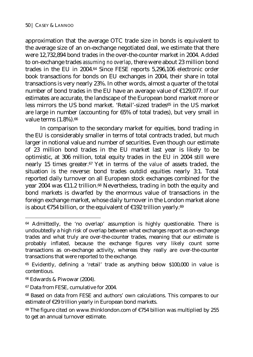approximation that the average OTC trade size in bonds is equivalent to the average size of an on-exchange negotiated deal, we estimate that there were 12,732,894 bond trades in the over-the-counter market in 2004. Added to on-exchange trades *assuming no overlap*, there were about 23 million bond trades in the EU in 2004.64 Since FESE reports 5,296,106 electronic order book transactions for bonds on EU exchanges in 2004, their share in total transactions is very nearly 23%. In other words, almost a quarter of the total number of bond trades in the EU have an average value of €129,077. If our estimates are accurate, the landscape of the European bond market more or less mirrors the US bond market. 'Retail'-sized trades<sup>65</sup> in the US market are large in number (accounting for 65% of total trades), but very small in value terms  $(1.8\%)$ .<sup>66</sup>

In comparison to the secondary market for equities, bond trading in the EU is considerably smaller in terms of total contracts traded, but much larger in notional value and number of securities. Even though our estimate of 23 million bond trades in the EU market last year is likely to be optimistic, at 306 million, total equity trades in the EU in 2004 still were nearly 15 times greater.67 Yet in terms of the *value* of assets traded, the situation is the reverse: bond trades outdid equities nearly 3:1. Total reported daily turnover on all European stock exchanges combined for the year 2004 was €11.2 trillion.<sup>68</sup> Nevertheless, trading in both the equity and bond markets is dwarfed by the enormous value of transactions in the foreign exchange market, whose daily turnover in the London market alone is about  $\epsilon$ 754 billion, or the equivalent of  $\epsilon$ 192 trillion yearly.<sup>69</sup>

 $64$  Admittedly, the 'no overlap' assumption is highly questionable. There is undoubtedly a high risk of overlap between what exchanges report as on-exchange trades and what truly are over-the-counter trades, meaning that our estimate is probably inflated, because the exchange figures very likely count some transactions as on-exchange activity, whereas they really are over-the-counter transactions that were reported to the exchange.

<sup>65</sup> Evidently, defining a 'retail' trade as anything below \$100,000 in value is contentious.

<sup>66</sup> Edwards & Piwowar (2004).

<sup>67</sup> Data from FESE, cumulative for 2004.

<sup>68</sup> Based on data from FESE and authors' own calculations. This compares to our estimate of €29 trillion yearly in European bond markets.

 $69$  The figure cited on www.thinklondon.com of  $E$ 754 billion was multiplied by 255 to get an annual turnover estimate.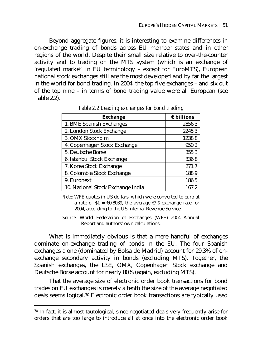Beyond aggregate figures, it is interesting to examine differences in on-exchange trading of bonds across EU member states and in other regions of the world. Despite their small size relative to over-the-counter activity and to trading on the MTS system (which is an exchange of 'regulated market' in EU terminology – except for EuroMTS), European national stock exchanges still are the most developed and by far the largest in the world for bond trading. In 2004, the top five exchanges – and six out of the top nine – in terms of bond trading value were all European (see Table 2.2).

| <b>Exchange</b>                   | $\epsilon$ billions |
|-----------------------------------|---------------------|
| 1. BME Spanish Exchanges          | 2856.3              |
| 2. London Stock Exchange          | 2245.3              |
| 3. OMX Stockholm                  | 1238.8              |
| 4. Copenhagen Stock Exchange      | 950.2               |
| 5. Deutsche Börse                 | 355.3               |
| 6. Istanbul Stock Exchange        | 336.8               |
| 7. Korea Stock Exchange           | 271.7               |
| 8. Colombia Stock Exchange        | 188.9               |
| 9. Euronext                       | 186.5               |
| 10. National Stock Exchange India | 167.2               |

*Table 2.2 Leading exchanges for bond trading* 

*Note:* WFE quotes in US dollars, which were converted to euro at a rate of  $$1 = \text{\textsterling}0.8039$ , the average  $\text{\textsterling}/\$$  exchange rate for 2004, according to the US Internal Revenue Service.

*Source*: World Federation of Exchanges (WFE) 2004 Annual Report and authors' own calculations.

What is immediately obvious is that a mere handful of exchanges dominate on-exchange trading of bonds in the EU. The four Spanish exchanges alone (dominated by Bolsa de Madrid) account for 29.3% of onexchange secondary activity in bonds (excluding MTS). Together, the Spanish exchanges, the LSE, OMX, Copenhagen Stock exchange and Deutsche Börse account for nearly 80% (again, excluding MTS).

That the average size of electronic order book transactions for bond trades on EU exchanges is merely a tenth the size of the average negotiated deals seems logical.70 Electronic order book transactions are typically used

 $70$  In fact, it is almost tautological, since negotiated deals very frequently arise for orders that are too large to introduce all at once into the electronic order book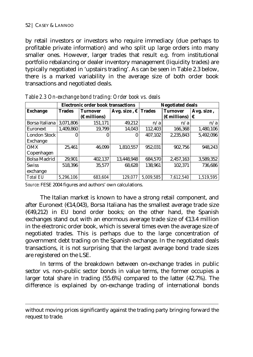$\overline{a}$ 

by retail investors or investors who require immediacy (due perhaps to profitable private information) and who split up large orders into many smaller ones. However, larger trades that result e.g. from institutional portfolio rebalancing or dealer inventory management (liquidity trades) are typically negotiated in 'upstairs trading'. As can be seen in Table 2.3 below, there is a marked variability in the average size of both order book transactions and negotiated deals.

|                     |               | <b>Electronic order book transactions</b> |                              |           | <b>Negotiated deals</b> |            |
|---------------------|---------------|-------------------------------------------|------------------------------|-----------|-------------------------|------------|
| <b>Exchange</b>     | <b>Trades</b> | <b>Turnover</b>                           | Avg. size, $\epsilon$ Trades |           | <b>Turnover</b>         | Avg. size, |
|                     |               | $(E$ millions)                            |                              |           | $(\epsilon$ millions)   | ⊩ ا        |
| Borsa Italiana      | 3,071,806     | 151,171                                   | 49,212                       | n/a       | n/a                     | n/a        |
| Euronext            | 1,409,860     | 19,799                                    | 14,043                       | 112,403   | 166,368                 | 1,480,106  |
| London Stock        |               |                                           |                              | 407,102   | 2,235,843               | 5,492,096  |
| Exchange            |               |                                           |                              |           |                         |            |
| OMX                 | 25,461        | 46.099                                    | 1,810,557                    | 952,031   | 902,756                 | 948,243    |
| Copenhagen          |               |                                           |                              |           |                         |            |
| <b>Bolsa Madrid</b> | 29,901        | 402,137                                   | 13,448,948                   | 684,570   | 2,457,163               | 3,589,352  |
| <b>Swiss</b>        | 518,396       | 35,577                                    | 68,628                       | 138,961   | 102,371                 | 736,686    |
| exchange            |               |                                           |                              |           |                         |            |
| <b>Total EU</b>     | 5.296.106     | 683.604                                   | 129.077                      | 5,009,585 | 7.612.540               | 1,519,595  |

*Table 2.3 On-exchange bond trading: Order book vs. deals* 

*Source*: FESE 2004 figures and authors' own calculations.

The Italian market is known to have a strong retail component, and after Euronext (€14,043), Borsa Italiana has the smallest average trade size  $(649,212)$  in EU bond order books; on the other hand, the Spanish exchanges stand out with an enormous average trade size of €13.4 million in the electronic order book, which is several times even the average size of negotiated trades. This is perhaps due to the large concentration of government debt trading on the Spanish exchange. In the negotiated deals transactions, it is not surprising that the largest average bond trade sizes are registered on the LSE.

In terms of the breakdown between on-exchange trades in public sector vs. non-public sector bonds in value terms, the former occupies a larger total share in trading (55.6%) compared to the latter (42.7%). The difference is explained by on-exchange trading of international bonds

without moving prices significantly against the trading party bringing forward the request to trade.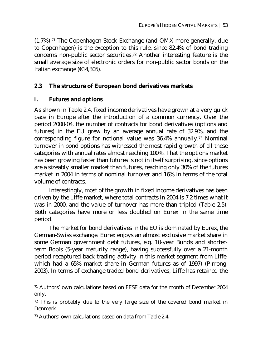(1.7%).71 The Copenhagen Stock Exchange (and OMX more generally, due to Copenhagen) is the exception to this rule, since 82.4% of bond trading concerns non-public sector securities.72 Another interesting feature is the small average size of electronic orders for non-public sector bonds on the Italian exchange (€14,305).

## **2.3 The structure of European bond derivatives markets**

## *i. Futures and options*

 $\overline{a}$ 

As shown in Table 2.4, fixed income derivatives have grown at a very quick pace in Europe after the introduction of a common currency. Over the period 2000-04, the number of contracts for bond derivatives (options and futures) in the EU grew by an average annual rate of 32.9%, and the corresponding figure for notional value was 36.4% annually.73 Nominal turnover in bond options has witnessed the most rapid growth of all these categories with annual rates almost reaching 100%. That the options market has been growing faster than futures is not in itself surprising, since options are a sizeably smaller market than futures, reaching only 30% of the futures market in 2004 in terms of nominal turnover and 16% in terms of the total volume of contracts.

Interestingly, most of the growth in fixed income derivatives has been driven by the Liffe market, where total contracts in 2004 is 7.2 times what it was in 2000, and the value of turnover has more than tripled (Table 2.5). Both categories have more or less doubled on Eurex in the same time period.

The market for bond derivatives in the EU is dominated by Eurex, the German-Swiss exchange. Eurex enjoys an almost exclusive market share in some German government debt futures, e.g. 10-year Bunds and shorterterm Bobls (5-year maturity range), having successfully over a 21-month period recaptured back trading activity in this market segment from Liffe, which had a 65% market share in German futures as of 1997) (Pirrong, 2003). In terms of exchange traded bond derivatives, Liffe has retained the

<sup>71</sup> Authors' own calculations based on FESE data for the month of December 2004 only.

 $72$  This is probably due to the very large size of the covered bond market in Denmark.

<sup>73</sup> Authors' own calculations based on data from Table 2.4.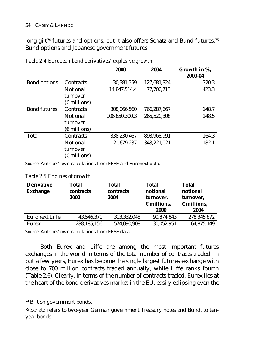#### 54 | CASEY & LANNOO

long gilt<sup>74</sup> futures and options, but it also offers Schatz and Bund futures,<sup>75</sup> Bund options and Japanese government futures.

|                     |                       | 2000          | 2004        | Growth in %,<br>2000-04 |
|---------------------|-----------------------|---------------|-------------|-------------------------|
| Bond options        | Contracts             | 30,381,359    | 127,681,324 | 320.3                   |
|                     | <b>Notional</b>       | 14,847,514.4  | 77,700,713  | 423.3                   |
|                     | turnover              |               |             |                         |
|                     | $(E$ millions)        |               |             |                         |
| <b>Bond futures</b> | Contracts             | 308,066,560   | 766,287,667 | 148.7                   |
|                     | <b>Notional</b>       | 106,850,300.3 | 265,520,308 | 148.5                   |
|                     | turnover              |               |             |                         |
|                     | $(\epsilon$ millions) |               |             |                         |
| Total               | Contracts             | 338.230.467   | 893,968,991 | 164.3                   |
|                     | Notional              | 121,679,237   | 343,221,021 | 182.1                   |
|                     | turnover              |               |             |                         |
|                     | $(E$ millions)        |               |             |                         |

*Table 2.4 European bond derivatives' explosive growth* 

*Source*: Authors' own calculations from FESE and Euronext data.

*Table 2.5 Engines of growth* 

| <b>Derivative</b><br><b>Exchange</b> | <b>Total</b><br>contracts<br>2000 | <b>Total</b><br>contracts<br>2004 | <b>Total</b><br>notional<br>turnover,<br>$\epsilon$ millions,<br>2000 | <b>Total</b><br>notional<br>turnover,<br>$\epsilon$ millions,<br>2004 |
|--------------------------------------|-----------------------------------|-----------------------------------|-----------------------------------------------------------------------|-----------------------------------------------------------------------|
| Euronext.Liffe                       | 43,546,371                        | 313,332,048                       | 90,874,843                                                            | 278,345,872                                                           |
| <b>Eurex</b>                         | 288, 185, 156                     | 574,090,908                       | 30,052,951                                                            | 64,875,149                                                            |

*Source*: Authors' own calculations from FESE data.

Both Eurex and Liffe are among the most important futures exchanges in the world in terms of the total number of contracts traded. In but a few years, Eurex has become the single largest futures exchange with close to 700 million contracts traded annually, while Liffe ranks fourth (Table 2.6). Clearly, in terms of the number of contracts traded, Eurex lies at the heart of the bond derivatives market in the EU, easily eclipsing even the

<sup>74</sup> British government bonds.

<sup>75</sup> Schatz refers to two-year German government Treasury notes and Bund, to tenyear bonds.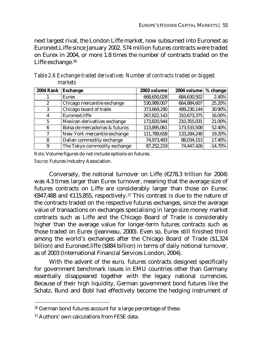next largest rival, the London Liffe market, now subsumed into Euronext as Euronext.Liffe since January 2002. 574 million futures contracts were traded on Eurex in 2004, or more 1.8 times the number of contracts traded on the Liffe exchange.76

| <b>2004 Rank</b> | <b>Exchange</b>                | 2003 volume | 2004 volume | % change   |
|------------------|--------------------------------|-------------|-------------|------------|
|                  | Eurex                          | 668,650,028 | 684,630,502 | 2.40%      |
| 2                | Chicago mercantile exchange    | 530,989,007 | 664,884,607 | 25.20%     |
| 3                | Chicago board of trade         | 373,669,290 | 489.230.144 | 30.90%     |
| 4                | Euronext.liffe                 | 267,822,143 | 310,673,375 | 16.00%     |
| 5                | Mexican derivatives exchange   | 173,820,944 | 210,355,031 | 21.00%     |
| 6                | Bolsa de mercadorias & futuros | 113,895,061 | 173,533,508 | 52.40%     |
| 7                | New York mercantile exchange   | 111,789,658 | 133,284,248 | 19.20%     |
| 8                | Dalian commodity exchange      | 74,973,493  | 88.034.153  | 17.40%     |
| 9                | The Tokyo commodity exchange   | 87,252,219  | 74,447,426  | $-14.70\%$ |

*Table 2.6 Exchange-traded derivatives: Number of contracts traded on biggest markets* 

*Note*: Volume figures do not include options on futures. *Source*: Futures Industry Association.

Conversely, the notional turnover on Liffe ( $\epsilon$ 278.3 trillion for 2004) was 4.3 times larger than Eurex turnover, meaning that the average size of futures contracts on Liffe are considerably larger than those on Eurex: €847,488 and €115,855, respectively.77 This contrast is due to the nature of the contracts traded on the respective futures exchanges, since the average value of transactions on exchanges specialising in large-size money market contracts such as Liffe and the Chicago Board of Trade is considerably higher than the average value for longer-term futures contracts such as those traded on Eurex (Jeanneau, 2000). Even so, Eurex still finished third among the world's exchanges after the Chicago Board of Trade (\$1,324 billion) and Euronext.liffe (\$884 billion) in terms of daily notional turnover, as of 2003 (International Financial Services London, 2004).

With the advent of the euro, futures contracts designed specifically for government benchmark issues in EMU countries other than Germany essentially disappeared together with the legacy national currencies. Because of their high liquidity, German government bond futures like the Schatz, Bund and Bobl had effectively become the hedging instrument of

<sup>76</sup> German bond futures account for a large percentage of these.

<sup>77</sup> Authors' own calculations from FESE data.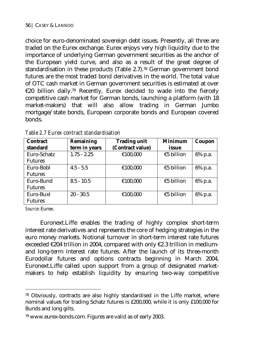choice for euro-denominated sovereign debt issues. Presently, all three are traded on the Eurex exchange. Eurex enjoys very high liquidity due to the importance of underlying German government securities as the anchor of the European yield curve, and also as a result of the great degree of standardisation in these products (Table 2.7).78 German government bond futures are the most traded bond derivatives in the world. The total value of OTC cash market in German government securities is estimated at over €20 billion daily.79 Recently, Eurex decided to wade into the fiercely competitive cash market for German bonds, launching a platform (with 18 market-makers) that will also allow trading in German Jumbo mortgage/state bonds, European corporate bonds and European covered bonds.

| <b>Contract</b> | Remaining     | <b>Trading unit</b> | <b>Minimum</b> | Coupon  |
|-----------------|---------------|---------------------|----------------|---------|
| standard        | term in years | (Contract value)    | issue          |         |
| Euro-Schatz     | $1.75 - 2.25$ | €100,000            | €5 billion     | 6% p.a. |
| <b>Futures</b>  |               |                     |                |         |
| Euro-Bobl       | $4.5 - 5.5$   | €100,000            | €5 billion     | 6% p.a. |
| <b>Futures</b>  |               |                     |                |         |
| Euro-Bund       | $8.5 - 10.5$  | €100,000            | €5 billion     | 6% p.a. |
| <b>Futures</b>  |               |                     |                |         |
| Euro-Buxl       | $20 - 30.5$   | €100,000            | €5 billion     | 6% p.a. |
| <b>Futures</b>  |               |                     |                |         |

*Table 2.7 Eurex contract standardisation* 

*Source*: Eurex.

 $\overline{a}$ 

Euronext.Liffe enables the trading of highly complex short-term interest rate derivatives and represents the core of hedging strategies in the euro money markets. Notional turnover in short-term interest rate futures exceeded €204 trillion in 2004, compared with only €2.3 trillion in mediumand long-term interest rate futures. After the launch of its three-month Eurodollar futures and options contracts beginning in March 2004, Euronext.Liffe called upon support from a group of designated marketmakers to help establish liquidity by ensuring two-way competitive

 $78$  Obviously, contracts are also highly standardised in the Liffe market, where nominal values for trading Schatz futures is £200,000, while it is only £100,000 for Bunds and long gilts.

<sup>79</sup> www.eurex-bonds.com. Figures are valid as of early 2003.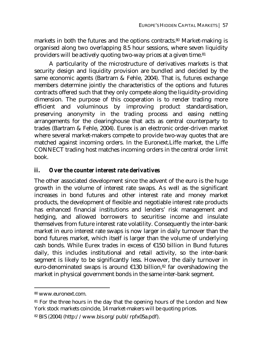markets in both the futures and the options contracts.80 Market-making is organised along two overlapping 8.5 hour sessions, where seven liquidity providers will be actively quoting two-way prices at a given time.81

A particularity of the microstructure of derivatives markets is that security design and liquidity provision are bundled and decided by the same economic agents (Bartram & Fehle, 2004). That is, futures exchange members determine jointly the characteristics of the options and futures contracts offered such that they only compete along the liquidity-providing dimension. The purpose of this cooperation is to render trading more efficient and voluminous by improving product standardisation, preserving anonymity in the trading process and easing netting arrangements for the clearinghouse that acts as central counterparty to trades (Bartram & Fehle, 2004). Eurex is an electronic order-driven market where several market-makers compete to provide two-way quotes that are matched against incoming orders. In the Euronext.Liffe market, the Liffe CONNECT trading host matches incoming orders in the central order limit book.

## *ii. Over the counter interest rate derivatives*

The other associated development since the advent of the euro is the huge growth in the volume of interest rate swaps. As well as the significant increases in bond futures and other interest rate and money market products, the development of flexible and negotiable interest rate products has enhanced financial institutions and lenders' risk management and hedging, and allowed borrowers to securitise income and insulate themselves from future interest rate volatility. Consequently the inter-bank market in euro interest rate swaps is now larger in daily turnover than the bond futures market, which itself is larger than the volume of underlying cash bonds. While Eurex trades in excess of €150 billion in Bund futures daily, this includes institutional and retail activity, so the inter-bank segment is likely to be significantly less. However, the daily turnover in euro-denominated swaps is around  $\epsilon$ 130 billion,<sup>82</sup> far overshadowing the market in physical government bonds in the same inter-bank segment.

<sup>80</sup> www.euronext.com.

<sup>&</sup>lt;sup>81</sup> For the three hours in the day that the opening hours of the London and New York stock markets coincide, 14 market-makers will be quoting prices.

<sup>82</sup> BIS (2004) (http://www.bis.org/publ/rpfx05a.pdf).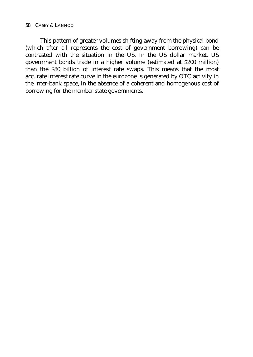#### 58 | CASEY & LANNOO

This pattern of greater volumes shifting away from the physical bond (which after all represents the cost of government borrowing) can be contrasted with the situation in the US. In the US dollar market, US government bonds trade in a higher volume (estimated at \$200 million) than the \$80 billion of interest rate swaps. This means that the most accurate interest rate curve in the eurozone is generated by OTC activity in the inter-bank space, in the absence of a coherent and homogenous cost of borrowing for the member state governments.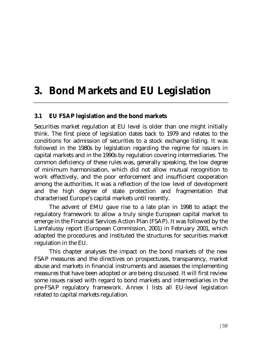## **3. Bond Markets and EU Legislation**

## **3.1 EU FSAP legislation and the bond markets**

Securities market regulation at EU level is older than one might initially think. The first piece of legislation dates back to 1979 and relates to the conditions for admission of securities to a stock exchange listing. It was followed in the 1980s by legislation regarding the regime for issuers in capital markets and in the 1990s by regulation covering intermediaries. The common deficiency of these rules was, generally speaking, the low degree of minimum harmonisation, which did not allow mutual recognition to work effectively, and the poor enforcement and insufficient cooperation among the authorities. It was a reflection of the low level of development and the high degree of state protection and fragmentation that characterised Europe's capital markets until recently.

The advent of EMU gave rise to a late plan in 1998 to adapt the regulatory framework to allow a truly single European capital market to emerge in the Financial Services Action Plan (FSAP). It was followed by the Lamfalussy report (European Commission, 2001) in February 2001, which adapted the procedures and instituted the structures for securities market regulation in the EU.

This chapter analyses the impact on the bond markets of the new FSAP measures and the directives on prospectuses, transparency, market abuse and markets in financial instruments and assesses the implementing measures that have been adopted or are being discussed. It will first review some issues raised with regard to bond markets and intermediaries in the pre-FSAP regulatory framework. Annex I lists all EU-level legislation related to capital markets regulation.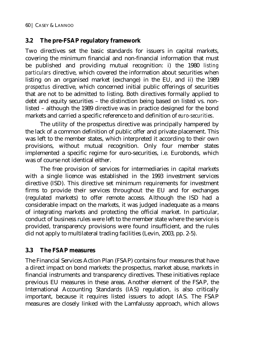## **3.2 The pre-FSAP regulatory framework**

Two directives set the basic standards for issuers in capital markets, covering the minimum financial and non-financial information that must be published and providing mutual recognition: i) the 1980 *listing particulars* directive, which covered the information about securities when listing on an organised market (exchange) in the EU, and ii) the 1989 *prospectus* directive, which concerned initial public offerings of securities that are not to be admitted to listing. Both directives formally applied to debt and equity securities – the distinction being based on listed vs. nonlisted – although the 1989 directive was in practice designed for the bond markets and carried a specific reference to and definition of *euro-securities*.

The utility of the prospectus directive was principally hampered by the lack of a common definition of public offer and private placement. This was left to the member states, which interpreted it according to their own provisions, without mutual recognition. Only four member states implemented a specific regime for euro-securities, i.e. Eurobonds, which was of course not identical either.

The free provision of services for intermediaries in capital markets with a single licence was established in the 1993 investment services directive (ISD). This directive set minimum requirements for investment firms to provide their services throughout the EU and for exchanges (regulated markets) to offer remote access. Although the ISD had a considerable impact on the markets, it was judged inadequate as a means of integrating markets and protecting the official market. In particular, conduct of business rules were left to the member state where the service is provided, transparency provisions were found insufficient, and the rules did not apply to multilateral trading facilities (Levin, 2003, pp. 2-5).

## **3.3 The FSAP measures**

The Financial Services Action Plan (FSAP) contains four measures that have a direct impact on bond markets: the prospectus, market abuse, markets in financial instruments and transparency directives. These initiatives replace previous EU measures in these areas. Another element of the FSAP, the International Accounting Standards (IAS) regulation, is also critically important, because it requires listed issuers to adopt IAS. The FSAP measures are closely linked with the Lamfalussy approach, which allows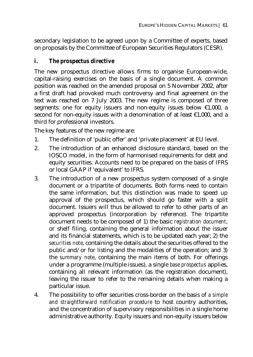secondary legislation to be agreed upon by a Committee of experts, based on proposals by the Committee of European Securities Regulators (CESR).

## *i. The prospectus directive*

The new prospectus directive allows firms to organise European-wide, capital-raising exercises on the basis of a single document. A common position was reached on the amended proposal on 5 November 2002, after a first draft had provoked much controversy and final agreement on the text was reached on 7 July 2003. The new regime is composed of three segments: one for equity issuers and non-equity issues below €1,000, a second for non-equity issues with a denomination of at least €1,000, and a third for professional investors.

The key features of the new regime are:

- 1. The definition of 'public offer' and 'private placement' at EU level.
- 2. The introduction of an enhanced disclosure standard, based on the IOSCO model, in the form of harmonised requirements for debt and equity securities. Accounts need to be prepared on the basis of IFRS or local GAAP if 'equivalent' to IFRS.
- 3. The introduction of a new prospectus system composed of a single document or a tripartite of documents. Both forms need to contain the same information, but this distinction was made to speed up approval of the prospectus, which should go faster with a split document. Issuers will thus be allowed to refer to other parts of an approved prospectus (incorporation by reference). The tripartite document needs to be composed of 1) the basic *registration document*, or shelf filing, containing the general information about the issuer and its financial statements, which is to be updated each year; 2) the *securities note*, containing the details about the securities offered to the public and/or for listing and the modalities of the operation; and 3) the *summary note*, containing the main items of both. For offerings under a programme (multiple issues), a single *base prospectus* applies, containing all relevant information (as the registration document), leaving the issuer to refer to the remaining details when making a particular issue.
- 4. The possibility to offer securities cross-border on the basis of *a simple and straightforward notification procedure* to host country authorities, and the concentration of supervisory responsibilities in a single home administrative authority. Equity issuers and non-equity issuers below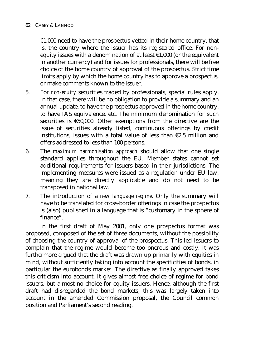$£1,000$  need to have the prospectus vetted in their home country, that is, the country where the issuer has its registered office. For nonequity issues with a denomination of at least €1,000 (or the equivalent in another currency) and for issues for professionals, there will be free choice of the home country of approval of the prospectus. Strict time limits apply by which the home country has to approve a prospectus, or make comments known to the issuer.

- 5. For *non-equity* securities traded by professionals, special rules apply. In that case, there will be no obligation to provide a summary and an annual update, to have the prospectus approved in the home country, to have IAS equivalence, etc. The minimum denomination for such securities is €50,000. Other exemptions from the directive are the issue of securities already listed, continuous offerings by credit institutions, issues with a total value of less than  $\epsilon$ 2.5 million and offers addressed to less than 100 persons.
- 6. The *maximum harmonisation approach* should allow that one single standard applies throughout the EU. Member states cannot set additional requirements for issuers based in their jurisdictions. The implementing measures were issued as a regulation under EU law, meaning they are directly applicable and do not need to be transposed in national law.
- 7. The introduction of a *new language regime*. Only the summary will have to be translated for cross-border offerings in case the prospectus is (also) published in a language that is "customary in the sphere of finance".

In the first draft of May 2001, only one prospectus format was proposed, composed of the set of three documents, without the possibility of choosing the country of approval of the prospectus. This led issuers to complain that the regime would become too onerous and costly. It was furthermore argued that the draft was drawn up primarily with equities in mind, without sufficiently taking into account the specificities of bonds, in particular the eurobonds market. The directive as finally approved takes this criticism into account. It gives almost free choice of regime for bond issuers, but almost no choice for equity issuers. Hence, although the first draft had disregarded the bond markets, this was largely taken into account in the amended Commission proposal, the Council common position and Parliament's second reading.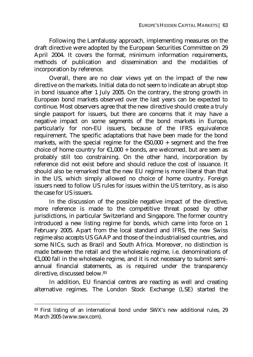Following the Lamfalussy approach, implementing measures on the draft directive were adopted by the European Securities Committee on 29 April 2004. It covers the format, minimum information requirements, methods of publication and dissemination and the modalities of incorporation by reference.

Overall, there are no clear views yet on the impact of the new directive on the markets. Initial data do not seem to indicate an abrupt stop in bond issuance after 1 July 2005. On the contrary, the strong growth in European bond markets observed over the last years can be expected to continue. Most observers agree that the new directive should create a truly single passport for issuers, but there are concerns that it may have a negative impact on some segments of the bond markets in Europe, particularly for non-EU issuers, because of the IFRS equivalence requirement. The specific adaptations that have been made for the bond markets, with the special regime for the  $\epsilon$ 50,000 + segment and the free choice of home country for  $\epsilon$ 1,000 + bonds, are welcomed, but are seen as probably still too constraining. On the other hand, incorporation by reference did not exist before and should reduce the cost of issuance. It should also be remarked that the new EU regime is more liberal than that in the US, which simply allowed no choice of home country. Foreign issuers need to follow US rules for issues within the US territory, as is also the case for US issuers.

In the discussion of the possible negative impact of the directive, more reference is made to the competitive threat posed by other jurisdictions, in particular Switzerland and Singapore. The former country introduced a new listing regime for bonds, which came into force on 1 February 2005. Apart from the local standard and IFRS, the new Swiss regime also accepts US GAAP and those of the industrialised countries, and some NICs, such as Brazil and South Africa. Moreover, no distinction is made between the retail and the wholesale regime, i.e. denominations of €1,000 fall in the wholesale regime, and it is not necessary to submit semiannual financial statements, as is required under the transparency directive, discussed below.83

In addition, EU financial centres are reacting as well and creating alternative regimes. The London Stock Exchange (LSE) started the

 $\overline{a}$ 

<sup>83</sup> First listing of an international bond under SWX's new additional rules, 29 March 2005 (www.swx.com).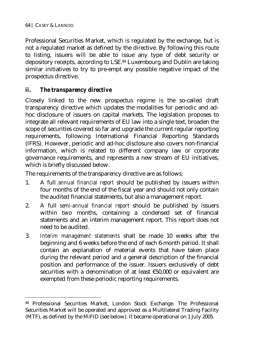$\overline{a}$ 

Professional Securities Market, which is regulated by the exchange, but is not a regulated market as defined by the directive. By following this route to listing, issuers will be able to issue any type of debt security or depository receipts, according to LSE.84 Luxembourg and Dublin are taking similar initiatives to try to pre-empt any possible negative impact of the prospectus directive.

# *ii. The transparency directive*

Closely linked to the new prospectus regime is the so-called draft transparency directive which updates the modalities for periodic and adhoc disclosure of issuers on capital markets. The legislation proposes to integrate all relevant requirements of EU law into a single text, broaden the scope of securities covered so far and upgrade the current regular reporting requirements, following International Financial Reporting Standards (IFRS). However, periodic and ad-hoc disclosure also covers non-financial information, which is related to different company law or corporate governance requirements, and represents a new stream of EU initiatives, which is briefly discussed below.

The requirements of the transparency directive are as follows:

- 1. A full *annual financial report* should be published by issuers within four months of the end of the fiscal year and should not only contain the audited financial statements, but also a management report.
- 2. A full *semi-annual financial report* should be published by issuers within two months, containing a condensed set of financial statements and an interim management report. This report does not need to be audited.
- 3. *Interim management statements* shall be made 10 weeks after the beginning and 6 weeks before the end of each 6-month period. It shall contain an explanation of material events that have taken place during the relevant period and a general description of the financial position and performance of the issuer. Issuers exclusively of debt securities with a denomination of at least €50,000 or equivalent are exempted from these periodic reporting requirements.

<sup>84</sup> Professional Securities Market, London Stock Exchange. The Professional Securities Market will be operated and approved as a Multilateral Trading Facility (MTF), as defined by the MiFID (see below). It became operational on 1 July 2005.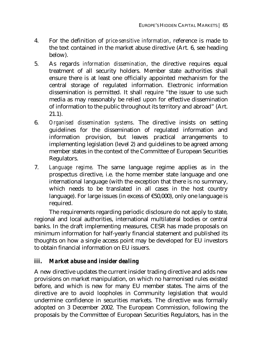- 4. For the definition of *price-sensitive information*, reference is made to the text contained in the market abuse directive (Art. 6, see heading below).
- 5. As regards *information dissemination*, the directive requires equal treatment of all security holders. Member state authorities shall ensure there is at least one officially appointed mechanism for the central storage of regulated information. Electronic information dissemination is permitted. It shall require "the issuer to use such media as may reasonably be relied upon for effective dissemination of information to the public throughout its territory and abroad" (Art. 21.1).
- 6. *Organised dissemination systems*. The directive insists on setting guidelines for the dissemination of regulated information and information provision, but leaves practical arrangements to implementing legislation (level 2) and guidelines to be agreed among member states in the context of the Committee of European Securities Regulators.
- 7. *Language regime*. The same language regime applies as in the prospectus directive, i.e. the home member state language and one international language (with the exception that there is no summary, which needs to be translated in all cases in the host country language). For large issues (in excess of €50,000), only one language is required.

The requirements regarding periodic disclosure do not apply to state, regional and local authorities, international multilateral bodies or central banks. In the draft implementing measures, CESR has made proposals on minimum information for half-yearly financial statement and published its thoughts on how a single access point may be developed for EU investors to obtain financial information on EU issuers.

## *iii. Market abuse and insider dealing*

A new directive updates the current insider trading directive and adds new provisions on market manipulation, on which no harmonised rules existed before, and which is new for many EU member states. The aims of the directive are to avoid loopholes in Community legislation that would undermine confidence in securities markets. The directive was formally adopted on 3 December 2002. The European Commission, following the proposals by the Committee of European Securities Regulators, has in the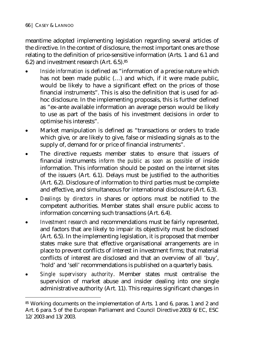$\overline{a}$ 

meantime adopted implementing legislation regarding several articles of the directive. In the context of disclosure, the most important ones are those relating to the definition of price-sensitive information (Arts. 1 and 6.1 and 6.2) and investment research (Art. 6.5).85

- *Inside information* is defined as "information of a precise nature which has not been made public (…) and which, if it were made public, would be likely to have a significant effect on the prices of those financial instruments". This is also the definition that is used for adhoc disclosure. In the implementing proposals, this is further defined as "ex-ante available information an average person would be likely to use as part of the basis of his investment decisions in order to optimise his interests".
- Market manipulation is defined as "transactions or orders to trade which give, or are likely to give, false or misleading signals as to the supply of, demand for or price of financial instruments".
- The directive requests member states to ensure that issuers of financial instruments *inform the public as soon as possible* of inside information. This information should be posted on the internet sites of the issuers (Art. 6.1). Delays must be justified to the authorities (Art. 6.2). Disclosure of information to third parties must be complete and effective, and simultaneous for international disclosure (Art. 6.3).
- *Dealings by directors* in shares or options must be notified to the competent authorities. Member states shall ensure public access to information concerning such transactions (Art. 6.4).
- *Investment research* and recommendations must be fairly represented, and factors that are likely to impair its objectivity must be disclosed (Art. 6.5). In the implementing legislation, it is proposed that member states make sure that effective organisational arrangements are in place to prevent conflicts of interest in investment firms; that material conflicts of interest are disclosed and that an overview of all 'buy', 'hold' and 'sell' recommendations is published on a quarterly basis.
- *Single supervisory authority*. Member states must centralise the supervision of market abuse and insider dealing into one single administrative authority (Art. 11). This requires significant changes in

<sup>85</sup> Working documents on the implementation of Arts. 1 and 6, paras. 1 and 2 and Art. 6 para. 5 of the European Parliament and Council Directive 2003/6/EC, ESC 12/2003 and 13/2003.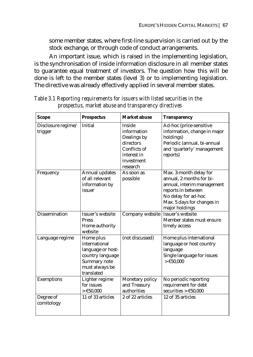some member states, where first-line supervision is carried out by the stock exchange, or through code of conduct arrangements.

An important issue, which is raised in the implementing legislation, is the synchronisation of inside information disclosure in all member states to guarantee equal treatment of investors. The question how this will be done is left to the member states (level 3) or to implementing legislation. The directive was already effectively applied in several member states.

| <b>Scope</b>                  | <b>Prospectus</b>                                                                                                   | <b>Market abuse</b>                                                                                               | <b>Transparency</b>                                                                                                                                                           |
|-------------------------------|---------------------------------------------------------------------------------------------------------------------|-------------------------------------------------------------------------------------------------------------------|-------------------------------------------------------------------------------------------------------------------------------------------------------------------------------|
| Disclosure regime/<br>trigger | Initial                                                                                                             | <b>Inside</b><br>information<br>Dealings by<br>directors<br>Conflicts of<br>interest in<br>investment<br>research | Ad-hoc (price-sensitive<br>information, change in major<br>holdings)<br>Periodic (annual, bi-annual<br>and 'quarterly' management<br>reports)                                 |
| Frequency                     | Annual updates<br>of all relevant<br>information by<br>issuer                                                       | As soon as<br>possible                                                                                            | Max. 3-month delay for<br>annual. 2 months for bi-<br>annual, interim management<br>reports in between<br>No delay for ad-hoc<br>Max. 5 days for changes in<br>major holdings |
| Dissemination                 | Issuer's website<br><b>Press</b><br>Home authority<br>website                                                       | Company website                                                                                                   | Issuer's website<br>Member states must ensure<br>timely access                                                                                                                |
| Language regime               | Home plus<br>international<br>language or host-<br>country language<br>Summary note<br>must always be<br>translated | (not discussed)                                                                                                   | Home plus international<br>language or host country<br>language<br>Single language for issues<br>> €50,000                                                                    |
| Exemptions                    | Lighter regime<br>for issues<br>> €50,000                                                                           | Monetary policy<br>and Treasury<br>authorities                                                                    | No periodic reporting<br>requirement for debt<br>securities $> \text{\textsterling}50,000$                                                                                    |
| Degree of<br>comitology       | 11 of 33 articles                                                                                                   | 2 of 22 articles                                                                                                  | 12 of 35 articles                                                                                                                                                             |

*Table 3.1 Reporting requirements for issuers with listed securities in the prospectus, market abuse and transparency directives*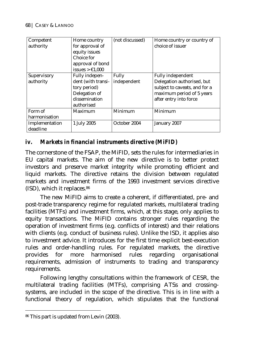| Competent<br>authority     | Home country<br>for approval of<br>equity issues<br>Choice for<br>approval of bond<br>issues $> \text{\textsterling}1,000$ | (not discussed)      | Home country or country of<br>choice of issuer                                                                                                 |
|----------------------------|----------------------------------------------------------------------------------------------------------------------------|----------------------|------------------------------------------------------------------------------------------------------------------------------------------------|
| Supervisory<br>authority   | <b>Fully indepen-</b><br>dent (with transi-<br>tory period)<br>Delegation of<br>dissemination<br>authorised                | Fully<br>independent | <b>Fully independent</b><br>Delegation authorised, but<br>subject to caveats, and for a<br>maximum period of 5 years<br>after entry into force |
| Form of<br>harmonisation   | Maximum                                                                                                                    | Minimum              | Minimum                                                                                                                                        |
| Implementation<br>deadline | 1 July 2005                                                                                                                | October 2004         | January 2007                                                                                                                                   |

## *iv. Markets in financial instruments directive (MiFID)*

The cornerstone of the FSAP, the MiFID, sets the rules for intermediaries in EU capital markets. The aim of the new directive is to better protect investors and preserve market integrity while promoting efficient and liquid markets. The directive retains the division between regulated markets and investment firms of the 1993 investment services directive (ISD), which it replaces.86

The new MiFID aims to create a coherent, if differentiated, pre- and post-trade transparency regime for regulated markets, multilateral trading facilities (MTFs) and investment firms, which, at this stage, only applies to equity transactions. The MiFID contains stronger rules regarding the operation of investment firms (e.g. conflicts of interest) and their relations with clients (e.g. conduct of business rules). Unlike the ISD, it applies also to investment advice. It introduces for the first time explicit best-execution rules and order-handling rules. For regulated markets, the directive provides for more harmonised rules regarding organisational requirements, admission of instruments to trading and transparency requirements.

Following lengthy consultations within the framework of CESR, the multilateral trading facilities (MTFs), comprising ATSs and crossingsystems, are included in the scope of the directive. This is in line with a functional theory of regulation, which stipulates that the functional

 $\overline{a}$ 

<sup>86</sup> This part is updated from Levin (2003).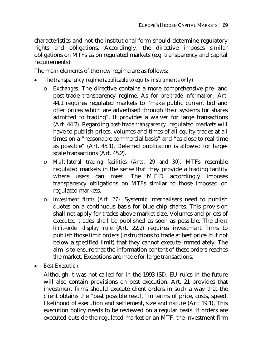characteristics and not the institutional form should determine regulatory rights and obligations. Accordingly, the directive imposes similar obligations on MTFs as on regulated markets (e.g. transparency and capital requirements).

The main elements of the new regime are as follows:

- *The transparency regime (applicable to equity instruments only):* 
	- o *Exchanges.* The directive contains a more comprehensive pre- and post-trade transparency regime. As for *pre-trade information*, Art. 44.1 requires regulated markets to "make public current bid and offer prices which are advertised through their systems for shares admitted to trading". It provides a waiver for large transactions (Art. 44.2). Regarding *post-trade transparency*, regulated markets will have to publish prices, volumes and times of all equity trades at all times on a "reasonable commercial basis" and "as close to real-time as possible" (Art. 45.1). Deferred publication is allowed for largescale transactions (Art. 45.2).
	- o *Multilateral trading facilities (Arts. 29 and 30).* MTFs resemble regulated markets in the sense that they provide a trading facility where users can meet. The MiFID accordingly imposes transparency obligations on MTFs similar to those imposed on regulated markets.
	- o *Investment firms (Art. 27).* Systemic internalisers need to publish quotes on a continuous basis for blue chip shares. This provision shall not apply for trades above market size. Volumes and prices of executed trades shall be published as soon as possible. The *client limit-order display rule* (Art. 22.2) requires investment firms to publish those limit orders (instructions to trade at best price, but not below a specified limit) that they cannot execute immediately. The aim is to ensure that the information content of these orders reaches the market. Exceptions are made for large transactions.
- *Best Execution*

Although it was not called for in the 1993 ISD, EU rules in the future will also contain provisions on best execution. Art. 21 provides that investment firms should execute client orders in such a way that the client obtains the "best possible result" in terms of price, costs, speed, likelihood of execution and settlement, size and nature (Art. 19.1). This execution policy needs to be reviewed on a regular basis. If orders are executed outside the regulated market or an MTF, the investment firm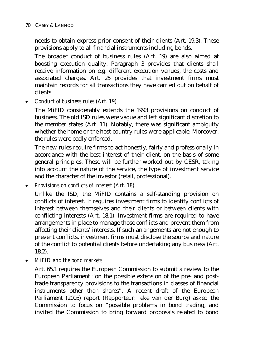needs to obtain express prior consent of their clients (Art. 19.3). These provisions apply to all financial instruments including bonds.

The broader conduct of business rules (Art. 19) are also aimed at boosting execution quality. Paragraph 3 provides that clients shall receive information on e.g. different execution venues, the costs and associated charges. Art. 25 provides that investment firms must maintain records for all transactions they have carried out on behalf of clients.

• *Conduct of business rules (Art. 19)* 

The MiFID considerably extends the 1993 provisions on conduct of business. The old ISD rules were vague and left significant discretion to the member states (Art. 11). Notably, there was significant ambiguity whether the home or the host country rules were applicable. Moreover, the rules were badly enforced.

The new rules require firms to act honestly, fairly and professionally in accordance with the best interest of their client, on the basis of some general principles. These will be further worked out by CESR, taking into account the nature of the service, the type of investment service and the character of the investor (retail, professional).

• *Provisions on conflicts of interest (Art. 18)* 

Unlike the ISD, the MiFID contains a self-standing provision on conflicts of interest. It requires investment firms to identify conflicts of interest between themselves and their clients or between clients with conflicting interests (Art. 18.1). Investment firms are required to have arrangements in place to manage those conflicts and prevent them from affecting their clients' interests. If such arrangements are not enough to prevent conflicts, investment firms must disclose the source and nature of the conflict to potential clients before undertaking any business (Art. 18.2).

• *MiFID and the bond markets* 

Art. 65.1 requires the European Commission to submit a review to the European Parliament "on the possible extension of the pre- and posttrade transparency provisions to the transactions in classes of financial instruments other than shares". A recent draft of the European Parliament (2005) report (Rapporteur: Ieke van der Burg) asked the Commission to focus on "possible problems in bond trading, and invited the Commission to bring forward proposals related to bond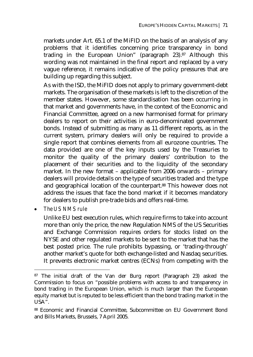markets under Art. 65.1 of the MiFID on the basis of an analysis of any problems that it identifies concerning price transparency in bond trading in the European Union" (paragraph 23).87 Although this wording was not maintained in the final report and replaced by a very vague reference, it remains indicative of the policy pressures that are building up regarding this subject.

As with the ISD, the MiFID does not apply to primary government-debt markets. The organisation of these markets is left to the discretion of the member states. However, some standardisation has been occurring in that market and governments have, in the context of the Economic and Financial Committee, agreed on a new harmonised format for primary dealers to report on their activities in euro-denominated government bonds. Instead of submitting as many as 11 different reports, as in the current system, primary dealers will only be required to provide a single report that combines elements from all eurozone countries. The data provided are one of the key inputs used by the Treasuries to monitor the quality of the primary dealers' contribution to the placement of their securities and to the liquidity of the secondary market. In the new format – applicable from 2006 onwards – primary dealers will provide details on the type of securities traded and the type and geographical location of the counterpart.88 This however does not address the issues that face the bond market if it becomes mandatory for dealers to publish pre-trade bids and offers real-time.

 $\overline{a}$ 

Unlike EU best execution rules, which require firms to take into account more than only the price, the new Regulation NMS of the US Securities and Exchange Commission requires orders for stocks listed on the NYSE and other regulated markets to be sent to the market that has the best posted price. The rule prohibits bypassing, or 'trading-through' another market's quote for both exchange-listed and Nasdaq securities. It prevents electronic market centres (ECNs) from competing with the

<sup>•</sup> *The US NMS rule* 

<sup>87</sup> The initial draft of the Van der Burg report (Paragraph 23) asked the Commission to focus on "possible problems with access to and transparency in bond trading in the European Union, which is much larger than the European equity market but is reputed to be less efficient than the bond trading market in the USA".

<sup>88</sup> Economic and Financial Committee, Subcommittee on EU Government Bond and Bills Markets, Brussels, 7 April 2005.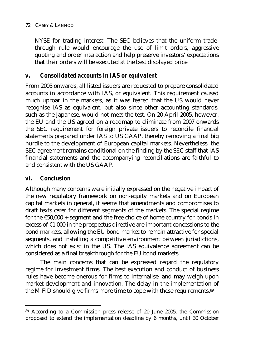NYSE for trading interest. The SEC believes that the uniform tradethrough rule would encourage the use of limit orders, aggressive quoting and order interaction and help preserve investors' expectations that their orders will be executed at the best displayed price.

## *v. Consolidated accounts in IAS or equivalent*

From 2005 onwards, all listed issuers are requested to prepare consolidated accounts in accordance with IAS, or equivalent. This requirement caused much uproar in the markets, as it was feared that the US would never recognise IAS as equivalent, but also since other accounting standards, such as the Japanese, would not meet the test. On 20 April 2005, however, the EU and the US agreed on a roadmap to eliminate from 2007 onwards the SEC requirement for foreign private issuers to reconcile financial statements prepared under IAS to US GAAP, thereby removing a final big hurdle to the development of European capital markets. Nevertheless, the SEC agreement remains conditional on the finding by the SEC staff that IAS financial statements and the accompanying reconciliations are faithful to and consistent with the US GAAP.

# *vi. Conclusion*

 $\overline{a}$ 

Although many concerns were initially expressed on the negative impact of the new regulatory framework on non-equity markets and on European capital markets in general, it seems that amendments and compromises to draft texts cater for different segments of the markets. The special regime for the  $£50,000 + segment$  and the free choice of home country for bonds in excess of  $\epsilon$ 1,000 in the prospectus directive are important concessions to the bond markets, allowing the EU bond market to remain attractive for special segments, and installing a competitive environment between jurisdictions, which does not exist in the US. The IAS equivalence agreement can be considered as a final breakthrough for the EU bond markets.

The main concerns that can be expressed regard the regulatory regime for investment firms. The best execution and conduct of business rules have become onerous for firms to internalise, and may weigh upon market development and innovation. The delay in the implementation of the MiFID should give firms more time to cope with these requirements.<sup>89</sup>

<sup>89</sup> According to a Commission press release of 20 June 2005, the Commission proposed to extend the implementation deadline by 6 months, until 30 October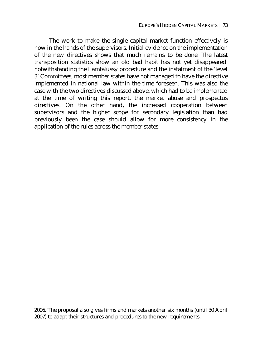The work to make the single capital market function effectively is now in the hands of the supervisors. Initial evidence on the implementation of the new directives shows that much remains to be done. The latest transposition statistics show an old bad habit has not yet disappeared: notwithstanding the Lamfalussy procedure and the instalment of the 'level 3' Committees, most member states have not managed to have the directive implemented in national law within the time foreseen. This was also the case with the two directives discussed above, which had to be implemented at the time of writing this report, the market abuse and prospectus directives. On the other hand, the increased cooperation between supervisors and the higher scope for secondary legislation than had previously been the case should allow for more consistency in the application of the rules across the member states.

2006. The proposal also gives firms and markets another six months (until 30 April 2007) to adapt their structures and procedures to the new requirements.

 $\overline{a}$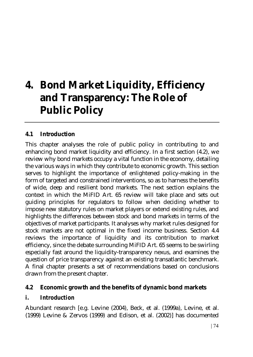# **4. Bond Market Liquidity, Efficiency and Transparency: The Role of Public Policy**

## **4.1 Introduction**

This chapter analyses the role of public policy in contributing to and enhancing bond market liquidity and efficiency. In a first section (4.2), we review why bond markets occupy a vital function in the economy, detailing the various ways in which they contribute to economic growth. This section serves to highlight the importance of enlightened policy-making in the form of targeted and constrained interventions, so as to harness the benefits of wide, deep and resilient bond markets. The next section explains the context in which the MiFID Art. 65 review will take place and sets out guiding principles for regulators to follow when deciding whether to impose new statutory rules on market players or extend existing rules, and highlights the differences between stock and bond markets in terms of the objectives of market participants. It analyses why market rules designed for stock markets are not optimal in the fixed income business. Section 4.4 reviews the importance of liquidity and its contribution to market efficiency, since the debate surrounding MiFID Art. 65 seems to be swirling especially fast around the liquidity-transparency nexus, and examines the question of price transparency against an existing transatlantic benchmark. A final chapter presents a set of recommendations based on conclusions drawn from the present chapter.

## **4.2 Economic growth and the benefits of dynamic bond markets**

## *i. Introduction*

Abundant research [e.g. Levine (2004), Beck, et al. (1999a), Levine, et al. (1999) Levine & Zervos (1999) and Edison, et al. (2002)] has documented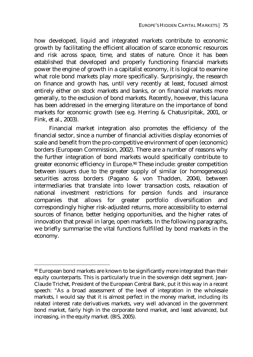how developed, liquid and integrated markets contribute to economic growth by facilitating the efficient allocation of scarce economic resources and risk across space, time, and states of nature. Once it has been established that developed and properly functioning financial markets power the engine of growth in a capitalist economy, it is logical to examine what role bond markets play more specifically. Surprisingly, the research on finance and growth has, until very recently at least, focused almost entirely either on stock markets and banks, or on financial markets more generally, to the exclusion of bond markets. Recently, however, this lacuna has been addressed in the emerging literature on the importance of bond markets for economic growth (see e.g. Herring & Chatusripitak, 2001, or Fink, et al., 2003).

Financial market integration also promotes the efficiency of the financial sector, since a number of financial activities display economies of scale and benefit from the pro-competitive environment of open (economic) borders (European Commission, 2002). There are a number of reasons why the further integration of bond markets would specifically contribute to greater economic efficiency in Europe.90 These include: greater competition between issuers due to the greater supply of similar (or homogeneous) securities across borders (Pagano & von Thadden, 2004), between intermediaries that translate into lower transaction costs, relaxation of national investment restrictions for pension funds and insurance companies that allows for greater portfolio diversification and correspondingly higher risk-adjusted returns, more accessibility to external sources of finance, better hedging opportunities, and the higher rates of innovation that prevail in large, open markets. In the following paragraphs, we briefly summarise the vital functions fulfilled by bond markets in the economy.

 $\overline{a}$ 

<sup>90</sup> European bond markets are known to be significantly more integrated than their equity counterparts. This is particularly true in the sovereign debt segment. Jean-Claude Trichet, President of the European Central Bank, put it this way in a recent speech: "As a broad assessment of the level of integration in the wholesale markets, I would say that it is almost perfect in the money market, including its related interest rate derivatives markets, very well advanced in the government bond market, fairly high in the corporate bond market, and least advanced, but increasing, in the equity market. (BIS, 2005).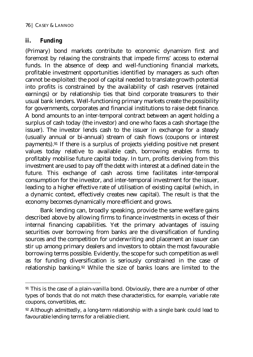## *ii. Funding*

 $\overline{a}$ 

(Primary) bond markets contribute to economic dynamism first and foremost by relaxing the constraints that impede firms' access to external funds. In the absence of deep and well-functioning financial markets, profitable investment opportunities identified by managers as such often cannot be exploited: the pool of capital needed to translate growth potential into profits is constrained by the availability of cash reserves (retained earnings) or by relationship ties that bind corporate treasurers to their usual bank lenders. Well-functioning primary markets create the possibility for governments, corporates and financial institutions to raise debt finance. A bond amounts to an inter-temporal contract between an agent holding a surplus of cash today (the investor) and one who faces a cash shortage (the issuer). The investor lends cash to the issuer in exchange for a steady (usually annual or bi-annual) stream of cash flows (coupons or interest payments).91 If there is a surplus of projects yielding positive net present values today relative to available cash, borrowing enables firms to profitably mobilise future capital today. In turn, profits deriving from this investment are used to pay off the debt with interest at a defined date in the future. This exchange of cash across time facilitates inter-temporal consumption for the investor, and inter-temporal investment for the issuer, leading to a higher effective rate of utilisation of existing capital (which, in a dynamic context, effectively creates new capital). The result is that the economy becomes dynamically more efficient and grows.

Bank lending can, broadly speaking, provide the same welfare gains described above by allowing firms to finance investments in excess of their internal financing capabilities. Yet the primary advantages of issuing securities over borrowing from banks are the diversification of funding sources and the competition for underwriting and placement an issuer can stir up among primary dealers and investors to obtain the most favourable borrowing terms possible. Evidently, the scope for such competition as well as for funding diversification is seriously constrained in the case of relationship banking.92 While the size of banks loans are limited to the

<sup>91</sup> This is the case of a plain-vanilla bond. Obviously, there are a number of other types of bonds that do not match these characteristics, for example, variable rate coupons, convertibles, etc.

<sup>92</sup> Although admittedly, a long-term relationship with a single bank could lead to favourable lending terms for a reliable client.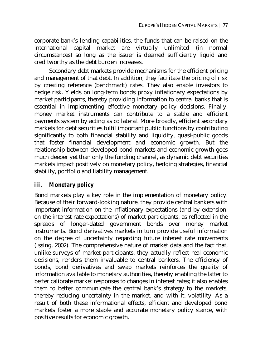corporate bank's lending capabilities, the funds that can be raised on the international capital market are virtually unlimited (in normal circumstances) so long as the issuer is deemed sufficiently liquid and creditworthy as the debt burden increases.

Secondary debt markets provide mechanisms for the efficient pricing and management of that debt. In addition, they facilitate the pricing of risk by creating reference (benchmark) rates. They also enable investors to hedge risk. Yields on long-term bonds proxy inflationary expectations by market participants, thereby providing information to central banks that is essential in implementing effective monetary policy decisions. Finally, money market instruments can contribute to a stable and efficient payments system by acting as collateral. More broadly, efficient secondary markets for debt securities fulfil important public functions by contributing significantly to both financial stability and liquidity, quasi-public goods that foster financial development and economic growth. But the relationship between developed bond markets and economic growth goes much deeper yet than only the funding channel, as dynamic debt securities markets impact positively on monetary policy, hedging strategies, financial stability, portfolio and liability management.

## *iii. Monetary policy*

Bond markets play a key role in the implementation of monetary policy. Because of their forward-looking nature, they provide central bankers with important information on the inflationary expectations (and by extension, on the interest rate expectations) of market participants, as reflected in the spreads of longer-dated government bonds over money market instruments. Bond derivatives markets in turn provide useful information on the degree of uncertainty regarding future interest rate movements (Issing, 2002). The comprehensive nature of market data and the fact that, unlike surveys of market participants, they actually reflect real economic decisions, renders them invaluable to central bankers. The efficiency of bonds, bond derivatives and swap markets reinforces the quality of information available to monetary authorities, thereby enabling the latter to better calibrate market responses to changes in interest rates; it also enables them to better communicate the central bank's strategy to the markets, thereby reducing uncertainty in the market, and with it, volatility. As a result of both these informational effects, efficient and developed bond markets foster a more stable and accurate monetary policy stance, with positive results for economic growth.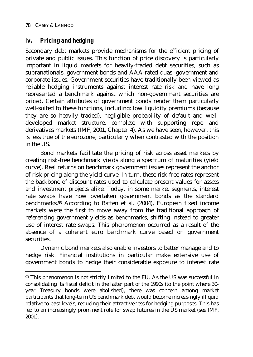$\overline{a}$ 

## *iv. Pricing and hedging*

Secondary debt markets provide mechanisms for the efficient pricing of private and public issues. This function of price discovery is particularly important in liquid markets for heavily-traded debt securities, such as supranationals, government bonds and AAA-rated quasi-government and corporate issues. Government securities have traditionally been viewed as reliable hedging instruments against interest rate risk and have long represented a benchmark against which non-government securities are priced. Certain attributes of government bonds render them particularly well-suited to these functions, including: low liquidity premiums (because they are so heavily traded), negligible probability of default and welldeveloped market structure, complete with supporting repo and derivatives markets (IMF, 2001, Chapter 4). As we have seen, however, this is less true of the eurozone, particularly when contrasted with the position in the US.

Bond markets facilitate the pricing of risk across asset markets by creating risk-free benchmark yields along a spectrum of maturities (yield curve). Real returns on benchmark government issues represent the anchor of risk pricing along the yield curve. In turn, these risk-free rates represent the backbone of discount rates used to calculate present values for assets and investment projects alike. Today, in some market segments, interest rate swaps have now overtaken government bonds as the standard benchmarks.93 According to Batten et al. (2004), European fixed income markets were the first to move away from the traditional approach of referencing government yields as benchmarks, shifting instead to greater use of interest rate swaps. This phenomenon occurred as a result of the absence of a coherent euro benchmark curve based on government securities.

Dynamic bond markets also enable investors to better manage and to hedge risk. Financial institutions in particular make extensive use of government bonds to hedge their considerable exposure to interest rate

<sup>93</sup> This phenomenon is not strictly limited to the EU. As the US was successful in consolidating its fiscal deficit in the latter part of the 1990s (to the point where 30 year Treasury bonds were abolished), there was concern among market participants that long-term US benchmark debt would become increasingly illiquid relative to past levels, reducing their attractiveness for hedging purposes. This has led to an increasingly prominent role for swap futures in the US market (see IMF, 2001).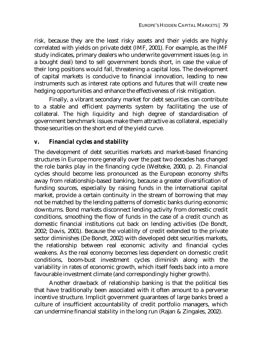risk, because they are the least risky assets and their yields are highly correlated with yields on private debt (IMF, 2001). For example, as the IMF study indicates, primary dealers who underwrite government issues (e.g. in a bought deal) tend to sell government bonds short, in case the value of their long positions would fall, threatening a capital loss. The development of capital markets is conducive to financial innovation, leading to new instruments such as interest rate options and futures that will create new hedging opportunities and enhance the effectiveness of risk mitigation.

Finally, a vibrant secondary market for debt securities can contribute to a stable and efficient payments system by facilitating the use of collateral. The high liquidity and high degree of standardisation of government benchmark issues make them attractive as collateral, especially those securities on the short end of the yield curve.

## *v. Financial cycles and stability*

The development of debt securities markets and market-based financing structures in Europe more generally over the past two decades has changed the role banks play in the financing cycle (Welteke, 2000, p. 2). Financial cycles should become less pronounced as the European economy shifts away from relationship-based banking, because a greater diversification of funding sources, especially by raising funds in the international capital market, provide a certain continuity in the stream of borrowing that may not be matched by the lending patterns of domestic banks during economic downturns. Bond markets disconnect lending activity from domestic credit conditions, smoothing the flow of funds in the case of a credit crunch as domestic financial institutions cut back on lending activities (De Bondt, 2002; Davis, 2001). Because the volatility of credit extended to the private sector diminishes (De Bondt, 2002) with developed debt securities markets, the relationship between real economic activity and financial cycles weakens. As the real economy becomes less dependent on domestic credit conditions, boom-bust investment cycles diminish along with the variability in rates of economic growth, which itself feeds back into a more favourable investment climate (and correspondingly higher growth).

Another drawback of relationship banking is that the political ties that have traditionally been associated with it often amount to a perverse incentive structure. Implicit government guarantees of large banks breed a culture of insufficient accountability of credit portfolio managers, which can undermine financial stability in the long run (Rajan & Zingales, 2002).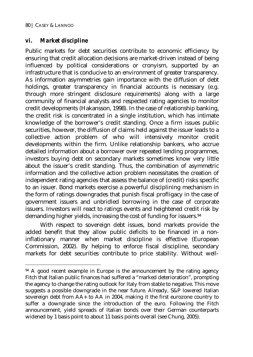$\overline{a}$ 

## *vi. Market discipline*

Public markets for debt securities contribute to economic efficiency by ensuring that credit allocation decisions are market-driven instead of being influenced by political considerations or cronyism, supported by an infrastructure that is conducive to an environment of greater transparency. As information asymmetries gain importance with the diffusion of debt holdings, greater transparency in financial accounts is necessary (e.g. through more stringent disclosure requirements) along with a large community of financial analysts and respected rating agencies to monitor credit developments (Hakansson, 1998). In the case of relationship banking, the credit risk is concentrated in a single institution, which has intimate knowledge of the borrower's credit standing. Once a firm issues public securities, however, the diffusion of claims held against the issuer leads to a collective action problem of who will intensively monitor credit developments within the firm. Unlike relationship bankers, who accrue detailed information about a borrower over repeated lending programmes, investors buying debt on secondary markets sometimes know very little about the issuer's credit standing. Thus, the combination of asymmetric information and the collective action problem necessitates the creation of independent rating agencies that assess the balance of (credit) risks specific to an issuer. Bond markets exercise a powerful disciplining mechanism in the form of ratings downgrades that punish fiscal profligacy in the case of government issuers and unbridled borrowing in the case of corporate issuers. Investors will react to ratings events and heightened credit risk by demanding higher yields, increasing the cost of funding for issuers.<sup>94</sup>

With respect to sovereign debt issues, bond markets provide the added benefit that they allow public deficits to be financed in a noninflationary manner when market discipline is effective (European Commission, 2002). By helping to enforce fiscal discipline, secondary markets for debt securities contribute to price stability. Without well-

<sup>&</sup>lt;sup>94</sup> A good recent example in Europe is the announcement by the rating agency Fitch that Italian public finances had suffered a "marked deterioration", prompting the agency to change the rating outlook for Italy from stable to negative. This move suggests a possible downgrade in the near future. Already, S&P lowered Italian sovereign debt from AA+ to AA in 2004, making it the first eurozone country to suffer a downgrade since the introduction of the euro. Following the Fitch announcement, yield spreads of Italian bonds over their German counterparts widened by 1 basis point to about 11 basis points overall (see Chung, 2005).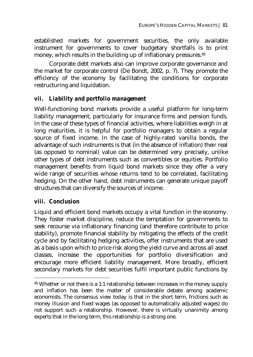established markets for government securities, the only available instrument for governments to cover budgetary shortfalls is to print money, which results in the building up of inflationary pressures.95

Corporate debt markets also can improve corporate governance and the market for corporate control (De Bondt, 2002, p. 7). They promote the efficiency of the economy by facilitating the conditions for corporate restructuring and liquidation.

## *vii. Liability and portfolio management*

Well-functioning bond markets provide a useful platform for long-term liability management, particularly for insurance firms and pension funds. In the case of these types of financial activities, where liabilities weigh in at long maturities, it is helpful for portfolio managers to obtain a regular source of fixed income. In the case of highly-rated vanilla bonds, the advantage of such instruments is that (in the absence of inflation) their real (as opposed to nominal) value can be determined very precisely, unlike other types of debt instruments such as convertibles or equities. Portfolio management benefits from liquid bond markets since they offer a very wide range of securities whose returns tend to be correlated, facilitating hedging. On the other hand, debt instruments can generate unique payoff structures that can diversify the sources of income.

## *viii. Conclusion*

 $\overline{a}$ 

Liquid and efficient bond markets occupy a vital function in the economy. They foster market discipline, reduce the temptation for governments to seek recourse via inflationary financing (and therefore contribute to price stability), promote financial stability by mitigating the effects of the credit cycle and by facilitating hedging activities, offer instruments that are used as a basis upon which to price risk along the yield curve and across all asset classes, increase the opportunities for portfolio diversification and encourage more efficient liability management. More broadly, efficient secondary markets for debt securities fulfil important public functions by

<sup>95</sup> Whether or not there is a 1:1 relationship between increases in the money supply and inflation has been the matter of considerable debate among academic economists. The consensus view today is that in the short term, frictions such as money illusion and fixed wages (as opposed to automatically adjusted wages) do not support such a relationship. However, there is virtually unanimity among experts that in the long term, this relationship is a strong one.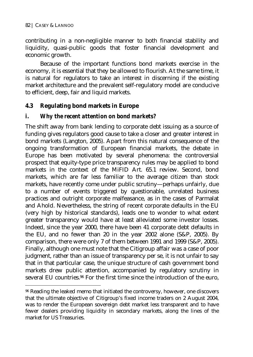$\overline{a}$ 

contributing in a non-negligible manner to both financial stability and liquidity, quasi-public goods that foster financial development and economic growth.

Because of the important functions bond markets exercise in the economy, it is essential that they be allowed to flourish. At the same time, it is natural for regulators to take an interest in discerning if the existing market architecture and the prevalent self-regulatory model are conducive to efficient, deep, fair and liquid markets.

## **4.3 Regulating bond markets in Europe**

## *i. Why the recent attention on bond markets?*

The shift away from bank lending to corporate debt issuing as a source of funding gives regulators good cause to take a closer and greater interest in bond markets (Langton, 2005). Apart from this natural consequence of the ongoing transformation of European financial markets, the debate in Europe has been motivated by several phenomena: the controversial prospect that equity-type price transparency rules may be applied to bond markets in the context of the MiFID Art. 65.1 review. Second, bond markets, which are far less familiar to the average citizen than stock markets, have recently come under public scrutiny—perhaps unfairly, due to a number of events triggered by questionable, unrelated business practices and outright corporate malfeasance, as in the cases of Parmalat and Ahold. Nevertheless, the string of recent corporate defaults in the EU (very high by historical standards), leads one to wonder to what extent greater transparency would have at least alleviated some investor losses. Indeed, since the year 2000, there have been 41 corporate debt defaults in the EU, and no fewer than 20 in the year 2002 alone (S&P, 2005). By comparison, there were only 7 of them between 1991 and 1999 (S&P, 2005). Finally, although one must note that the Citigroup affair was a case of poor judgment, rather than an issue of transparency per se, it is not unfair to say that in that particular case, the unique structure of cash government bond markets drew public attention, accompanied by regulatory scrutiny in several EU countries.96 For the first time since the introduction of the euro,

<sup>&</sup>lt;sup>96</sup> Reading the leaked memo that initiated the controversy, however, one discovers that the ultimate objective of Citigroup's fixed income traders on 2 August 2004, was to render the European sovereign debt market less transparent and to have fewer dealers providing liquidity in secondary markets, along the lines of the market for US Treasuries.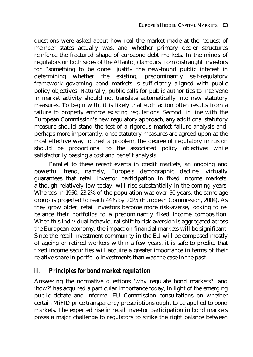questions were asked about how real the market made at the request of member states actually was, and whether primary dealer structures reinforce the fractured shape of eurozone debt markets. In the minds of regulators on both sides of the Atlantic, clamours from distraught investors for "something to be done" justify the new-found public interest in determining whether the existing, predominantly self-regulatory framework governing bond markets is sufficiently aligned with public policy objectives. Naturally, public calls for public authorities to intervene in market activity should not translate automatically into new statutory measures. To begin with, it is likely that such action often results from a failure to properly enforce existing regulations. Second, in line with the European Commission's new regulatory approach, any additional statutory measure should stand the test of a rigorous market failure analysis and, perhaps more importantly, once statutory measures are agreed upon as the most effective way to treat a problem, the degree of regulatory intrusion should be proportional to the associated policy objectives while satisfactorily passing a cost and benefit analysis.

Parallel to these recent events in credit markets, an ongoing and powerful trend, namely, Europe's demographic decline, virtually guarantees that retail investor participation in fixed income markets, although relatively low today, will rise substantially in the coming years. Whereas in 1950, 23.2% of the population was over 50 years, the same age group is projected to reach 44% by 2025 (European Commission, 2004). As they grow older, retail investors become more risk-averse, looking to rebalance their portfolios to a predominantly fixed income composition. When this individual behavioural shift to risk-aversion is aggregated across the European economy, the impact on financial markets will be significant. Since the retail investment community in the EU will be composed mostly of ageing or retired workers within a few years, it is safe to predict that fixed income securities will acquire a greater importance in terms of their relative share in portfolio investments than was the case in the past.

## *ii. Principles for bond market regulation*

Answering the normative questions 'why regulate bond markets?' and 'how?' has acquired a particular importance today, in light of the emerging public debate and informal EU Commission consultations on whether certain MiFID price transparency prescriptions ought to be applied to bond markets. The expected rise in retail investor participation in bond markets poses a major challenge to regulators to strike the right balance between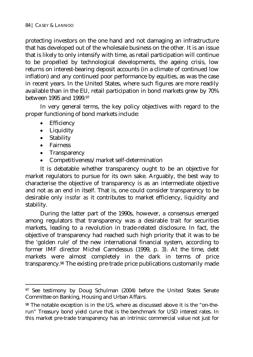protecting investors on the one hand and not damaging an infrastructure that has developed out of the wholesale business on the other. It is an issue that is likely to only intensify with time, as retail participation will continue to be propelled by technological developments, the ageing crisis, low returns on interest-bearing deposit accounts (in a climate of continued low inflation) and any continued poor performance by equities, as was the case in recent years. In the United States, where such figures are more readily available than in the EU, retail participation in bond markets grew by 70% between 1995 and 1999.97

In very general terms, the key policy objectives with regard to the proper functioning of bond markets include:

- Efficiency
- Liquidity
- Stability
- Fairness

 $\overline{a}$ 

- Transparency
- Competitiveness/market self-determination

It is debatable whether transparency ought to be an objective for market regulators to pursue for its own sake. Arguably, the best way to characterise the objective of transparency is as an intermediate objective and not as an end in itself. That is, one could consider transparency to be desirable only *insofar as* it contributes to market efficiency, liquidity and stability.

During the latter part of the 1990s, however, a consensus emerged among regulators that transparency was a desirable trait for securities markets, leading to a revolution in trade-related disclosure. In fact, the objective of transparency had reached such high priority that it was to be the 'golden rule' of the new international financial system, according to former IMF director Michel Camdessus (1999, p. 3). At the time, debt markets were almost completely in the dark in terms of price transparency.98 The existing pre-trade price publications customarily made

<sup>&</sup>lt;sup>97</sup> See testimony by Doug Schulman (2004) before the United States Senate Committee on Banking, Housing and Urban Affairs.

<sup>98</sup> The notable exception is in the US, where as discussed above it is the "on-therun" Treasury bond yield curve that is the benchmark for USD interest rates. In this market pre-trade transparency has an intrinsic commercial value not just for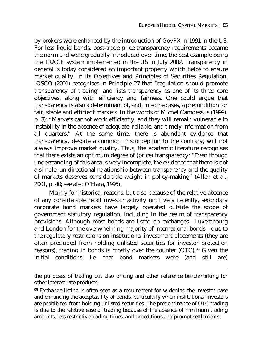by brokers were enhanced by the introduction of GovPX in 1991 in the US. For less liquid bonds, post-trade price transparency requirements became the norm and were gradually introduced over time, the best example being the TRACE system implemented in the US in July 2002. Transparency in general is today considered an important property which helps to ensure market quality. In its Objectives and Principles of Securities Regulation, IOSCO (2001) recognises in Principle 27 that "regulation should promote transparency of trading" and lists transparency as one of its three core objectives, along with efficiency and fairness. One could argue that transparency is also a determinant of, and, in some cases, a precondition for fair, stable and efficient markets. In the words of Michel Camdessus (1999), p. 3): "Markets cannot work efficiently, and they will remain vulnerable to instability in the absence of adequate, reliable, and timely information from all quarters." At the same time, there is abundant evidence that transparency, despite a common misconception to the contrary, will not always improve market quality. Thus, the academic literature recognises that there exists an optimum degree of (price) transparency: "Even though understanding of this area is very incomplete, the evidence that there is not a simple, unidirectional relationship between transparency and the quality of markets deserves considerable weight in policy-making" (Allen et al., 2001, p. 40**;** see also O'Hara, 1995).

Mainly for historical reasons, but also because of the relative absence of any considerable retail investor activity until very recently, secondary corporate bond markets have largely operated outside the scope of government statutory regulation, including in the realm of transparency provisions. Although most bonds are listed on exchanges—Luxembourg and London for the overwhelming majority of international bonds—due to the regulatory restrictions on institutional investment placements (they are often precluded from holding unlisted securities for investor protection reasons), trading in bonds is mostly over the counter (OTC).99 Given the initial conditions, i.e. that bond markets were (and still are)

 $\overline{a}$ 

the purposes of trading but also pricing and other reference benchmarking for other interest rate products.

<sup>99</sup> Exchange listing is often seen as a requirement for widening the investor base and enhancing the acceptability of bonds, particularly when institutional investors are prohibited from holding unlisted securities. The predominance of OTC trading is due to the relative ease of trading because of the absence of minimum trading amounts, less restrictive trading times, and expeditious and prompt settlements.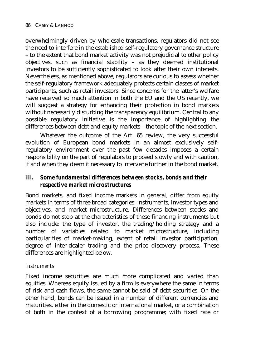overwhelmingly driven by wholesale transactions, regulators did not see the need to interfere in the established self-regulatory governance structure – to the extent that bond market activity was not prejudicial to other policy objectives, such as financial stability – as they deemed institutional investors to be sufficiently sophisticated to look after their own interests. Nevertheless, as mentioned above, regulators are curious to assess whether the self-regulatory framework adequately protects certain classes of market participants, such as retail investors. Since concerns for the latter's welfare have received so much attention in both the EU and the US recently, we will suggest a strategy for enhancing their protection in bond markets without necessarily disturbing the transparency equilibrium. Central to any possible regulatory initiative is the importance of highlighting the differences between debt and equity markets—the topic of the next section.

Whatever the outcome of the Art. 65 review, the very successful evolution of European bond markets in an almost exclusively selfregulatory environment over the past few decades imposes a certain responsibility on the part of regulators to proceed slowly and with caution, if and when they deem it necessary to intervene further in the bond market.

## *iii. Some fundamental differences between stocks, bonds and their respective market microstructures*

Bond markets, and fixed income markets in general, differ from equity markets in terms of three broad categories: instruments, investor types and objectives, and market microstructure. Differences between stocks and bonds do not stop at the characteristics of these financing instruments but also include: the type of investor, the trading/holding strategy and a number of variables related to market microstructure, including particularities of market-making, extent of retail investor participation, degree of inter-dealer trading and the price discovery process. These differences are highlighted below.

## *Instruments*

Fixed income securities are much more complicated and varied than equities. Whereas equity issued by a firm is everywhere the same in terms of risk and cash flows, the same cannot be said of debt securities. On the other hand, bonds can be issued in a number of different currencies and maturities, either in the domestic or international market, or a combination of both in the context of a borrowing programme; with fixed rate or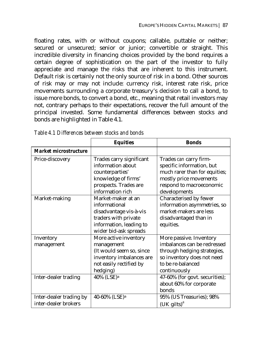floating rates, with or without coupons; callable, puttable or neither; secured or unsecured; senior or junior; convertible or straight. This incredible diversity in financing choices provided by the bond requires a certain degree of sophistication on the part of the investor to fully appreciate and manage the risks that are inherent to this instrument. Default risk is certainly not the only source of risk in a bond. Other sources of risk may or may not include: currency risk, interest rate risk, price movements surrounding a corporate treasury's decision to call a bond, to issue more bonds, to convert a bond, etc., meaning that retail investors may not, contrary perhaps to their expectations, recover the full amount of the principal invested. Some fundamental differences between stocks and bonds are highlighted in Table 4.1.

|                                                 | <b>Equities</b>                                                                                                                           | <b>Bonds</b>                                                                                                                                               |
|-------------------------------------------------|-------------------------------------------------------------------------------------------------------------------------------------------|------------------------------------------------------------------------------------------------------------------------------------------------------------|
| Market microstructure                           |                                                                                                                                           |                                                                                                                                                            |
| Price-discovery                                 | Trades carry significant<br>information about<br>counterparties'<br>knowledge of firms'<br>prospects. Trades are<br>information rich      | Trades can carry firm-<br>specific information, but<br>much rarer than for equities;<br>mostly price movements<br>respond to macroeconomic<br>developments |
| Market-making                                   | Market-maker at an<br>informational<br>disadvantage vis-à-vis<br>traders with private<br>information, leading to<br>wider bid-ask spreads | Characterised by fewer<br>information asymmetries, so<br>market-makers are less<br>disadvantaged than in<br>equities.                                      |
| Inventory<br>management                         | More active inventory<br>management<br>(It would seem so, since<br>inventory imbalances are<br>not easily rectified by<br>hedging)        | More passive. Inventory<br>imbalances can be redressed<br>through hedging strategies,<br>so inventory does not need<br>to be re-balanced<br>continuously   |
| Inter-dealer trading                            | 40% (LSE) <sup>a</sup>                                                                                                                    | 47-60% (for govt. securities);<br>about 60% for corporate<br><b>bonds</b>                                                                                  |
| Inter-dealer trading by<br>inter-dealer brokers | 40-60% (LSE) <sup>a</sup>                                                                                                                 | 95% (US Treasuries); 98%<br>$(UK$ gilts) <sup>a</sup>                                                                                                      |

*Table 4.1 Differences between stocks and bonds*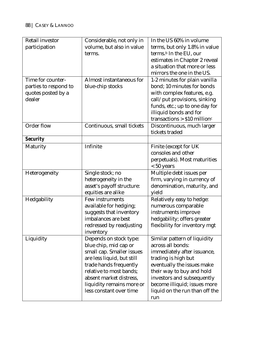| <b>Retail investor</b> | Considerable, not only in  | In the US 60% in volume                   |
|------------------------|----------------------------|-------------------------------------------|
| participation          | volume, but also in value  | terms, but only 1.8% in value             |
|                        | terms.                     | terms. <sup>b</sup> In the EU, our        |
|                        |                            | estimates in Chapter 2 reveal             |
|                        |                            | a situation that more or less             |
|                        |                            | mirrors the one in the US.                |
| Time for counter-      | Almost instantaneous for   | 1-2 minutes for plain vanilla             |
| parties to respond to  | blue-chip stocks           | bond; 10 minutes for bonds                |
| quotes posted by a     |                            | with complex features, e.g.               |
| dealer                 |                            | call/put provisions, sinking              |
|                        |                            | funds, etc.; up to one day for            |
|                        |                            | illiquid bonds and for                    |
|                        |                            | transactions > $$10$ million <sup>c</sup> |
| Order flow             | Continuous, small tickets  | Discontinuous, much larger                |
|                        |                            | tickets traded                            |
| <b>Security</b>        |                            |                                           |
| Maturity               | Infinite                   | Finite (except for UK                     |
|                        |                            | consoles and other                        |
|                        |                            | perpetuals). Most maturities              |
|                        |                            | $< 50$ years                              |
| Heterogeneity          | Single stock; no           | Multiple debt issues per                  |
|                        | heterogeneity in the       | firm, varying in currency of              |
|                        | asset's payoff structure:  | denomination, maturity, and               |
|                        | equities are alike         | yield                                     |
| Hedgability            | Few instruments            | Relatively easy to hedge:                 |
|                        | available for hedging;     | numerous comparable                       |
|                        | suggests that inventory    | instruments improve                       |
|                        | imbalances are best        | hedgability; offers greater               |
|                        | redressed by readjusting   | flexibility for inventory mgt             |
|                        | inventory                  |                                           |
| Liquidity              | Depends on stock type:     | Similar pattern of liquidity              |
|                        | blue chip, mid cap or      | across all bonds:                         |
|                        | small cap. Smaller issues  | immediately after issuance,               |
|                        | are less liquid, but still | trading is high but                       |
|                        | trade hands frequently     | eventually the issues make                |
|                        | relative to most bands;    | their way to buy and hold                 |
|                        | absent market distress,    | investors and subsequently                |
|                        | liquidity remains more or  | become illiquid; issues more              |
|                        | less constant over time    | liquid on the run than off the            |
|                        |                            | run                                       |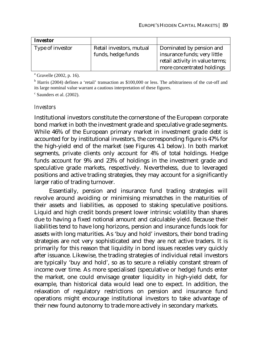| <i>Investor</i>  |                                                |                                                                                                                           |
|------------------|------------------------------------------------|---------------------------------------------------------------------------------------------------------------------------|
| Type of investor | Retail investors, mutual<br>funds, hedge funds | Dominated by pension and<br>insurance funds; very little<br>retail activity in value terms;<br>more concentrated holdings |

<sup>a</sup> Gravelle (2002, p. 16).

<sup>b</sup> Harris (2004) defines a 'retail' transaction as \$100,000 or less. The arbitrariness of the cut-off and its large nominal value warrant a cautious interpretation of these figures.

c Saunders et al. (2002).

#### *Investors*

Institutional investors constitute the cornerstone of the European corporate bond market in both the investment grade and speculative grade segments. While 46% of the European primary market in investment grade debt is accounted for by institutional investors, the corresponding figure is 47% for the high-yield end of the market (see Figures 4.1 below). In both market segments, private clients only account for 4% of total holdings. Hedge funds account for 9% and 23% of holdings in the investment grade and speculative grade markets, respectively. Nevertheless, due to leveraged positions and active trading strategies, they may account for a significantly larger ratio of trading turnover.

Essentially, pension and insurance fund trading strategies will revolve around avoiding or minimising mismatches in the maturities of their assets and liabilities, as opposed to staking speculative positions. Liquid and high credit bonds present lower intrinsic volatility than shares due to having a fixed notional amount and calculable yield. Because their liabilities tend to have long horizons, pension and insurance funds look for assets with long maturities. As 'buy and hold' investors, their bond trading strategies are not very sophisticated and they are not active traders. It is primarily for this reason that liquidity in bond issues recedes very quickly after issuance. Likewise, the trading strategies of individual retail investors are typically 'buy and hold', so as to secure a reliably constant stream of income over time. As more specialised (speculative or hedge) funds enter the market, one could envisage greater liquidity in high-yield debt, for example, than historical data would lead one to expect. In addition, the relaxation of regulatory restrictions on pension and insurance fund operations might encourage institutional investors to take advantage of their new found autonomy to trade more actively in secondary markets.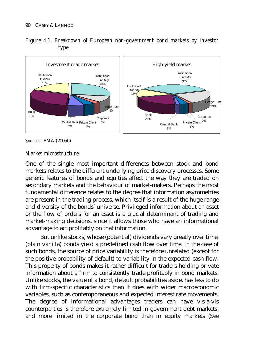



*Source*: TBMA (2005b).

#### *Market microstructure*

One of the single most important differences between stock and bond markets relates to the different underlying price discovery processes. Some generic features of bonds and equities affect the way they are traded on secondary markets and the behaviour of market-makers. Perhaps the most fundamental difference relates to the degree that information asymmetries are present in the trading process, which itself is a result of the huge range and diversity of the bonds' universe. Privileged information about an asset or the flow of orders for an asset is a crucial determinant of trading and market-making decisions, since it allows those who have an informational advantage to act profitably on that information.

But unlike stocks, whose (potential) dividends vary greatly over time, (plain vanilla) bonds yield a predefined cash flow over time. In the case of such bonds, the source of price variability is therefore unrelated (except for the positive probability of default) to variability in the expected cash flow. This property of bonds makes it rather difficult for traders holding private information about a firm to consistently trade profitably in bond markets. Unlike stocks, the value of a bond, default probabilities aside, has less to do with firm-specific characteristics than it does with wider macroeconomic variables, such as contemporaneous and expected interest rate movements. The degree of informational advantages traders can have vis-à-vis counterparties is therefore extremely limited in government debt markets, and more limited in the corporate bond than in equity markets (See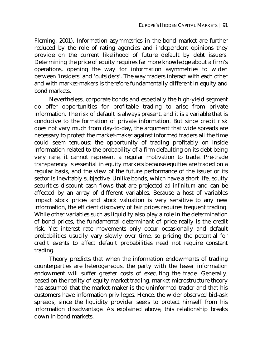Fleming, 2001). Information asymmetries in the bond market are further reduced by the role of rating agencies and independent opinions they provide on the current likelihood of future default by debt issuers. Determining the price of equity requires far more knowledge about a firm's operations, opening the way for information asymmetries to widen between 'insiders' and 'outsiders'. The way traders interact with each other and with market-makers is therefore fundamentally different in equity and bond markets.

Nevertheless, corporate bonds and especially the high-yield segment do offer opportunities for profitable trading to arise from private information. The risk of default is always present, and it is a variable that is conducive to the formation of private information. But since credit risk does not vary much from day-to-day, the argument that wide spreads are necessary to protect the market-maker against informed traders all the time could seem tenuous: the opportunity of trading profitably on inside information related to the probability of a firm defaulting on its debt being very rare, it cannot represent a regular motivation to trade. Pre-trade transparency is essential in equity markets because equities are traded on a regular basis, and the view of the future performance of the issuer or its sector is inevitably subjective. Unlike bonds, which have a short life, equity securities discount cash flows that are projected *ad infinitum* and can be affected by an array of different variables. Because a host of variables impact stock prices and stock valuation is very sensitive to any new information, the efficient discovery of fair prices requires frequent trading. While other variables such as liquidity also play a role in the determination of bond prices, the fundamental determinant of price really is the credit risk. Yet interest rate movements only occur occasionally and default probabilities usually vary slowly over time, so pricing the potential for credit events to affect default probabilities need not require constant trading.

Theory predicts that when the information endowments of trading counterparties are heterogeneous, the party with the lesser information endowment will suffer greater costs of executing the trade. Generally, based on the reality of equity market trading, market microstructure theory has assumed that the market-maker is the uninformed trader and that his customers have information privileges. Hence, the wider observed bid-ask spreads, since the liquidity provider seeks to protect himself from his information disadvantage. As explained above, this relationship breaks down in bond markets.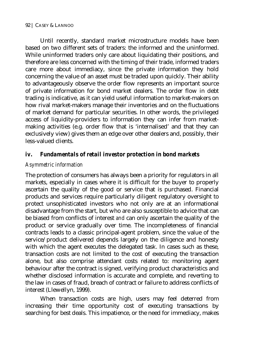Until recently, standard market microstructure models have been based on two different sets of traders: the informed and the uninformed. While uninformed traders only care about liquidating their positions, and therefore are less concerned with the timing of their trade, informed traders care more about immediacy, since the private information they hold concerning the value of an asset must be traded upon quickly. Their ability to advantageously observe the order flow represents an important source of private information for bond market dealers. The order flow in debt trading is indicative, as it can yield useful information to market-makers on how rival market-makers manage their inventories and on the fluctuations of market demand for particular securities. In other words, the privileged access of liquidity-providers to information they can infer from marketmaking activities (e.g. order flow that is 'internalised' and that they can exclusively view) gives them an edge over other dealers and, possibly, their less-valued clients.

## *iv. Fundamentals of retail investor protection in bond markets*

#### *Asymmetric information*

The protection of consumers has always been a priority for regulators in all markets, especially in cases where it is difficult for the buyer to properly ascertain the quality of the good or service that is purchased. Financial products and services require particularly diligent regulatory oversight to protect unsophisticated investors who not only are at an informational disadvantage from the start, but who are also susceptible to advice that can be biased from conflicts of interest *and* can only ascertain the quality of the product or service gradually over time. The incompleteness of financial contracts leads to a classic principal-agent problem, since the value of the service/product delivered depends largely on the diligence and honesty with which the agent executes the delegated task. In cases such as these, transaction costs are not limited to the cost of executing the transaction alone, but also comprise attendant costs related to: monitoring agent behaviour after the contract is signed, verifying product characteristics and whether disclosed information is accurate and complete, and reverting to the law in cases of fraud, breach of contract or failure to address conflicts of interest (Llewellyn, 1999).

When transaction costs are high, users may feel deterred from increasing their time opportunity cost of executing transactions by searching for best deals. This impatience, or the need for immediacy, makes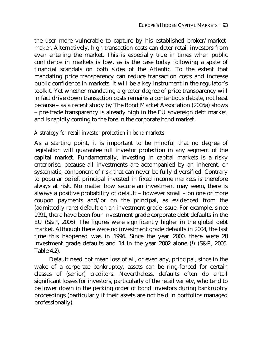the user more vulnerable to capture by his established broker/marketmaker. Alternatively, high transaction costs can deter retail investors from even entering the market. This is especially true in times when public confidence in markets is low, as is the case today following a spate of financial scandals on both sides of the Atlantic. To the extent that mandating price transparency can reduce transaction costs and increase public confidence in markets, it will be a key instrument in the regulator's toolkit. Yet whether mandating a greater degree of price transparency will in fact drive down transaction costs remains a contentious debate, not least because – as a recent study by The Bond Market Association (2005a) shows – pre-trade transparency is already high in the EU sovereign debt market, and is rapidly coming to the fore in the corporate bond market.

#### *A strategy for retail investor protection in bond markets*

As a starting point, it is important to be mindful that no degree of legislation will guarantee full investor protection in any segment of the capital market. Fundamentally, investing in capital markets is a risky enterprise, because all investments are accompanied by an inherent, or systematic, component of risk that can never be fully diversified. Contrary to popular belief, principal invested in fixed income markets is therefore *always* at risk. No matter how secure an investment may seem, there is always a positive probability of default – however small – on one or more coupon payments and/or on the principal, as evidenced from the (admittedly rare) default on an investment grade issue. For example, since 1991, there have been four investment grade corporate debt defaults in the EU (S&P, 2005). The figures were significantly higher in the global debt market. Although there were no investment grade defaults in 2004, the last time this happened was in 1996. Since the year 2000, there were 28 investment grade defaults and 14 in the year 2002 alone (!) (S&P, 2005, Table 4.2).

Default need not mean loss of all, or even any, principal, since in the wake of a corporate bankruptcy, assets can be ring-fenced for certain classes of (senior) creditors. Nevertheless, defaults often do entail significant losses for investors, particularly of the retail variety, who tend to be lower down in the pecking order of bond investors during bankruptcy proceedings (particularly if their assets are not held in portfolios managed professionally).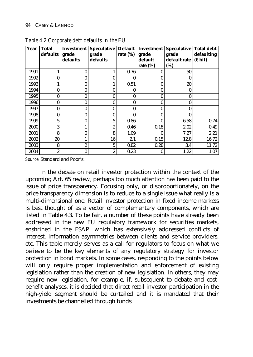| Year | <b>Total</b>   | <b>Investment</b> | <b>Speculative</b> |             | Default Investment | Speculative Total debt |                   |
|------|----------------|-------------------|--------------------|-------------|--------------------|------------------------|-------------------|
|      | defaults       | grade             | grade              | rate $(\%)$ | grade              | grade                  | defaulting        |
|      |                | defaults          | defaults           |             | default            | default rate           | $(E \text{ bil})$ |
|      |                |                   |                    |             | rate $(\%)$        | (%)                    |                   |
| 1991 |                | $\bf{0}$          | 1                  | 0.76        | 0                  | 50                     |                   |
| 1992 | 0              | 0                 | $\bf{0}$           | 0           | O                  | 0                      |                   |
| 1993 |                | 0                 | 1                  | 0.51        | 0                  | 20                     |                   |
| 1994 | 0              |                   | $\bf{0}$           | 0           | 0                  | 0                      |                   |
| 1995 | 0              |                   | $\bf{0}$           | $\bf{0}$    | 0                  | 0                      |                   |
| 1996 | $\bf{0}$       | 0                 | $\bf{0}$           | 0           | 0                  | 0                      |                   |
| 1997 | $\bf{0}$       | 0                 | $\bf{0}$           | $\bf{0}$    | 0                  | 0                      |                   |
| 1998 | $\bf{0}$       | 0                 | $\bf{0}$           | $\bf{0}$    | 0                  | 0                      |                   |
| 1999 | $\overline{5}$ | $\bf{0}$          | 5                  | 0.86        | 0                  | 6.58                   | 0.74              |
| 2000 | 3              |                   | $\overline{2}$     | 0.46        | 0.18               | 2.02                   | 0.49              |
| 2001 | 8              | $\bf{0}$          | 8                  | 1.09        | 0                  | 7.27                   | 2.21              |
| 2002 | 20             |                   | 16                 | 2.1         | 0.15               | 12.8                   | 16.72             |
| 2003 | 8              | $\overline{2}$    | 5                  | 0.82        | 0.28               | 3.4                    | 11.72             |
| 2004 | 2              | $\bf{0}$          | 2                  | 0.23        | 0                  | 1.22                   | 1.07              |

*Table 4.2 Corporate debt defaults in the EU* 

*Source*: Standard and Poor's.

In the debate on retail investor protection within the context of the upcoming Art. 65 review, perhaps too much attention has been paid to the issue of price transparency. Focusing only, or disproportionately, on the price transparency dimension is to reduce to a single issue what really is a multi-dimensional one. Retail investor protection in fixed income markets is best thought of as a vector of complementary components, which are listed in Table 4.3. To be fair, a number of these points have already been addressed in the new EU regulatory framework for securities markets, enshrined in the FSAP, which has extensively addressed conflicts of interest, information asymmetries between clients and service providers, etc. This table merely serves as a call for regulators to focus on what we believe to be the key elements of any regulatory strategy for investor protection in bond markets. In some cases, responding to the points below will only require proper implementation and enforcement of existing legislation rather than the creation of new legislation. In others, they may require new legislation, for example, if, subsequent to debate and costbenefit analyses, it is decided that direct retail investor participation in the high-yield segment should be curtailed and it is mandated that their investments be channelled through funds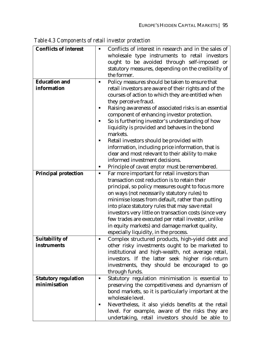| <b>Conflicts of interest</b> | п | Conflicts of interest in research and in the sales of  |
|------------------------------|---|--------------------------------------------------------|
|                              |   | wholesale type instruments to retail investors         |
|                              |   | ought to be avoided through self-imposed or            |
|                              |   | statutory measures, depending on the credibility of    |
|                              |   | the former.                                            |
| <b>Education and</b>         | ٠ | Policy measures should be taken to ensure that         |
| information                  |   | retail investors are aware of their rights and of the  |
|                              |   | courses of action to which they are entitled when      |
|                              |   | they perceive fraud.                                   |
|                              | п | Raising awareness of associated risks is an essential  |
|                              |   | component of enhancing investor protection.            |
|                              | ٠ | So is furthering investor's understanding of how       |
|                              |   | liquidity is provided and behaves in the bond          |
|                              |   | markets.                                               |
|                              | ٠ | Retail investors should be provided with               |
|                              |   | information, including price information, that is      |
|                              |   | clear and most relevant to their ability to make       |
|                              |   | informed investment decisions.                         |
|                              | ٠ | Principle of <i>caveat emptor</i> must be remembered.  |
| <b>Principal protection</b>  | ٠ | Far more important for retail investors than           |
|                              |   | transaction cost reduction is to retain their          |
|                              |   | principal, so policy measures ought to focus more      |
|                              |   | on ways (not necessarily statutory rules) to           |
|                              |   | minimise losses from default, rather than putting      |
|                              |   | into place statutory rules that may save retail        |
|                              |   | investors very little on transaction costs (since very |
|                              |   | few trades are executed per retail investor, unlike    |
|                              |   | in equity markets) and damage market quality,          |
|                              |   | especially liquidity, in the process.                  |
| <b>Suitability of</b>        | ٠ | Complex structured products, high-yield debt and       |
| instruments                  |   | other risky investments ought to be marketed to        |
|                              |   | institutional and high-wealth, not average retail,     |
|                              |   | investors. If the latter seek higher risk-return       |
|                              |   | investments, they should be encouraged to go           |
|                              |   | through funds.                                         |
| <b>Statutory regulation</b>  |   | Statutory regulation minimisation is essential to      |
| minimisation                 |   | preserving the competitiveness and dynamism of         |
|                              |   | bond markets, so it is particularly important at the   |
|                              |   | wholesale level.                                       |
|                              | ٠ | Nevertheless, it also yields benefits at the retail    |
|                              |   | level. For example, aware of the risks they are        |
|                              |   | undertaking, retail investors should be able to        |

*Table 4.3 Components of retail investor protection*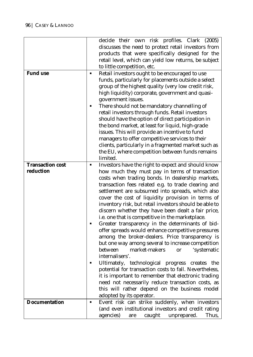|                         |                | decide their own risk profiles. Clark (2005)<br>discusses the need to protect retail investors from<br>products that were specifically designed for the<br>retail level, which can yield low returns, be subject                                                                                                                                                                                                                                                                                                                                                                                                                                                                                                                                                                                                                                                                                                                                                                                                                            |
|-------------------------|----------------|---------------------------------------------------------------------------------------------------------------------------------------------------------------------------------------------------------------------------------------------------------------------------------------------------------------------------------------------------------------------------------------------------------------------------------------------------------------------------------------------------------------------------------------------------------------------------------------------------------------------------------------------------------------------------------------------------------------------------------------------------------------------------------------------------------------------------------------------------------------------------------------------------------------------------------------------------------------------------------------------------------------------------------------------|
|                         |                | to little competition, etc.                                                                                                                                                                                                                                                                                                                                                                                                                                                                                                                                                                                                                                                                                                                                                                                                                                                                                                                                                                                                                 |
| <b>Fund use</b>         | ٠<br>п         | Retail investors ought to be encouraged to use<br>funds, particularly for placements outside a select<br>group of the highest quality (very low credit risk,<br>high liquidity) corporate, government and quasi-<br>government issues.<br>There should not be mandatory channelling of<br>retail investors through funds. Retail investors<br>should have the option of direct participation in<br>the bond market, at least for liquid, high-grade<br>issues. This will provide an incentive to fund<br>managers to offer competitive services to their<br>clients, particularly in a fragmented market such as<br>the EU, where competition between funds remains<br>limited.                                                                                                                                                                                                                                                                                                                                                             |
| <b>Transaction cost</b> | ٠              | Investors have the right to expect and should know                                                                                                                                                                                                                                                                                                                                                                                                                                                                                                                                                                                                                                                                                                                                                                                                                                                                                                                                                                                          |
| reduction               | ٠<br>٠         | how much they must pay in terms of transaction<br>costs when trading bonds. In dealership markets,<br>transaction fees related e.g. to trade clearing and<br>settlement are subsumed into spreads, which also<br>cover the cost of liquidity provision in terms of<br>inventory risk, but retail investors should be able to<br>discern whether they have been dealt a fair price,<br>i.e. one that is competitive in the marketplace.<br>Greater transparency in the determinants of bid-<br>offer spreads would enhance competitive pressures<br>among the broker-dealers. Price transparency is<br>but one way among several to increase competition<br>market-makers<br>'systematic<br>between<br><sub>or</sub><br>internalisers'.<br>Ultimately, technological progress creates the<br>potential for transaction costs to fall. Nevertheless,<br>it is important to remember that electronic trading<br>need not necessarily reduce transaction costs, as<br>this will rather depend on the business model<br>adopted by its operator. |
| <b>Documentation</b>    | $\blacksquare$ | Event risk can strike suddenly, when investors<br>(and even institutional investors and credit rating<br>unprepared.<br>agencies)<br>caught<br>Thus,<br>are                                                                                                                                                                                                                                                                                                                                                                                                                                                                                                                                                                                                                                                                                                                                                                                                                                                                                 |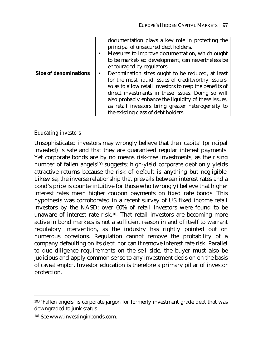|                              | documentation plays a key role in protecting the<br>principal of unsecured debt holders.<br>Measures to improve documentation, which ought<br>to be market-led development, can nevertheless be |
|------------------------------|-------------------------------------------------------------------------------------------------------------------------------------------------------------------------------------------------|
|                              | encouraged by regulators.                                                                                                                                                                       |
| <b>Size of denominations</b> | Denomination sizes ought to be reduced, at least                                                                                                                                                |
|                              | for the most liquid issues of creditworthy issuers,                                                                                                                                             |
|                              | so as to allow retail investors to reap the benefits of                                                                                                                                         |
|                              | direct investments in these issues. Doing so will                                                                                                                                               |
|                              | also probably enhance the liquidity of these issues,                                                                                                                                            |
|                              | as retail investors bring greater heterogeneity to                                                                                                                                              |
|                              | the existing class of debt holders.                                                                                                                                                             |

### *Educating investors*

Unsophisticated investors may wrongly believe that their capital (principal invested) is safe and that they are guaranteed regular interest payments. Yet corporate bonds are by no means risk-free investments, as the rising number of fallen angels<sup>100</sup> suggests; high-yield corporate debt only yields attractive returns because the risk of default is anything but negligible. Likewise, the inverse relationship that prevails between interest rates and a bond's price is counterintuitive for those who (wrongly) believe that higher interest rates mean higher coupon payments on fixed rate bonds. This hypothesis was corroborated in a recent survey of US fixed income retail investors by the NASD: over 60% of retail investors were found to be unaware of interest rate risk.101 That retail investors are becoming more active in bond markets is not a sufficient reason in and of itself to warrant regulatory intervention, as the industry has rightly pointed out on numerous occasions. Regulation cannot remove the probability of a company defaulting on its debt, nor can it remove interest rate risk. Parallel to due diligence requirements on the sell side, the buyer must also be judicious and apply common sense to any investment decision on the basis of *caveat emptor*. Investor education is therefore a primary pillar of investor protection.

 $\overline{a}$ 

<sup>100 &#</sup>x27;Fallen angels' is corporate jargon for formerly investment grade debt that was downgraded to junk status.

<sup>101</sup> See www.investinginbonds.com.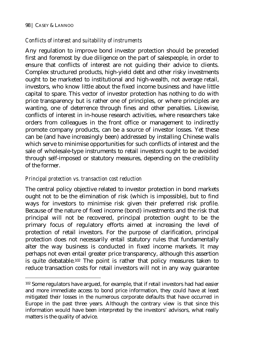$\overline{a}$ 

### *Conflicts of interest and suitability of instruments*

Any regulation to improve bond investor protection should be preceded first and foremost by due diligence on the part of salespeople, in order to ensure that conflicts of interest are not guiding their advice to clients. Complex structured products, high-yield debt and other risky investments ought to be marketed to institutional and high-wealth, not average retail, investors, who know little about the fixed income business and have little capital to spare. This vector of investor protection has nothing to do with price transparency but is rather one of principles, or where principles are wanting, one of deterrence through fines and other penalties. Likewise, conflicts of interest in in-house research activities, where researchers take orders from colleagues in the front office or management to indirectly promote company products, can be a source of investor losses. Yet these can be (and have increasingly been) addressed by installing Chinese walls which serve to minimise opportunities for such conflicts of interest and the sale of wholesale-type instruments to retail investors ought to be avoided through self-imposed or statutory measures, depending on the credibility of the former.

### *Principal protection vs. transaction cost reduction*

The central policy objective related to investor protection in bond markets ought not to be the elimination of risk (which is impossible), but to find ways for investors to minimise risk given their preferred risk profile. Because of the nature of fixed income (bond) investments and the risk that principal will not be recovered, principal protection ought to be the primary focus of regulatory efforts aimed at increasing the level of protection of retail investors. For the purpose of clarification, principal protection does not necessarily entail statutory rules that fundamentally alter the way business is conducted in fixed income markets. It may perhaps not even entail greater price transparency, although this assertion is quite debatable.102 The point is rather that policy measures taken to reduce transaction costs for retail investors will not in any way guarantee

<sup>102</sup> Some regulators have argued, for example, that if retail investors had had easier and more immediate access to bond price information, they could have at least mitigated their losses in the numerous corporate defaults that have occurred in Europe in the past three years. Although the contrary view is that since this information would have been interpreted by the investors' advisors, what really matters is the quality of advice.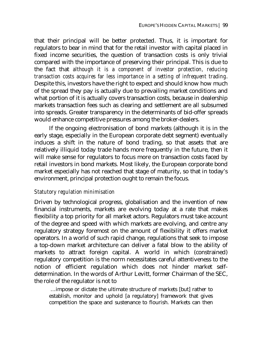that their principal will be better protected. Thus, it is important for regulators to bear in mind that for the retail investor with capital placed in fixed income securities, the question of transaction costs is only trivial compared with the importance of preserving their principal. This is due to the fact that *although it is a component of investor protection, reducing transaction costs acquires far less importance in a setting of infrequent trading*. Despite this, investors have the right to expect and should know how much of the spread they pay is actually due to prevailing market conditions and what portion of it is actually covers transaction costs, because in dealership markets transaction fees such as clearing and settlement are all subsumed into spreads. Greater transparency in the determinants of bid-offer spreads would enhance competitive pressures among the broker-dealers.

If the ongoing electronisation of bond markets (although it is in the early stage, especially in the European corporate debt segment) eventually induces a shift in the nature of bond trading, so that assets that are relatively illiquid today trade hands more frequently in the future, then it will make sense for regulators to focus more on transaction costs faced by retail investors in bond markets. Most likely, the European corporate bond market especially has not reached that stage of maturity, so that in today's environment, principal protection ought to remain the focus.

#### *Statutory regulation minimisation*

Driven by technological progress, globalisation and the invention of new financial instruments, markets are evolving today at a rate that makes flexibility a top priority for all market actors. Regulators must take account of the degree and speed with which markets are evolving, and centre any regulatory strategy foremost on the amount of flexibility it offers market operators. In a world of such rapid change, regulations that seek to impose a top-down market architecture can deliver a fatal blow to the ability of markets to attract foreign capital. A world in which (constrained) regulatory competition is the norm necessitates careful attentiveness to the notion of efficient regulation which does not hinder market selfdetermination. In the words of Arthur Levitt, former Chairman of the SEC, the role of the regulator is not to

 …impose or dictate the ultimate structure of markets [but] rather to establish, monitor and uphold [a regulatory] framework that gives competition the space and sustenance to flourish. Markets can then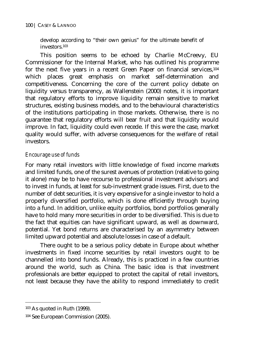develop according to "their own genius" for the ultimate benefit of investors.103

This position seems to be echoed by Charlie McCreevy, EU Commissioner for the Internal Market, who has outlined his programme for the next five years in a recent Green Paper on financial services,104 which places great emphasis on market self-determination and competitiveness. Concerning the core of the current policy debate on liquidity versus transparency, as Wallenstein (2000) notes, it is important that regulatory efforts to improve liquidity remain sensitive to market structures, existing business models, and to the behavioural characteristics of the institutions participating in those markets. Otherwise, there is no guarantee that regulatory efforts will bear fruit and that liquidity would improve. In fact, liquidity could even recede. If this were the case, market quality would suffer, with adverse consequences for the welfare of retail investors.

### *Encourage use of funds*

For many retail investors with little knowledge of fixed income markets and limited funds, one of the surest avenues of protection (relative to going it alone) may be to have recourse to professional investment advisors and to invest in funds, at least for sub-investment grade issues. First, due to the number of debt securities, it is very expensive for a single investor to hold a properly diversified portfolio, which is done efficiently through buying into a fund. In addition, unlike equity portfolios, bond portfolios generally have to hold many more securities in order to be diversified. This is due to the fact that equities can have significant upward, as well as downward, potential. Yet bond returns are characterised by an asymmetry between limited upward potential and absolute losses in case of a default.

There ought to be a serious policy debate in Europe about whether investments in fixed income securities by retail investors ought to be channelled into bond funds. Already, this is practiced in a few countries around the world, such as China. The basic idea is that investment professionals are better equipped to protect the capital of retail investors, not least because they have the ability to respond immediately to credit

 $\overline{a}$ 

<sup>103</sup> As quoted in Ruth (1999).

<sup>104</sup> See European Commission (2005).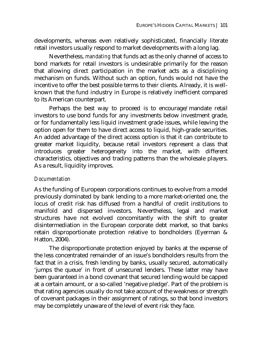developments, whereas even relatively sophisticated, financially literate retail investors usually respond to market developments with a long lag.

Nevertheless, *mandating* that funds act as the only channel of access to bond markets for retail investors is undesirable primarily for the reason that allowing direct participation in the market acts as a disciplining mechanism on funds. Without such an option, funds would not have the incentive to offer the best possible terms to their clients. Already, it is wellknown that the fund industry in Europe is relatively inefficient compared to its American counterpart.

Perhaps the best way to proceed is to encourage/mandate retail investors to use bond funds for any investments below investment grade, or for fundamentally less liquid investment grade issues, while leaving the option open for them to have direct access to liquid, high-grade securities. An added advantage of the direct access option is that it can contribute to greater market liquidity, because retail investors represent a class that introduces greater heterogeneity into the market, with different characteristics, objectives and trading patterns than the wholesale players. As a result, liquidity improves.

### *Documentation*

As the funding of European corporations continues to evolve from a model previously dominated by bank lending to a more market-oriented one, the locus of credit risk has diffused from a handful of credit institutions to manifold and dispersed investors. Nevertheless, legal and market structures have not evolved concomitantly with the shift to greater disintermediation in the European corporate debt market, so that banks retain disproportionate protection relative to bondholders (Eyerman & Hatton, 2004).

The disproportionate protection enjoyed by banks at the expense of the less concentrated remainder of an issue's bondholders results from the fact that in a crisis, fresh lending by banks, usually secured, automatically 'jumps the queue' in front of unsecured lenders. These latter may have been guaranteed in a bond covenant that secured lending would be capped at a certain amount, or a so-called 'negative pledge'. Part of the problem is that rating agencies usually do not take account of the weakness or strength of covenant packages in their assignment of ratings, so that bond investors may be completely unaware of the level of event risk they face.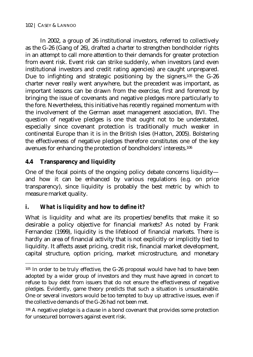In 2002, a group of 26 institutional investors, referred to collectively as the G-26 (Gang of 26), drafted a charter to strengthen bondholder rights in an attempt to call more attention to their demands for greater protection from event risk. Event risk can strike suddenly, when investors (and even institutional investors and credit rating agencies) are caught unprepared. Due to infighting and strategic positioning by the signers,<sup>105</sup> the G-26 charter never really went anywhere, but the precedent was important, as important lessons can be drawn from the exercise, first and foremost by bringing the issue of covenants and negative pledges more particularly to the fore. Nevertheless, this initiative has recently regained momentum with the involvement of the German asset management association, BVI. The question of negative pledges is one that ought not to be understated, especially since covenant protection is traditionally much weaker in continental Europe than it is in the British Isles (Hatton, 2005). Bolstering the effectiveness of negative pledges therefore constitutes one of the key avenues for enhancing the protection of bondholders' interests.106

## **4.4 Transparency and liquidity**

 $\overline{a}$ 

One of the focal points of the ongoing policy debate concerns liquidity and how it can be enhanced by various regulations (e.g. on price transparency), since liquidity is probably the best metric by which to measure market quality.

## *i. What is liquidity and how to define it?*

What is liquidity and what are its properties/benefits that make it so desirable a policy objective for financial markets? As noted by Frank Fernandez (1999), liquidity is the lifeblood of financial markets. There is hardly an area of financial activity that is not explicitly or implicitly tied to liquidity. It affects asset pricing, credit risk, financial market development, capital structure, option pricing, market microstructure, and monetary

<sup>105</sup> In order to be truly effective, the G-26 proposal would have had to have been adopted by a wider group of investors and they must have agreed in concert to refuse to buy debt from issuers that do not ensure the effectiveness of negative pledges. Evidently, game theory predicts that such a situation is unsustainable. One or several investors would be too tempted to buy up attractive issues, even if the collective demands of the G-26 had not been met.

<sup>106</sup> A negative pledge is a clause in a bond covenant that provides some protection for unsecured borrowers against event risk.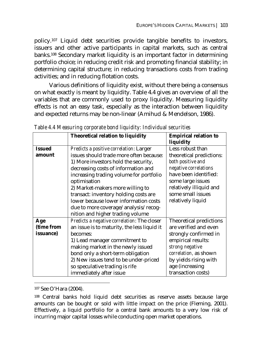policy.107 Liquid debt securities provide tangible benefits to investors, issuers and other active participants in capital markets, such as central banks.108 Secondary market liquidity is an important factor in determining portfolio choice; in reducing credit risk and promoting financial stability; in determining capital structure; in reducing transactions costs from trading activities; and in reducing flotation costs.

Various definitions of liquidity exist, without there being a consensus on what exactly is meant by liquidity. Table 4.4 gives an overview of all the variables that are commonly used to proxy liquidity. Measuring liquidity effects is not an easy task, especially as the interaction between liquidity and expected returns may be non-linear (Amihud & Mendelson, 1986).

|                   | <b>Theoretical relation to liquidity</b>    | <b>Empirical relation to</b> |
|-------------------|---------------------------------------------|------------------------------|
|                   |                                             | liquidity                    |
| <b>Issued</b>     | Predicts a positive correlation: Larger     | Less robust than             |
| amount            | issues should trade more often because:     | theoretical predictions:     |
|                   | 1) More investors hold the security,        | both positive and            |
|                   | decreasing costs of information and         | negative correlations        |
|                   | increasing trading volume for portfolio     | have been identified:        |
|                   | optimisation                                | some large issues            |
|                   | 2) Market-makers more willing to            | relatively illiquid and      |
|                   | transact: inventory holding costs are       | some small issues            |
|                   | lower because lower information costs       | relatively liquid            |
|                   | due to more coverage/analysis/recog-        |                              |
|                   | nition and higher trading volume            |                              |
| Age               | Predicts a negative correlation: The closer | Theoretical predictions      |
| (time from        | an issue is to maturity, the less liquid it | are verified and even        |
| <i>issuance</i> ) | becomes:                                    | strongly confirmed in        |
|                   | 1) Lead manager commitment to               | empirical results:           |
|                   | making market in the newly issued           | strong negative              |
|                   | bond only a short-term obligation           | correlation, as shown        |
|                   | 2) New issues tend to be under-priced       | by yields rising with        |
|                   | so speculative trading is rife              | age (increasing              |
|                   | immediately after issue                     | transaction costs)           |

*Table 4.4 Measuring corporate bond liquidity: Individual securities* 

 $\overline{a}$ 

<sup>107</sup> See O'Hara (2004).

<sup>108</sup> Central banks hold liquid debt securities as reserve assets because large amounts can be bought or sold with little impact on the price (Fleming, 2001). Effectively, a liquid portfolio for a central bank amounts to a very low risk of incurring major capital losses while conducting open market operations.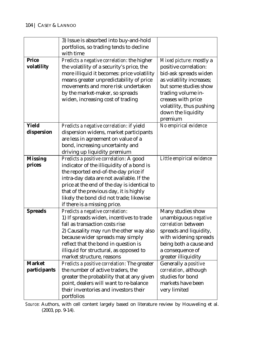|                | 3) Issue is absorbed into buy-and-hold                                              |                                           |
|----------------|-------------------------------------------------------------------------------------|-------------------------------------------|
|                | portfolios, so trading tends to decline                                             |                                           |
|                | with time                                                                           |                                           |
| <b>Price</b>   | Predicts a negative correlation: the higher                                         | Mixed picture: mostly a                   |
| volatility     | the volatility of a security's price, the                                           | positive correlation:                     |
|                | more illiquid it becomes: price volatility                                          | bid-ask spreads widen                     |
|                | means greater unpredictability of price                                             | as volatility increases;                  |
|                | movements and more risk undertaken                                                  | but some studies show                     |
|                | by the market-maker, so spreads                                                     | trading volume in-                        |
|                | widen, increasing cost of trading                                                   | creases with price                        |
|                |                                                                                     | volatility, thus pushing                  |
|                |                                                                                     | down the liquidity                        |
|                |                                                                                     | premium                                   |
| Yield          | Predicts a negative correlation: if yield                                           | No empirical evidence                     |
| dispersion     | dispersion widens, market participants                                              |                                           |
|                | are less in agreement on value of a                                                 |                                           |
|                | bond, increasing uncertainty and                                                    |                                           |
|                | driving up liquidity premium                                                        |                                           |
| <b>Missing</b> | Predicts a positive correlation: A good                                             | Little empirical evidence                 |
| prices         | indicator of the illiquidity of a bond is                                           |                                           |
|                | the reported end-of-the-day price if                                                |                                           |
|                | intra-day data are not available. If the                                            |                                           |
|                | price at the end of the day is identical to                                         |                                           |
|                | that of the previous day, it is highly                                              |                                           |
|                | likely the bond did not trade; likewise                                             |                                           |
|                | if there is a missing price.                                                        |                                           |
| <b>Spreads</b> | Predicts a negative correlation:                                                    | Many studies show                         |
|                | 1) If spreads widen, incentives to trade                                            | unambiguous negative                      |
|                | fall as transaction costs rise                                                      | correlation between                       |
|                | 2) Causality may run the other way also                                             | spreads and liquidity,                    |
|                | because wider spreads may simply                                                    | with widening spreads                     |
|                | reflect that the bond in question is                                                | being both a cause and                    |
|                | illiquid for structural, as opposed to                                              | a consequence of                          |
| <b>Market</b>  | market structure, reasons                                                           | greater illiquidity                       |
|                | Predicts a positive correlation: The greater                                        | Generally a positive                      |
| participants   | the number of active traders, the                                                   | correlation, although<br>studies for bond |
|                | greater the probability that at any given<br>point, dealers will want to re-balance | markets have been                         |
|                | their inventories and investors their                                               |                                           |
|                |                                                                                     | very limited                              |
|                | portfolios                                                                          |                                           |

*Source*: Authors, with cell content largely based on literature review by Houweling et al. (2003, pp. 9-14).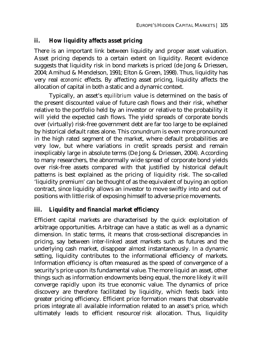### *ii. How liquidity affects asset pricing*

There is an important link between liquidity and proper asset valuation. Asset pricing depends to a certain extent on liquidity. Recent evidence suggests that liquidity risk in bond markets is priced (de Jong & Driessen, 2004; Amihud & Mendelson, 1991; Elton & Green, 1998). Thus, liquidity has very real *economic* effects. By affecting asset pricing, liquidity affects the allocation of capital in both a static and a dynamic context.

Typically, an asset's *equilibrium* value is determined on the basis of the present discounted value of future cash flows and their risk, whether relative to the portfolio held by an investor or relative to the probability it will yield the expected cash flows. The yield spreads of corporate bonds over (virtually) risk-free government debt are far too large to be explained by historical default rates alone. This conundrum is even more pronounced in the high rated segment of the market, where default probabilities are very low, but where variations in credit spreads persist and remain inexplicably large in absolute terms (De Jong & Driessen, 2004). According to many researchers, the abnormally wide spread of corporate bond yields over risk-free assets compared with that justified by historical default patterns is best explained as the pricing of liquidity risk. The so-called 'liquidity premium' can be thought of as the equivalent of buying an option contract, since liquidity allows an investor to move swiftly into and out of positions with little risk of exposing himself to adverse price movements.

### *iii. Liquidity and financial market efficiency*

Efficient capital markets are characterised by the quick exploitation of arbitrage opportunities. Arbitrage can have a static as well as a dynamic dimension. In static terms, it means that cross-sectional discrepancies in pricing, say between inter-linked asset markets such as futures and the underlying cash market, disappear almost instantaneously. In a dynamic setting, liquidity contributes to the informational efficiency of markets. Information efficiency is often measured as the speed of convergence of a security's price upon its fundamental value. The more liquid an asset, other things such as information endowments being equal, the more likely it will converge rapidly upon its true economic value. The dynamics of price discovery are therefore facilitated by liquidity, which feeds back into greater pricing efficiency. Efficient price formation means that observable prices integrate *all* available information related to an asset's price, which ultimately leads to efficient resource/risk allocation. Thus, liquidity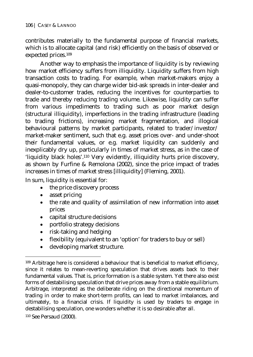contributes materially to the fundamental purpose of financial markets, which is to allocate capital (and risk) efficiently on the basis of observed or expected prices.109

Another way to emphasis the importance of liquidity is by reviewing how market efficiency suffers from illiquidity. Liquidity suffers from high transaction costs to trading. For example, when market-makers enjoy a quasi-monopoly, they can charge wider bid-ask spreads in inter-dealer and dealer-to-customer trades, reducing the incentives for counterparties to trade and thereby reducing trading volume. Likewise, liquidity can suffer from various impediments to trading such as poor market design (structural illiquidity), imperfections in the trading infrastructure (leading to trading frictions), increasing market fragmentation, and illogical behavioural patterns by market participants, related to trader/investor/ market-maker sentiment, such that e.g. asset prices over- and under-shoot their fundamental values, or e.g. market liquidity can suddenly and inexplicably dry up, particularly in times of market stress, as in the case of 'liquidity black holes'.110 Very evidently, illiquidity hurts price discovery, as shown by Furfine & Remolona (2002), since the price impact of trades increases in times of market stress [illiquidity] (Fleming, 2001).

In sum, liquidity is essential for:

- the price discovery process
- asset pricing
- the rate and quality of assimilation of new information into asset prices
- capital structure decisions
- portfolio strategy decisions
- risk-taking and hedging
- flexibility (equivalent to an 'option' for traders to buy or sell)
- developing market structure.

 $\overline{a}$ 109 Arbitrage here is considered a behaviour that is beneficial to market efficiency, since it relates to mean-reverting speculation that drives assets back to their fundamental values. That is, price formation is a stable system. Yet there also exist forms of destabilising speculation that drive prices away from a stable equilibrium. Arbitrage, interpreted as the deliberate riding on the directional momentum of trading in order to make short-term profits, can lead to market imbalances, and ultimately, to a financial crisis. If liquidity is used by traders to engage in destabilising speculation, one wonders whether it is so desirable after all. 110 See Persaud (2000).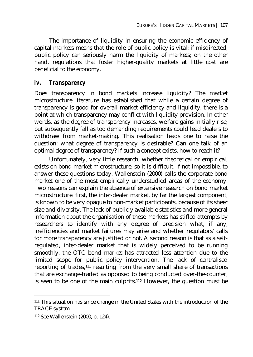The importance of liquidity in ensuring the economic efficiency of capital markets means that the role of public policy is vital: if misdirected, public policy can seriously harm the liquidity of markets; on the other hand, regulations that foster higher-quality markets at little cost are beneficial to the economy.

#### *iv. Transparency*

Does transparency in bond markets increase liquidity? The market microstructure literature has established that while a certain degree of transparency is good for overall market efficiency and liquidity, there is a point at which transparency may conflict with liquidity provision. In other words, as the degree of transparency increases, welfare gains initially rise, but subsequently fall as too demanding requirements could lead dealers to withdraw from market-making. This realisation leads one to raise the question: what degree of transparency is desirable? Can one talk of an optimal degree of transparency? If such a concept exists, how to reach it?

Unfortunately, very little research, whether theoretical or empirical, exists on bond market microstructure, so it is difficult, if not impossible, to answer these questions today. Wallenstein (2000) calls the corporate bond market one of the most empirically understudied areas of the economy. Two reasons can explain the absence of extensive research on bond market microstructure: first, the inter-dealer market, by far the largest component, is known to be very opaque to non-market participants, because of its sheer size and diversity. The lack of publicly available statistics and more general information about the organisation of these markets has stifled attempts by researchers to identify with any degree of precision what, if any, inefficiencies and market failures may arise and whether regulators' calls for more transparency are justified or not. A second reason is that as a selfregulated, inter-dealer market that is widely perceived to be running smoothly, the OTC bond market has attracted less attention due to the limited scope for public policy intervention. The lack of centralised reporting of trades,<sup>111</sup> resulting from the very small share of transactions that are exchange-traded as opposed to being conducted over-the-counter, is seen to be one of the main culprits.112 However, the question must be

 $\overline{a}$ 

<sup>111</sup> This situation has since change in the United States with the introduction of the TRACE system.

<sup>112</sup> See Wallenstein (2000, p. 124).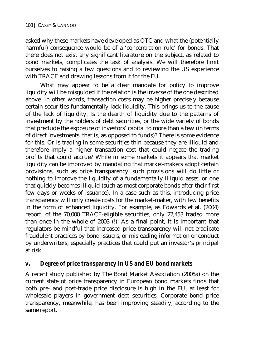asked why these markets have developed as OTC and what the (potentially harmful) consequence would be of a 'concentration rule' for bonds. That there does not exist any significant literature on the subject, as related to bond markets, complicates the task of analysis. We will therefore limit ourselves to raising a few questions and to reviewing the US experience with TRACE and drawing lessons from it for the EU.

What may appear to be a clear mandate for policy to improve liquidity will be misguided if the relation is the inverse of the one described above. In other words, transaction costs may be higher precisely because certain securities fundamentally lack liquidity. This brings us to the cause of the lack of liquidity. Is the dearth of liquidity due to the patterns of investment by the holders of debt securities, or the wide variety of bonds that preclude the exposure of investors' capital to more than a few (in terms of direct investments, that is, as opposed to funds)? There is some evidence for this. Or is trading in some securities thin because they are illiquid and therefore imply a higher transaction cost that could negate the trading profits that could accrue? While in some markets it appears that market liquidity can be improved by mandating that market-makers adopt certain provisions, such as price transparency, such provisions will do little or nothing to improve the liquidity of a fundamentally illiquid asset, or one that quickly becomes illiquid (such as most corporate bonds after their first few days or weeks of issuance). In a case such as this, introducing price transparency will only create costs for the market-maker, with few benefits in the form of enhanced liquidity. For example, as Edwards et al. (2004) report, of the 70,000 TRACE-eligible securities, only 22,453 traded more than once in the whole of 2003 (!). As a final point, it is important that regulators be mindful that increased price transparency will not eradicate fraudulent practices by bond issuers, or misleading information or conduct by underwriters, especially practices that could put an investor's principal at risk.

### *v. Degree of price transparency in US and EU bond markets*

A recent study published by The Bond Market Association (2005a) on the current state of price transparency in European bond markets finds that both pre- and post-trade price disclosure is high in the EU, at least for wholesale players in government debt securities. Corporate bond price transparency, meanwhile, has been improving steadily, according to the same report.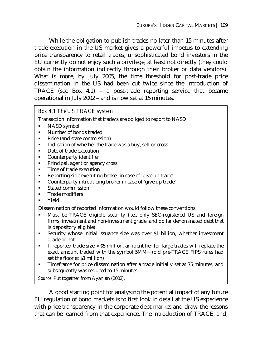While the obligation to publish trades no later than 15 minutes after trade execution in the US market gives a powerful impetus to extending price transparency to retail trades, unsophisticated bond investors in the EU currently do not enjoy such a privilege, at least not directly (they could obtain the information indirectly through their broker or data vendors). What is more, by July 2005, the time threshold for post-trade price dissemination in the US had been cut twice since the introduction of TRACE (see Box 4.1) – a post-trade reporting service that became operational in July 2002 – and is now set at 15 minutes.

### *Box 4.1 The US TRACE system*

Transaction information that traders are obliged to report to NASD:

- NASD symbol
- Number of bonds traded
- Price (and state commission)
- Indication of whether the trade was a buy, sell or cross
- Date of trade execution
- **•** Counterparty identifier
- Principal, agent or agency cross
- Time of trade execution
- Reporting side executing broker in case of 'give up trade'
- Counterparty introducing broker in case of 'give up trade'
- **Stated commission**
- **Trade modifiers**
- Yield

Dissemination of reported information would follow these conventions:

- Must be TRACE eligible security (i.e., only SEC-registered US and foreign firms, investment and non-investment grade, and dollar denominated debt that is depository eligible)
- Security whose initial issuance size was over \$1 billion, whether investment grade or not
- If reported trade size  $>$  \$5 million, an identifier for large trades will replace the exact amount traded with the symbol 5MM+ (old pre-TRACE FIPS rules had set the floor at \$1 million)
- Timeframe for price dissemination after a trade initially set at 75 minutes, and subsequently was reduced to 15 minutes.

*Source*: Put together from Ayanian (2002).

A good starting point for analysing the potential impact of any future EU regulation of bond markets is to first look in detail at the US experience with price transparency in the corporate debt market and draw the lessons that can be learned from that experience. The introduction of TRACE, and,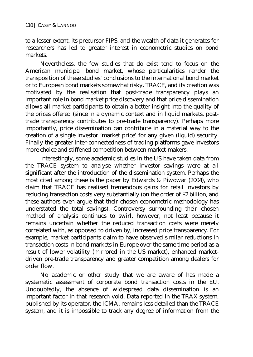to a lesser extent, its precursor FIPS, and the wealth of data it generates for researchers has led to greater interest in econometric studies on bond markets.

Nevertheless, the few studies that do exist tend to focus on the American municipal bond market, whose particularities render the transposition of these studies' conclusions to the international bond market or to European bond markets somewhat risky. TRACE, and its creation was motivated by the realisation that post-trade transparency plays an important role in bond market price discovery and that price dissemination allows all market participants to obtain a better insight into the quality of the prices offered (since in a dynamic context and in liquid markets, posttrade transparency contributes to pre-trade transparency). Perhaps more importantly, price dissemination can contribute in a material way to the creation of a single investor 'market price' for any given (liquid) security. Finally the greater inter-connectedness of trading platforms gave investors more choice and stiffened competition between market-makers.

Interestingly, some academic studies in the US have taken data from the TRACE system to analyse whether investor savings were at all significant after the introduction of the dissemination system. Perhaps the most cited among these is the paper by Edwards & Piwowar (2004), who claim that TRACE has realised tremendous gains for retail investors by reducing transaction costs very substantially (on the order of \$2 billion, and these authors even argue that their chosen econometric methodology has understated the total savings). Controversy surrounding their chosen method of analysis continues to swirl, however, not least because it remains uncertain whether the reduced transaction costs were merely correlated with, as opposed to driven by, increased price transparency. For example, market participants claim to have observed similar reductions in transaction costs in bond markets in Europe over the same time period as a result of lower volatility (mirrored in the US market), enhanced marketdriven pre-trade transparency and greater competition among dealers for order flow.

No academic or other study that we are aware of has made a systematic assessment of corporate bond transaction costs in the EU. Undoubtedly, the absence of widespread data dissemination is an important factor in that research void. Data reported in the TRAX system, published by its operator, the ICMA, remains less detailed than the TRACE system, and it is impossible to track any degree of information from the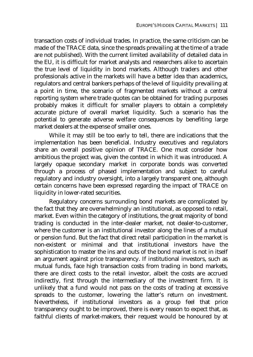transaction costs of individual trades. In practice, the same criticism can be made of the TRACE data, since the spreads prevailing at the time of a trade are not published). With the current limited availability of detailed data in the EU, it is difficult for market analysts and researchers alike to ascertain the true level of liquidity in bond markets. Although traders and other professionals active in the markets will have a better idea than academics, regulators and central bankers perhaps of the level of liquidity prevailing at a point in time, the scenario of fragmented markets without a central reporting system where trade quotes can be obtained for trading purposes probably makes it difficult for smaller players to obtain a completely accurate picture of overall market liquidity. Such a scenario has the potential to generate adverse welfare consequences by benefiting large market dealers at the expense of smaller ones.

While it may still be too early to tell, there are indications that the implementation has been beneficial. Industry executives and regulators share an overall positive opinion of TRACE. One must consider how ambitious the project was, given the context in which it was introduced. A largely opaque secondary market in corporate bonds was converted through a process of phased implementation and subject to careful regulatory and industry oversight, into a largely transparent one, although certain concerns have been expressed regarding the impact of TRACE on liquidity in lower-rated securities.

Regulatory concerns surrounding bond markets are complicated by the fact that they are overwhelmingly an institutional, as opposed to retail, market. Even within the category of institutions, the great majority of bond trading is conducted in the inter-dealer market, not dealer-to-customer, where the customer is an institutional investor along the lines of a mutual or pension fund. But the fact that direct retail participation in the market is non-existent or minimal and that institutional investors have the sophistication to master the ins and outs of the bond market is not in itself an argument against price transparency. If institutional investors, such as mutual funds, face high transaction costs from trading in bond markets, there are direct costs to the retail investor, albeit the costs are accrued indirectly, first through the intermediary of the investment firm. It is unlikely that a fund would not pass on the costs of trading at excessive spreads to the customer, lowering the latter's return on investment. Nevertheless, if institutional investors as a group feel that price transparency ought to be improved, there is every reason to expect that, as faithful clients of market-makers, their request would be honoured by at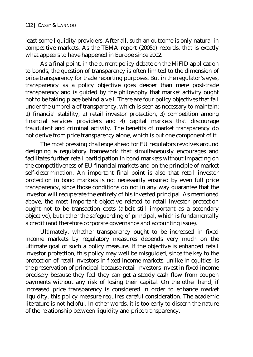least some liquidity providers. After all, such an outcome is only natural in competitive markets. As the TBMA report (2005a) records, that is exactly what appears to have happened in Europe since 2002.

As a final point, in the current policy debate on the MiFID application to bonds, the question of transparency is often limited to the dimension of price transparency for trade reporting purposes. But in the regulator's eyes, transparency as a policy objective goes deeper than mere post-trade transparency and is guided by the philosophy that market activity ought not to be taking place behind a veil. There are four policy objectives that fall under the umbrella of transparency, which is seen as necessary to maintain: 1) financial stability, 2) retail investor protection, 3) competition among financial services providers and 4) capital markets that discourage fraudulent and criminal activity. The benefits of market transparency do not derive from price transparency alone, which is but one component of it.

The most pressing challenge ahead for EU regulators revolves around designing a regulatory framework that simultaneously encourages and facilitates further retail participation in bond markets without impacting on the competitiveness of EU financial markets and on the principle of market self-determination. An important final point is also that retail investor protection in bond markets is not necessarily ensured by even full price transparency, since those conditions do not in any way guarantee that the investor will recuperate the entirety of his invested principal. As mentioned above, the most important objective related to retail investor protection ought not to be transaction costs (albeit still important as a secondary objective), but rather the safeguarding of principal, which is fundamentally a credit (and therefore corporate governance and accounting issue).

Ultimately, whether transparency ought to be increased in fixed income markets by regulatory measures depends very much on the ultimate goal of such a policy measure. If the objective is enhanced retail investor protection, this policy may well be misguided, since the key to the protection of retail investors in fixed income markets, unlike in equities, is the preservation of principal, because retail investors invest in fixed income precisely because they feel they can get a steady cash flow from coupon payments without any risk of losing their capital. On the other hand, if increased price transparency is considered in order to enhance market liquidity, this policy measure requires careful consideration. The academic literature is not helpful. In other words, it is too early to discern the nature of the relationship between liquidity and price transparency.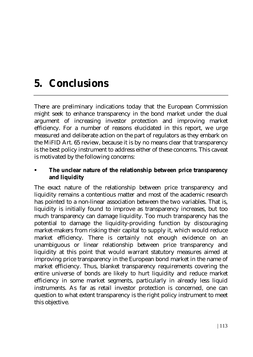# **5. Conclusions**

There are preliminary indications today that the European Commission might seek to enhance transparency in the bond market under the dual argument of increasing investor protection and improving market efficiency. For a number of reasons elucidated in this report, we urge measured and deliberate action on the part of regulators as they embark on the MiFID Art. 65 review, because it is by no means clear that transparency is the best policy instrument to address either of these concerns. This caveat is motivated by the following concerns:

### **The unclear nature of the relationship between price transparency and liquidity**

The exact nature of the relationship between price transparency and liquidity remains a contentious matter and most of the academic research has pointed to a non-linear association between the two variables. That is, liquidity is initially found to improve as transparency increases, but too much transparency can damage liquidity. Too much transparency has the potential to damage the liquidity-providing function by discouraging market-makers from risking their capital to supply it, which would reduce market efficiency. There is certainly not enough evidence on an unambiguous or linear relationship between price transparency and liquidity at this point that would warrant statutory measures aimed at improving price transparency in the European bond market in the name of market efficiency. Thus, blanket transparency requirements covering the entire universe of bonds are likely to hurt liquidity and reduce market efficiency in some market segments, particularly in already less liquid instruments. As far as retail investor protection is concerned, one can question to what extent transparency is the right policy instrument to meet this objective.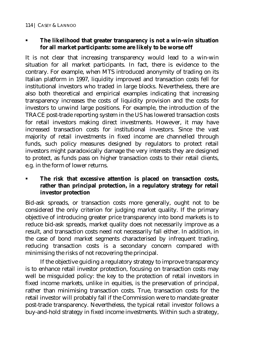### **The likelihood that greater transparency is not a win-win situation for all market participants: some are likely to be worse off**

It is not clear that increasing transparency would lead to a win-win situation for all market participants. In fact, there is evidence to the contrary. For example, when MTS introduced anonymity of trading on its Italian platform in 1997, liquidity improved and transaction costs fell for institutional investors who traded in large blocks. Nevertheless, there are also both theoretical and empirical examples indicating that increasing transparency increases the costs of liquidity provision and the costs for investors to unwind large positions. For example, the introduction of the TRACE post-trade reporting system in the US has lowered transaction costs for retail investors making direct investments. However, it may have increased transaction costs for institutional investors. Since the vast majority of retail investments in fixed income are channelled through funds, such policy measures designed by regulators to protect retail investors might paradoxically damage the very interests they are designed to protect, as funds pass on higher transaction costs to their retail clients, e.g. in the form of lower returns.

### **The risk that excessive attention is placed on transaction costs, rather than principal protection, in a regulatory strategy for retail investor protection**

Bid-ask spreads, or transaction costs more generally, ought not to be considered the only criterion for judging market quality. If the primary objective of introducing greater price transparency into bond markets is to reduce bid-ask spreads, market quality does not necessarily improve as a result, and transaction costs need not necessarily fall either. In addition, in the case of bond market segments characterised by infrequent trading, reducing transaction costs is a secondary concern compared with minimising the risks of not recovering the principal.

If the objective guiding a regulatory strategy to improve transparency is to enhance retail investor protection, focusing on transaction costs may well be misguided policy: the key to the protection of retail investors in fixed income markets, unlike in equities, is the preservation of principal, rather than minimising transaction costs. True, transaction costs for the retail investor will probably fall if the Commission were to mandate greater post-trade transparency. Nevertheless, the typical retail investor follows a buy-and-hold strategy in fixed income investments. Within such a strategy,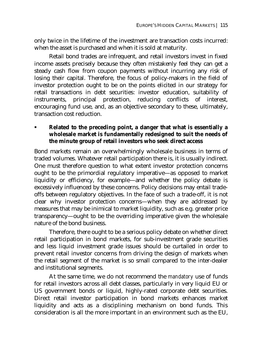only twice in the lifetime of the investment are transaction costs incurred: when the asset is purchased and when it is sold at maturity.

Retail bond trades are infrequent, and retail investors invest in fixed income assets precisely because they often mistakenly feel they can get a steady cash flow from coupon payments without incurring any risk of losing their capital. Therefore, the focus of policy-makers in the field of investor protection ought to be on the points elicited in our strategy for retail transactions in debt securities: investor education, suitability of instruments, principal protection, reducing conflicts of interest, encouraging fund use, and, as an objective secondary to these, ultimately, transaction cost reduction.

### **Related to the preceding point, a danger that what is essentially a wholesale market is fundamentally redesigned to suit the needs of the minute group of retail investors who seek direct access**

Bond markets remain an overwhelmingly wholesale business in terms of traded volumes. Whatever retail participation there is, it is usually indirect. One must therefore question to what extent investor protection concerns ought to be the primordial regulatory imperative—as opposed to market liquidity or efficiency, for example—and whether the policy debate is excessively influenced by these concerns. Policy decisions may entail tradeoffs between regulatory objectives. In the face of such a trade-off, it is not clear why investor protection concerns—when they are addressed by measures that may be inimical to market liquidity, such as e.g. greater price transparency—ought to be the overriding imperative given the wholesale nature of the bond business.

Therefore, there ought to be a serious policy debate on whether direct retail participation in bond markets, for sub-investment grade securities and less liquid investment grade issues should be curtailed in order to prevent retail investor concerns from driving the design of markets when the retail segment of the market is so small compared to the inter-dealer and institutional segments.

At the same time, we do not recommend the *mandatory* use of funds for retail investors across all debt classes, particularly in very liquid EU or US government bonds or liquid, highly-rated corporate debt securities. Direct retail investor participation in bond markets enhances market liquidity and acts as a disciplining mechanism on bond funds. This consideration is all the more important in an environment such as the EU,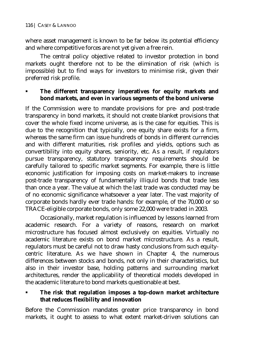where asset management is known to be far below its potential efficiency and where competitive forces are not yet given a free rein.

The central policy objective related to investor protection in bond markets ought therefore not to be the elimination of risk (which is impossible) but to find ways for investors to minimise risk, given their preferred risk profile.

### **The different transparency imperatives for equity markets and bond markets, and even in various segments of the bond universe**

If the Commission were to mandate provisions for pre- and post-trade transparency in bond markets, it should not create blanket provisions that cover the whole fixed income universe, as is the case for equities. This is due to the recognition that typically, one equity share exists for a firm, whereas the same firm can issue hundreds of bonds in different currencies and with different maturities, risk profiles and yields, options such as convertibility into equity shares, seniority, etc. As a result, if regulators pursue transparency, statutory transparency requirements should be carefully tailored to specific market segments. For example, there is little economic justification for imposing costs on market-makers to increase post-trade transparency of fundamentally illiquid bonds that trade less than once a year. The value at which the last trade was conducted may be of no economic significance whatsoever a year later. The vast majority of corporate bonds hardly ever trade hands: for example, of the 70,000 or so TRACE-eligible corporate bonds, only some 22,000 were traded in 2003.

Occasionally, market regulation is influenced by lessons learned from academic research. For a variety of reasons, research on market microstructure has focused almost exclusively on equities. Virtually no academic literature exists on bond market microstructure. As a result, regulators must be careful not to draw hasty conclusions from such equitycentric literature. As we have shown in Chapter 4, the numerous differences between stocks and bonds, not only in their characteristics, but also in their investor base, holding patterns and surrounding market architectures, render the applicability of theoretical models developed in the academic literature to bond markets questionable at best.

 **The risk that regulation imposes a top-down market architecture that reduces flexibility and innovation** 

Before the Commission mandates greater price transparency in bond markets, it ought to assess to what extent market-driven solutions can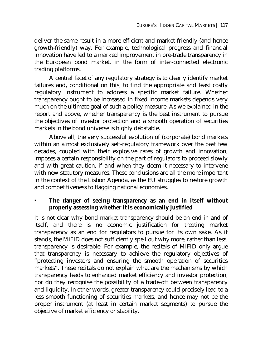deliver the same result in a more efficient and market-friendly (and hence growth-friendly) way. For example, technological progress and financial innovation have led to a marked improvement in pre-trade transparency in the European bond market, in the form of inter-connected electronic trading platforms.

A central facet of any regulatory strategy is to clearly identify market failures and, conditional on this, to find the appropriate and least costly regulatory instrument to address a specific market failure. Whether transparency ought to be increased in fixed income markets depends very much on the ultimate goal of such a policy measure. As we explained in the report and above, whether transparency is the best instrument to pursue the objectives of investor protection and a smooth operation of securities markets in the bond universe is highly debatable.

Above all, the very successful evolution of (corporate) bond markets within an almost exclusively self-regulatory framework over the past few decades, coupled with their explosive rates of growth and innovation, imposes a certain responsibility on the part of regulators to proceed slowly and with great caution, if and when they deem it necessary to intervene with new statutory measures. These conclusions are all the more important in the context of the Lisbon Agenda, as the EU struggles to restore growth and competitiveness to flagging national economies.

### **The danger of seeing transparency as an end in itself without properly assessing whether it is economically justified**

It is not clear why bond market transparency should be an end in and of itself, and there is no economic justification for treating market transparency as an end for regulators to pursue for its own sake. As it stands, the MiFID does not sufficiently spell out why more, rather than less, transparency is desirable. For example, the recitals of MiFID only argue that transparency is necessary to achieve the regulatory objectives of "protecting investors and ensuring the smooth operation of securities markets". These recitals do not explain what are the mechanisms by which transparency leads to enhanced market efficiency and investor protection, nor do they recognise the possibility of a trade-off between transparency and liquidity. In other words, greater transparency could precisely lead to a less smooth functioning of securities markets, and hence may not be the proper instrument (at least in certain market segments) to pursue the objective of market efficiency or stability.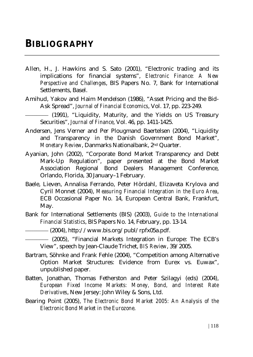- Allen, H., J. Hawkins and S. Sato (2001), "Electronic trading and its implications for financial systems", *Electronic Finance: A New Perspective and Challenges*, BIS Papers No. 7, Bank for International Settlements, Basel.
- Amihud, Yakov and Haim Mendelson (1986), "Asset Pricing and the Bid-Ask Spread", *Journal of Financial Economics*, Vol. 17, pp. 223-249.

(1991), "Liquidity, Maturity, and the Yields on US Treasury Securities", *Journal of Finance*, Vol. 46, pp. 1411-1425.

- Andersen, Jens Verner and Per Plougmand Baertelsen (2004), "Liquidity and Transparency in the Danish Government Bond Market", *Monetary Review*, Danmarks Nationalbank, 2nd Quarter.
- Ayanian, John (2002), "Corporate Bond Market Transparency and Debt Mark-Up Regulation", paper presented at the Bond Market Association Regional Bond Dealers Management Conference, Orlando, Florida, 30 January–1 February.
- Baele, Lieven, Annalisa Ferrando, Peter Hördahl, Elizaveta Krylova and Cyril Monnet (2004), *Measuring Financial Integration in the Euro Area*, ECB Occasional Paper No. 14, European Central Bank, Frankfurt, May.
- Bank for International Settlements (BIS) (2003), *Guide to the International Financial Statistics*, BIS Papers No. 14, February, pp. 13-14.
- –––––––– (2004), http://www.bis.org/publ/rpfx05a.pdf.
- –––––––– (2005), "Financial Markets Integration in Europe: The ECB's View", speech by Jean-Claude Trichet, *BIS Review*, 39/2005.
- Bartram, Söhnke and Frank Fehle (2004), "Competition among Alternative Option Market Structures: Evidence from Eurex vs. Euwax", unpublished paper.
- Batten, Jonathan, Thomas Fetherston and Peter Szilagyi (eds) (2004), *European Fixed Income Markets: Money, Bond, and Interest Rate Derivatives*, New Jersey: John Wiley & Sons, Ltd.
- Bearing Point (2005), *The Electronic Bond Market 2005: An Analysis of the Electronic Bond Market in the Eurozone*.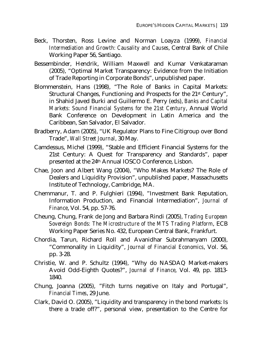- Beck, Thorsten, Ross Levine and Norman Loayza (1999), *Financial Intermediation and Growth: Causality and Causes*, Central Bank of Chile Working Paper 56, Santiago.
- Bessembinder, Hendrik, William Maxwell and Kumar Venkataraman (2005), "Optimal Market Transparency: Evidence from the Initiation of Trade Reporting in Corporate Bonds", unpublished paper.
- Blommenstein, Hans (1998), "The Role of Banks in Capital Markets: Structural Changes, Functioning and Prospects for the 21st Century", in Shahid Javed Burki and Guillermo E. Perry (eds), *Banks and Capital Markets: Sound Financial Systems for the 21st Century*, Annual World Bank Conference on Development in Latin America and the Caribbean, San Salvador, El Salvador.
- Bradberry, Adam (2005), "UK Regulator Plans to Fine Citigroup over Bond Trade", *Wall Street Journal*, 30 May.
- Camdessus, Michel (1999), "Stable and Efficient Financial Systems for the 21st Century: A Quest for Transparency and Standards", paper presented at the 24th Annual IOSCO Conference, Lisbon.
- Chae, Joon and Albert Wang (2004), "Who Makes Markets? The Role of Dealers and Liquidity Provision", unpublished paper, Massachusetts Institute of Technology, Cambridge, MA.
- Chemmanur, T. and P. Fulghieri (1994), "Investment Bank Reputation, Information Production, and Financial Intermediation", *Journal of Finance*, Vol. 54, pp. 57-76.
- Cheung, Chung, Frank de Jong and Barbara Rindi (2005), *Trading European Sovereign Bonds: The Microstructure of the MTS Trading Platform*, ECB Working Paper Series No. 432, European Central Bank, Frankfurt.
- Chordia, Tarun, Richard Roll and Avanidhar Subrahmanyam (2000), "Commonality in Liquidity", *Journal of Financial Economics*, Vol. 56, pp. 3-28.
- Christie, W. and P. Schultz (1994), "Why do NASDAQ Market-makers Avoid Odd-Eighth Quotes?", *Journal of Finance*, Vol. 49, pp. 1813- 1840.
- Chung, Joanna (2005), "Fitch turns negative on Italy and Portugal", *Financial Times*, 29 June.
- Clark, David O. (2005), "Liquidity and transparency in the bond markets: Is there a trade off?", personal view, presentation to the Centre for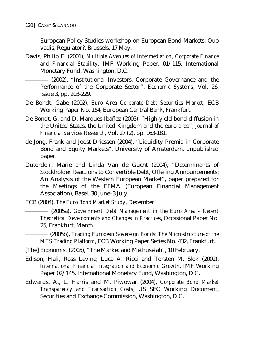European Policy Studies workshop on European Bond Markets: Quo vadis, Regulator?, Brussels, 17 May.

Davis, Philip E. (2001), *Multiple Avenues of Intermediation, Corporate Finance and Financial Stability*, IMF Working Paper, 01/115, International Monetary Fund, Washington, D.C.

–––––––– (2002), "Institutional Investors, Corporate Governance and the Performance of the Corporate Sector", *Economic Systems*, Vol. 26, Issue 3, pp. 203-229.

- De Bondt, Gabe (2002), *Euro Area Corporate Debt Securities Market*, ECB Working Paper No. 164, European Central Bank, Frankfurt.
- De Bondt, G. and D. Marqués-Ibáñez (2005), "High-yield bond diffusion in the United States, the United Kingdom and the euro area", *Journal of Financial Services Research*, Vol. 27 (2), pp. 163-181.
- de Jong, Frank and Joost Driessen (2004), "Liquidity Premia in Corporate Bond and Equity Markets", University of Amsterdam, unpublished paper.
- Dutordoir, Marie and Linda Van de Gucht (2004), "Determinants of Stockholder Reactions to Convertible Debt, Offering Announcements: An Analysis of the Western European Market", paper prepared for the Meetings of the EFMA (European Financial Management Association), Basel, 30 June–3 July.
- ECB (2004), *The Euro Bond Market Study*, December.

–––––––– (2005a), *Government Debt Management in the Euro Area - Recent Theoretical Developments and Changes in Practices*, Occasional Paper No. 25, Frankfurt, March.

–––––––– (2005b), *Trading European Sovereign Bonds: The Microstructure of the MTS Trading Platform*, ECB Working Paper Series No. 432, Frankfurt.

- [The] Economist (2005), "The Market and Methuselah", 10 February.
- Edison, Hali, Ross Levine, Luca A. Ricci and Torsten M. Slok (2002), *International Financial Integration and Economic Growth*, IMF Working Paper 02/145, International Monetary Fund, Washington, D.C.
- Edwards, A., L. Harris and M. Piwowar (2004), *Corporate Bond Market Transparency and Transaction Costs*, US SEC Working Document, Securities and Exchange Commission, Washington, D.C.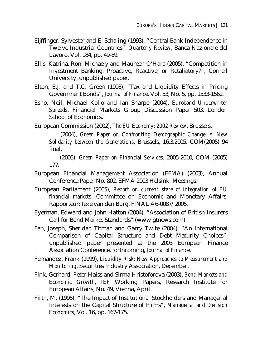- Eijffinger, Sylvester and E. Schaling (1993), "Central Bank Independence in Twelve Industrial Countries", *Quarterly Review*, Banca Nazionale del Lavoro, Vol. 184, pp. 49-89.
- Ellis, Katrina, Roni Michaely and Maureen O'Hara (2005), "Competition in Investment Banking: Proactive, Reactive, or Retaliatory?", Cornell University, unpublished paper.
- Elton, E.J. and T.C. Green (1998), "Tax and Liquidity Effects in Pricing Government Bonds", *Journal of Finance*, Vol. 53, No. 5, pp. 1533-1562.
- Esho, Neil, Michael Kollo and Ian Sharpe (2004), *Eurobond Underwriter Spreads*, Financial Markets Group Discussion Paper 503, London School of Economics.

European Commission (2002), *The EU Economy: 2002 Review*, Brussels.

- –––––––– (2004), *Green Paper on Confronting Demographic Change: A New Solidarity between the Generations*, Brussels, 16.3.2005. COM(2005) 94 final.
- –––––––– (2005), *Green Paper on Financial Services*, 2005-2010, COM (2005) 177.
- European Financial Management Association (EFMA) (2003), Annual Conference Paper No. 802, EFMA 2003 Helsinki Meetings.
- European Parliament (2005), *Report on current state of integration of EU financial markets*, Committee on Economic and Monetary Affairs, Rapporteur: Ieke van den Burg, FINAL A6-0087/2005.
- Eyerman, Edward and John Hatton (2004), "Association of British Insurers Call for Bond Market Standards" (www.gtnews.com).
- Fan, Joseph, Sheridan Titman and Garry Twite (2004), "An International Comparison of Capital Structure and Debt Maturity Choices", unpublished paper presented at the 2003 European Finance Association Conference, forthcoming, *Journal of Finance*.
- Fernandez, Frank (1999), *Liquidity Risk: New Approaches to Measurement and Monitoring*, Securities Industry Association, December.
- Fink, Gerhard, Peter Haiss and Sirma Hristoforova (2003), *Bond Markets and Economic Growth*, IEF Working Papers, Research Institute for European Affairs, No. 49, Vienna, April.
- Firth, M. (1995), "The Impact of Institutional Stockholders and Managerial Interests on the Capital Structure of Firms", *Managerial and Decision Economics*, Vol. 16, pp. 167-175.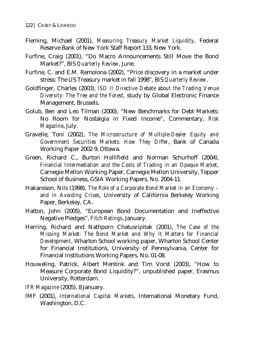- Fleming, Michael (2001), *Measuring Treasury Market Liquidity*, Federal Reserve Bank of New York Staff Report 133, New York.
- Furfine, Craig (2001), "Do Macro Announcements Still Move the Bond Market?", BIS *Quarterly Review*, June.
- Furfine, C. and E.M. Remolona (2002), "Price discovery in a market under stress: The US Treasury market in fall 1998", BIS *Quarterly Review*.
- Goldfinger, Charles (2003), *ISD II Directive Debate about the Trading Venue Diversity: The Tree and the Forest*, study by Global Electronic Finance Management, Brussels.
- Golub, Ben and Leo Tilman (2000), "New Benchmarks for Debt Markets: No Room for Nostalgia in Fixed Income", Commentary, *Risk Magazine*, July.
- Gravelle, Toni (2002), *The Microstructure of Multiple-Dealer Equity and Government Securities Markets: How They Differ*, Bank of Canada Working Paper 2002-9, Ottawa.
- Green, Richard C., Burton Hollifield and Norman Schurhoff (2004), *Financial Intermediation and the Costs of Trading in an Opaque Market*, Carnegie Mellon Working Paper, Carnegie Mellon University, Tepper School of Business, GSIA Working Papers, No. 2004-11.
- Hakansson, Nils (1998), *The Role of a Corporate Bond Market in an Economy and in Avoiding Crises*, University of California Berkeley Working Paper, Berkeley, CA.
- Hatton, John (2005), "European Bond Documentation and Ineffective Negative Pledges", *Fitch Ratings*, January.
- Herring, Richard and Nathporn Chatusripitak (2001), *The Case of the Missing Market: The Bond Market and Why It Matters for Financial Development*, Wharton School working paper, Wharton School Center for Financial Institutions, University of Pennsylvania, Center for Financial Institutions Working Papers, No. 01-08.
- Houweling, Patrick, Albert Mentink and Tim Vorst (2003), "How to Measure Corporate Bond Liquidity?", unpublished paper, Erasmus University, Rotterdam.
- *IFR Magazine* (2005), 8 January.
- IMF (2001), *International Capital Markets*, International Monetary Fund, Washington, D.C.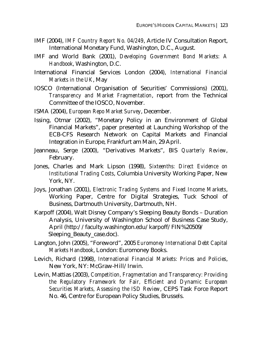- IMF (2004), *IMF Country Report No. 04/249*, Article IV Consultation Report, International Monetary Fund, Washington, D.C., August.
- IMF and World Bank (2001), *Developing Government Bond Markets: A Handbook*, Washington, D.C.
- International Financial Services London (2004), *International Financial Markets in the UK*, May
- IOSCO (International Organisation of Securities' Commissions) (2001), *Transparency and Market Fragmentation*, report from the Technical Committee of the IOSCO, November.
- ISMA (2004), *European Repo Market Survey*, December.
- Issing, Otmar (2002), "Monetary Policy in an Environment of Global Financial Markets", paper presented at Launching Workshop of the ECB-CFS Research Network on Capital Markets and Financial Integration in Europe, Frankfurt am Main, 29 April.
- Jeanneau, Serge (2000), "Derivatives Markets", BIS *Quarterly Review*, February.
- Jones, Charles and Mark Lipson (1998), *Sixteenths: Direct Evidence on Institutional Trading Costs*, Columbia University Working Paper, New York, NY.
- Joys, Jonathan (2001), *Electronic Trading Systems and Fixed Income Markets*, Working Paper, Centre for Digital Strategies, Tuck School of Business, Dartmouth University, Dartmouth, NH.
- Karpoff (2004), Walt Disney Company's Sleeping Beauty Bonds Duration Analysis, University of Washington School of Business Case Study, April (http://faculty.washington.edu/karpoff/FIN%20509/ Sleeping\_Beauty\_case.doc).
- Langton, John (2005), "Foreword", 2005 *Euromoney International Debt Capital Markets Handbook*, London: Euromoney Books.
- Levich, Richard (1998), *International Financial Markets: Prices and Policies*, New York, NY: McGraw-Hill/Irwin.
- Levin, Mattias (2003), *Competition, Fragmentation and Transparency: Providing the Regulatory Framework for Fair, Efficient and Dynamic European Securities Markets, Assessing the ISD Review*, CEPS Task Force Report No. 46, Centre for European Policy Studies, Brussels.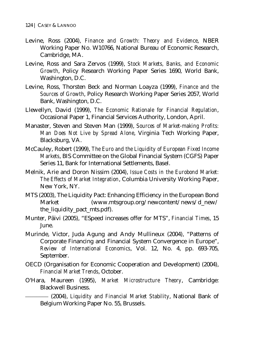- Levine, Ross (2004), *Finance and Growth: Theory and Evidence*, NBER Working Paper No. W10766, National Bureau of Economic Research, Cambridge, MA.
- Levine, Ross and Sara Zervos (1999), *Stock Markets, Banks, and Economic Growth*, Policy Research Working Paper Series 1690, World Bank, Washington, D.C.
- Levine, Ross, Thorsten Beck and Norman Loayza (1999), *Finance and the Sources of Growth*, Policy Research Working Paper Series 2057, World Bank, Washington, D.C.
- Llewellyn, David (1999), *The Economic Rationale for Financial Regulation*, Occasional Paper 1, Financial Services Authority, London, April.
- Manaster, Steven and Steven Man (1999), *Sources of Market-making Profits: Man Does Not Live by Spread Alone*, Virginia Tech Working Paper, Blacksburg, VA.
- McCauley, Robert (1999), *The Euro and the Liquidity of European Fixed Income Markets*, BIS Committee on the Global Financial System (CGFS) Paper Series 11, Bank for International Settlements, Basel.
- Melnik, Arie and Doron Nissim (2004), *Issue Costs in the Eurobond Market: The Effects of Market Integration*, Columbia University Working Paper, New York, NY.
- MTS (2003), The Liquidity Pact: Enhancing Efficiency in the European Bond Market (www.mtsgroup.org/newcontent/news/d\_new/ the liquidity pact mts.pdf).
- Munter, Päivi (2005), "ESpeed increases offer for MTS", *Financial Times*, 15 June.
- Murinde, Victor, Juda Agung and Andy Mullineux (2004), "Patterns of Corporate Financing and Financial System Convergence in Europe", *Review of International Economics*, Vol. 12, No. 4, pp. 693-705, September.
- OECD (Organisation for Economic Cooperation and Development) (2004), *Financial Market Trends*, October.
- O'Hara, Maureen (1995), *Market Microstructure Theory*, Cambridge: Blackwell Business.

–––––––– (2004), *Liquidity and Financial Market Stability*, National Bank of Belgium Working Paper No. 55, Brussels.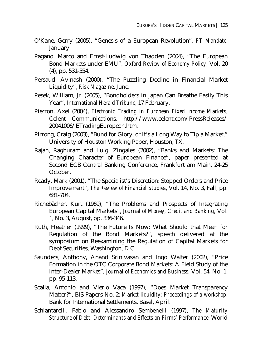- O'Kane, Gerry (2005), "Genesis of a European Revolution", *FT Mandate*, January.
- Pagano, Marco and Ernst-Ludwig von Thadden (2004), "The European Bond Markets under EMU", *Oxford Review of Economy Policy*, Vol. 20 (4), pp. 531-554.
- Persaud, Avinash (2000), "The Puzzling Decline in Financial Market Liquidity", *Risk Magazine*, June.
- Pesek, William, Jr. (2005), "Bondholders in Japan Can Breathe Easily This Year", *International Herald Tribune*, 17 February.
- Pierron, Axel (2004), *Electronic Trading in European Fixed Income Markets*, Celent Communications, http://www.celent.com/PressReleases/ 20041006/ETradingEuropean.htm.
- Pirrong, Craig (2003), "Bund for Glory, or It's a Long Way to Tip a Market," University of Houston Working Paper, Houston, TX.
- Rajan, Raghuram and Luigi Zingales (2002), "Banks and Markets: The Changing Character of European Finance", paper presented at Second ECB Central Banking Conference, Frankfurt am Main, 24-25 October.
- Ready, Mark (2001), "The Specialist's Discretion: Stopped Orders and Price Improvement", *The Review of Financial Studies*, Vol. 14, No. 3, Fall, pp. 681-704.
- Richebächer, Kurt (1969), "The Problems and Prospects of Integrating European Capital Markets", *Journal of Money, Credit and Banking*, Vol. 1, No. 3, August, pp. 336-346.
- Ruth, Heather (1999), "The Future Is Now: What Should that Mean for Regulation of the Bond Markets?", speech delivered at the symposium on Reexamining the Regulation of Capital Markets for Debt Securities, Washington, D.C.
- Saunders, Anthony, Anand Srinivasan and Ingo Walter (2002), "Price Formation in the OTC Corporate Bond Markets: A Field Study of the Inter-Dealer Market"*, Journal of Economics and Business*, Vol. 54, No. 1, pp. 95-113.
- Scalia, Antonio and Vlerio Vaca (1997), "Does Market Transparency Matter?", BIS Papers No. 2: *Market liquidity: Proceedings of a workshop*, Bank for International Settlements, Basel, April.
- Schiantarelli, Fabio and Alessandro Sembenelli (1997), *The Maturity Structure of Debt: Determinants and Effects on Firms' Performance*, World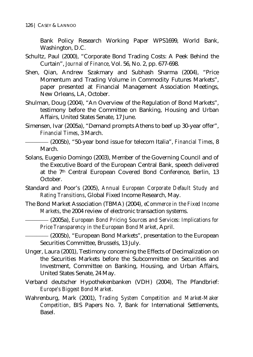Bank Policy Research Working Paper WPS1699, World Bank, Washington, D.C.

- Schultz, Paul (2000), "Corporate Bond Trading Costs: A Peek Behind the Curtain", *Journal of Finance*, Vol. 56, No. 2, pp. 677-698.
- Shen, Qian, Andrew Szakmary and Subhash Sharma (2004), "Price Momentum and Trading Volume in Commodity Futures Markets", paper presented at Financial Management Association Meetings, New Orleans, LA, October.
- Shulman, Doug (2004), "An Overview of the Regulation of Bond Markets", testimony before the Committee on Banking, Housing and Urban Affairs, United States Senate, 17 June.
- Simensen, Ivar (2005a), "Demand prompts Athens to beef up 30-year offer", *Financial Times*, 3 March.

- Solans, Eugenio Domingo (2003), Member of the Governing Council and of the Executive Board of the European Central Bank, speech delivered at the 7<sup>th</sup> Central European Covered Bond Conference, Berlin, 13 October.
- Standard and Poor's (2005), *Annual European Corporate Default Study and Rating Transitions*, Global Fixed Income Research, May.
- The Bond Market Association (TBMA) (2004), *eCommerce in the Fixed Income Markets*, the 2004 review of electronic transaction systems.

–––––––– (2005a), *European Bond Pricing Sources and Services: Implications for Price Transparency in the European Bond Market*, April.

–––––––– (2005b), "European Bond Markets", presentation to the European Securities Committee, Brussels, 13 July.

- Unger, Laura (2001), Testimony concerning the Effects of Decimalization on the Securities Markets before the Subcommittee on Securities and Investment, Committee on Banking, Housing, and Urban Affairs, United States Senate, 24 May.
- Verband deutscher Hypothekenbanken (VDH) (2004), The Pfandbrief: *Europe's Biggest Bond Market*.
- Wahrenburg, Mark (2001), *Trading System Competition and Market-Maker Competition*, BIS Papers No. 7, Bank for International Settlements, Basel.

<sup>––––––––</sup> (2005b), "50-year bond issue for telecom Italia", *Financial Times*, 8 March.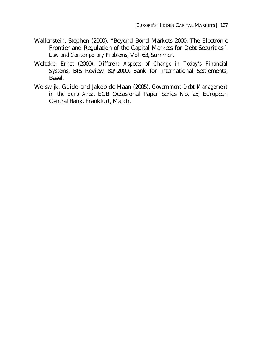- Wallenstein, Stephen (2000), "Beyond Bond Markets 2000: The Electronic Frontier and Regulation of the Capital Markets for Debt Securities", *Law and Contemporary Problems,* Vol. 63, Summer.
- Welteke, Ernst (2000), *Different Aspects of Change in Today's Financial Systems*, BIS Review 80/2000, Bank for International Settlements, Basel.
- Wolswijk, Guido and Jakob de Haan (2005), *Government Debt Management in the Euro Area*, ECB Occasional Paper Series No. 25, European Central Bank, Frankfurt, March.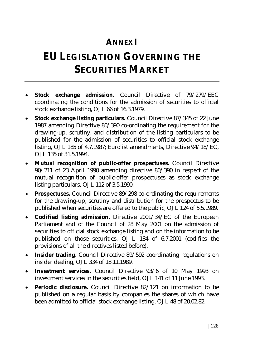# **ANNEX I**

# **EU LEGISLATION GOVERNING THE SECURITIES MARKET**

- **Stock exchange admission.** Council Directive of 79/279/EEC coordinating the conditions for the admission of securities to official stock exchange listing, OJ L 66 of 16.3.1979.
- **Stock exchange listing particulars.** Council Directive 87/345 of 22 June 1987 amending Directive 80/390 co-ordinating the requirement for the drawing-up, scrutiny, and distribution of the listing particulars to be published for the admission of securities to official stock exchange listing, OJ L 185 of 4.7.1987; Eurolist amendments, Directive 94/18/EC, OJ L 135 of 31.5.1994.
- **Mutual recognition of public-offer prospectuses.** Council Directive 90/211 of 23 April 1990 amending directive 80/390 in respect of the mutual recognition of public-offer prospectuses as stock exchange listing particulars, OJ L 112 of 3.5.1990.
- **Prospectuses.** Council Directive 89/298 co-ordinating the requirements for the drawing-up, scrutiny and distribution for the prospectus to be published when securities are offered to the public, OJ L 124 of 5.5.1989.
- **Codified listing admission.** Directive 2001/34/EC of the European Parliament and of the Council of 28 May 2001 on the admission of securities to official stock exchange listing and on the information to be published on those securities, OJ L 184 of 6.7.2001 (codifies the provisions of all the directives listed before).
- **Insider trading.** Council Directive 89/592 coordinating regulations on insider dealing, OJ L 334 of 18.11.1989.
- **Investment services.** Council Directive 93/6 of 10 May 1993 on investment services in the securities field, OJ L 141 of 11 June 1993.
- **Periodic disclosure.** Council Directive 82/121 on information to be published on a regular basis by companies the shares of which have been admitted to official stock exchange listing, OJ L 48 of 20.02.82.